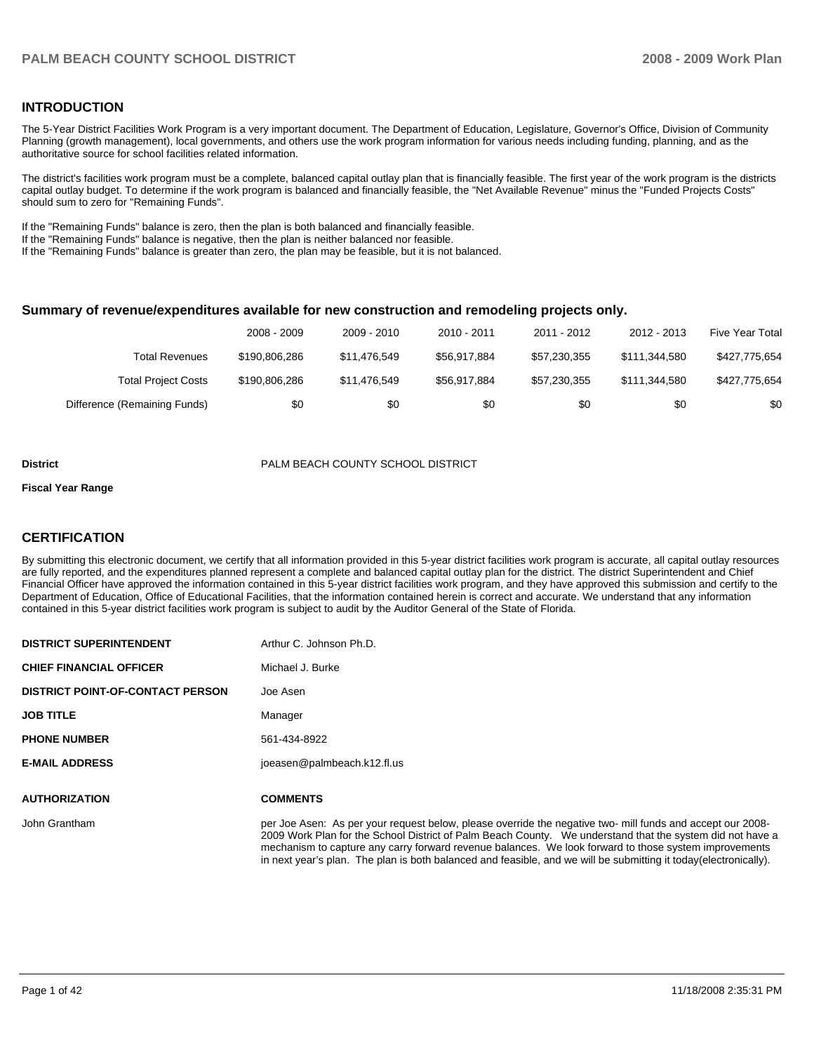#### **INTRODUCTION**

The 5-Year District Facilities Work Program is a very important document. The Department of Education, Legislature, Governor's Office, Division of Community Planning (growth management), local governments, and others use the work program information for various needs including funding, planning, and as the authoritative source for school facilities related information.

The district's facilities work program must be a complete, balanced capital outlay plan that is financially feasible. The first year of the work program is the districts capital outlay budget. To determine if the work program is balanced and financially feasible, the "Net Available Revenue" minus the "Funded Projects Costs" should sum to zero for "Remaining Funds".

If the "Remaining Funds" balance is zero, then the plan is both balanced and financially feasible.

If the "Remaining Funds" balance is negative, then the plan is neither balanced nor feasible.

If the "Remaining Funds" balance is greater than zero, the plan may be feasible, but it is not balanced.

#### **Summary of revenue/expenditures available for new construction and remodeling projects only.**

|                              | 2008 - 2009   | 2009 - 2010  | 2010 - 2011  | 2011 - 2012  | 2012 - 2013   | <b>Five Year Total</b> |
|------------------------------|---------------|--------------|--------------|--------------|---------------|------------------------|
| <b>Total Revenues</b>        | \$190.806.286 | \$11.476.549 | \$56.917.884 | \$57.230.355 | \$111.344.580 | \$427,775,654          |
| <b>Total Project Costs</b>   | \$190,806,286 | \$11.476.549 | \$56.917.884 | \$57.230.355 | \$111.344.580 | \$427,775,654          |
| Difference (Remaining Funds) | \$0           | \$0          | \$0          | \$0          | \$0           | \$0                    |

#### **District COUNTY SCHOOL DISTRICT PALM BEACH COUNTY SCHOOL DISTRICT**

#### **Fiscal Year Range**

#### **CERTIFICATION**

By submitting this electronic document, we certify that all information provided in this 5-year district facilities work program is accurate, all capital outlay resources are fully reported, and the expenditures planned represent a complete and balanced capital outlay plan for the district. The district Superintendent and Chief Financial Officer have approved the information contained in this 5-year district facilities work program, and they have approved this submission and certify to the Department of Education, Office of Educational Facilities, that the information contained herein is correct and accurate. We understand that any information contained in this 5-year district facilities work program is subject to audit by the Auditor General of the State of Florida.

| <b>DISTRICT SUPERINTENDENT</b>          | Arthur C. Johnson Ph.D.                  |
|-----------------------------------------|------------------------------------------|
| <b>CHIEF FINANCIAL OFFICER</b>          | Michael J. Burke                         |
| <b>DISTRICT POINT-OF-CONTACT PERSON</b> | Joe Asen                                 |
| <b>JOB TITLE</b>                        | Manager                                  |
| <b>PHONE NUMBER</b>                     | 561-434-8922                             |
| <b>E-MAIL ADDRESS</b>                   | joeasen@palmbeach.k12.fl.us              |
| <b>AUTHORIZATION</b>                    | <b>COMMENTS</b>                          |
|                                         |                                          |
| John Grantham                           | per Joe Asen: As per your request below. |

please override the negative two- mill funds and accept our 2008-2009 Work Plan for the School District of Palm Beach County. We understand that the system did not have a mechanism to capture any carry forward revenue balances. We look forward to those system improvements in next year's plan. The plan is both balanced and feasible, and we will be submitting it today(electronically).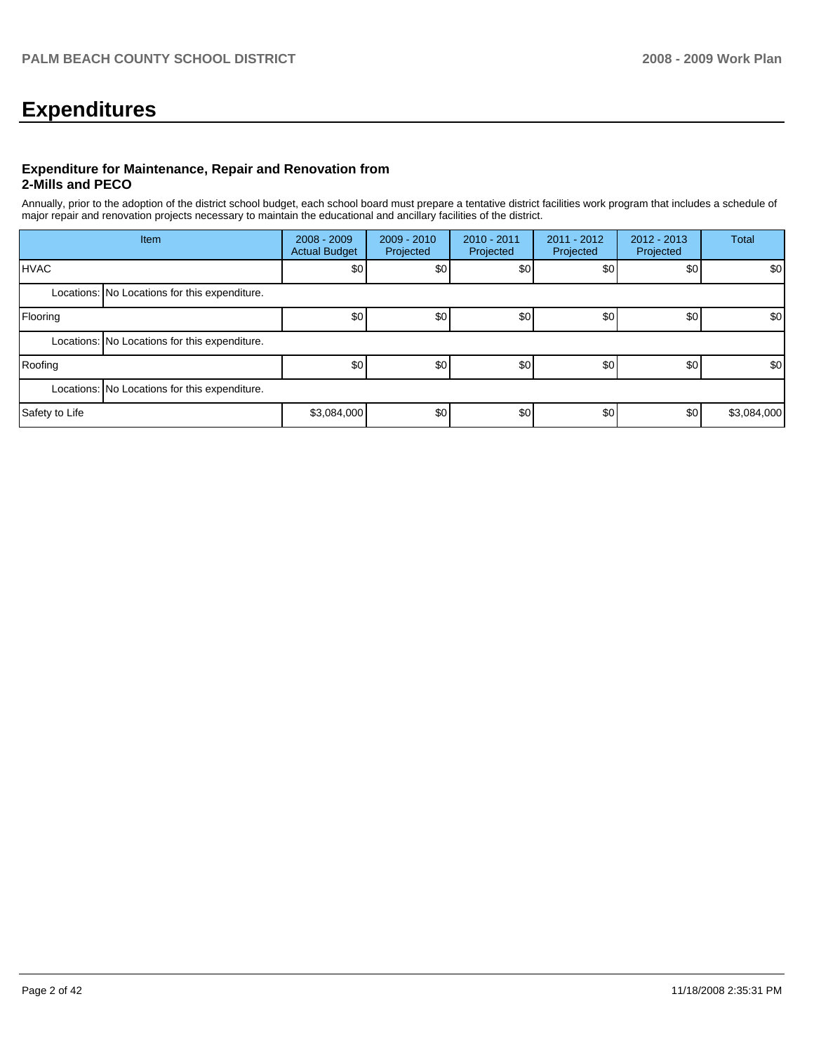# **Expenditures**

#### **Expenditure for Maintenance, Repair and Renovation from 2-Mills and PECO**

Annually, prior to the adoption of the district school budget, each school board must prepare a tentative district facilities work program that includes a schedule of major repair and renovation projects necessary to maintain the educational and ancillary facilities of the district.

|                | Item                                          | $2008 - 2009$<br><b>Actual Budget</b> | $2009 - 2010$<br>Projected | 2010 - 2011<br>Projected | $2011 - 2012$<br>Projected | $2012 - 2013$<br>Projected | Total       |
|----------------|-----------------------------------------------|---------------------------------------|----------------------------|--------------------------|----------------------------|----------------------------|-------------|
| <b>HVAC</b>    |                                               | \$0                                   | \$0                        | \$0                      | \$0                        | \$0                        | \$0         |
|                | Locations: No Locations for this expenditure. |                                       |                            |                          |                            |                            |             |
| Flooring       |                                               | \$0                                   | \$0                        | \$0                      | \$0                        | \$0                        | \$0         |
|                | Locations: No Locations for this expenditure. |                                       |                            |                          |                            |                            |             |
| Roofing        |                                               | \$0                                   | \$0                        | \$0                      | \$0                        | \$0                        | \$0         |
|                | Locations: No Locations for this expenditure. |                                       |                            |                          |                            |                            |             |
| Safety to Life |                                               | \$3,084,000                           | \$0                        | \$0                      | \$0                        | \$0                        | \$3,084,000 |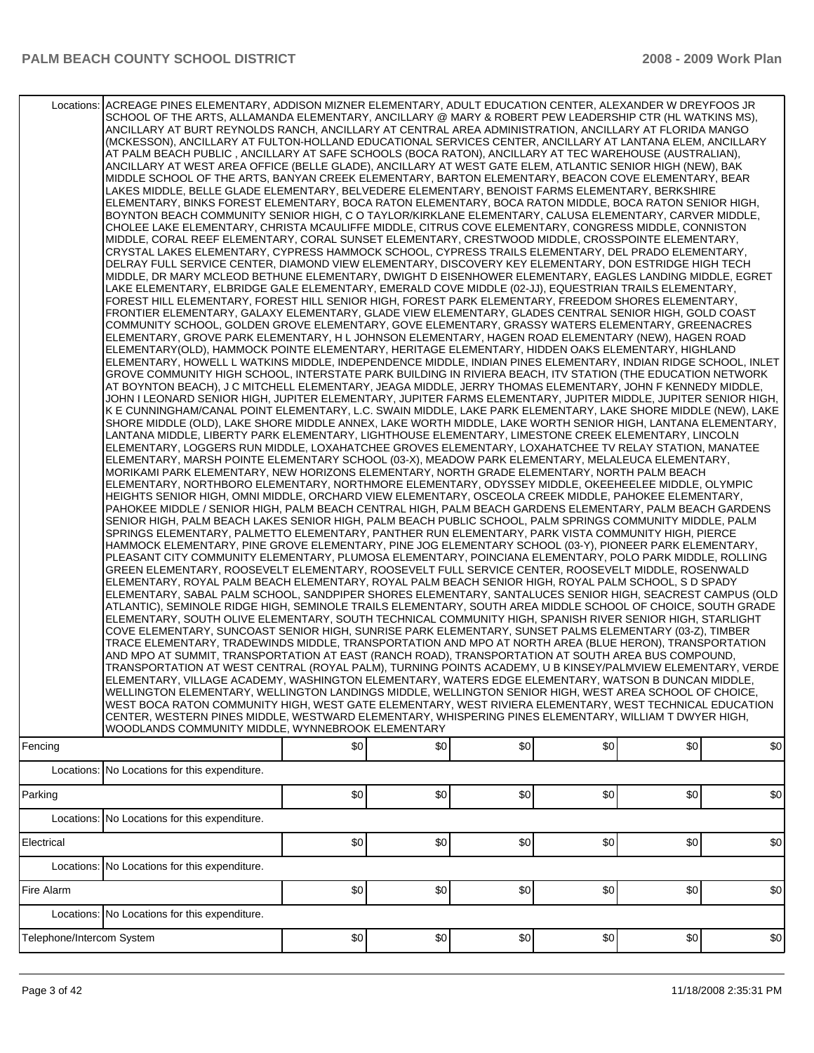| Locations: ACREAGE PINES ELEMENTARY, ADDISON MIZNER ELEMENTARY, ADULT EDUCATION CENTER, ALEXANDER W DREYFOOS JR<br>SCHOOL OF THE ARTS, ALLAMANDA ELEMENTARY, ANCILLARY @ MARY & ROBERT PEW LEADERSHIP CTR (HL WATKINS MS),<br>ANCILLARY AT BURT REYNOLDS RANCH, ANCILLARY AT CENTRAL AREA ADMINISTRATION, ANCILLARY AT FLORIDA MANGO<br>(MCKESSON), ANCILLARY AT FULTON-HOLLAND EDUCATIONAL SERVICES CENTER, ANCILLARY AT LANTANA ELEM, ANCILLARY<br>AT PALM BEACH PUBLIC, ANCILLARY AT SAFE SCHOOLS (BOCA RATON), ANCILLARY AT TEC WAREHOUSE (AUSTRALIAN),<br>ANCILLARY AT WEST AREA OFFICE (BELLE GLADE), ANCILLARY AT WEST GATE ELEM, ATLANTIC SENIOR HIGH (NEW), BAK<br>MIDDLE SCHOOL OF THE ARTS, BANYAN CREEK ELEMENTARY, BARTON ELEMENTARY, BEACON COVE ELEMENTARY, BEAR<br>LAKES MIDDLE, BELLE GLADE ELEMENTARY, BELVEDERE ELEMENTARY, BENOIST FARMS ELEMENTARY, BERKSHIRE<br>ELEMENTARY, BINKS FOREST ELEMENTARY, BOCA RATON ELEMENTARY, BOCA RATON MIDDLE, BOCA RATON SENIOR HIGH,<br>BOYNTON BEACH COMMUNITY SENIOR HIGH, C O TAYLOR/KIRKLANE ELEMENTARY, CALUSA ELEMENTARY, CARVER MIDDLE,<br>CHOLEE LAKE ELEMENTARY, CHRISTA MCAULIFFE MIDDLE, CITRUS COVE ELEMENTARY, CONGRESS MIDDLE, CONNISTON<br>MIDDLE, CORAL REEF ELEMENTARY, CORAL SUNSET ELEMENTARY, CRESTWOOD MIDDLE, CROSSPOINTE ELEMENTARY,<br>CRYSTAL LAKES ELEMENTARY, CYPRESS HAMMOCK SCHOOL, CYPRESS TRAILS ELEMENTARY, DEL PRADO ELEMENTARY,<br>DELRAY FULL SERVICE CENTER, DIAMOND VIEW ELEMENTARY, DISCOVERY KEY ELEMENTARY, DON ESTRIDGE HIGH TECH<br>MIDDLE, DR MARY MCLEOD BETHUNE ELEMENTARY, DWIGHT D EISENHOWER ELEMENTARY, EAGLES LANDING MIDDLE, EGRET<br>LAKE ELEMENTARY, ELBRIDGE GALE ELEMENTARY, EMERALD COVE MIDDLE (02-JJ), EQUESTRIAN TRAILS ELEMENTARY,<br>FOREST HILL ELEMENTARY, FOREST HILL SENIOR HIGH, FOREST PARK ELEMENTARY, FREEDOM SHORES ELEMENTARY,<br>FRONTIER ELEMENTARY, GALAXY ELEMENTARY, GLADE VIEW ELEMENTARY, GLADES CENTRAL SENIOR HIGH, GOLD COAST<br>COMMUNITY SCHOOL, GOLDEN GROVE ELEMENTARY, GOVE ELEMENTARY, GRASSY WATERS ELEMENTARY, GREENACRES<br>ELEMENTARY, GROVE PARK ELEMENTARY, H L JOHNSON ELEMENTARY, HAGEN ROAD ELEMENTARY (NEW), HAGEN ROAD<br>ELEMENTARY(OLD), HAMMOCK POINTE ELEMENTARY, HERITAGE ELEMENTARY, HIDDEN OAKS ELEMENTARY, HIGHLAND<br>ELEMENTARY, HOWELL L WATKINS MIDDLE, INDEPENDENCE MIDDLE, INDIAN PINES ELEMENTARY, INDIAN RIDGE SCHOOL, INLET<br>GROVE COMMUNITY HIGH SCHOOL, INTERSTATE PARK BUILDING IN RIVIERA BEACH, ITV STATION (THE EDUCATION NETWORK<br>AT BOYNTON BEACH), J C MITCHELL ELEMENTARY, JEAGA MIDDLE, JERRY THOMAS ELEMENTARY, JOHN F KENNEDY MIDDLE,<br>JOHN I LEONARD SENIOR HIGH, JUPITER ELEMENTARY, JUPITER FARMS ELEMENTARY, JUPITER MIDDLE, JUPITER SENIOR HIGH,<br>K E CUNNINGHAM/CANAL POINT ELEMENTARY, L.C. SWAIN MIDDLE, LAKE PARK ELEMENTARY, LAKE SHORE MIDDLE (NEW), LAKE<br>SHORE MIDDLE (OLD), LAKE SHORE MIDDLE ANNEX, LAKE WORTH MIDDLE, LAKE WORTH SENIOR HIGH, LANTANA ELEMENTARY,<br>LANTANA MIDDLE, LIBERTY PARK ELEMENTARY, LIGHTHOUSE ELEMENTARY, LIMESTONE CREEK ELEMENTARY, LINCOLN<br>ELEMENTARY, LOGGERS RUN MIDDLE, LOXAHATCHEE GROVES ELEMENTARY, LOXAHATCHEE TV RELAY STATION, MANATEE<br>ELEMENTARY, MARSH POINTE ELEMENTARY SCHOOL (03-X), MEADOW PARK ELEMENTARY, MELALEUCA ELEMENTARY,<br>MORIKAMI PARK ELEMENTARY, NEW HORIZONS ELEMENTARY, NORTH GRADE ELEMENTARY, NORTH PALM BEACH<br>ELEMENTARY, NORTHBORO ELEMENTARY, NORTHMORE ELEMENTARY, ODYSSEY MIDDLE, OKEEHEELEE MIDDLE, OLYMPIC<br>HEIGHTS SENIOR HIGH, OMNI MIDDLE, ORCHARD VIEW ELEMENTARY, OSCEOLA CREEK MIDDLE, PAHOKEE ELEMENTARY,<br>PAHOKEE MIDDLE / SENIOR HIGH, PALM BEACH CENTRAL HIGH, PALM BEACH GARDENS ELEMENTARY, PALM BEACH GARDENS<br>SENIOR HIGH, PALM BEACH LAKES SENIOR HIGH, PALM BEACH PUBLIC SCHOOL, PALM SPRINGS COMMUNITY MIDDLE, PALM<br>SPRINGS ELEMENTARY, PALMETTO ELEMENTARY, PANTHER RUN ELEMENTARY, PARK VISTA COMMUNITY HIGH, PIERCE<br>HAMMOCK ELEMENTARY, PINE GROVE ELEMENTARY, PINE JOG ELEMENTARY SCHOOL (03-Y), PIONEER PARK ELEMENTARY,<br>PLEASANT CITY COMMUNITY ELEMENTARY, PLUMOSA ELEMENTARY, POINCIANA ELEMENTARY, POLO PARK MIDDLE, ROLLING<br>GREEN ELEMENTARY, ROOSEVELT ELEMENTARY, ROOSEVELT FULL SERVICE CENTER, ROOSEVELT MIDDLE, ROSENWALD<br>ELEMENTARY, ROYAL PALM BEACH ELEMENTARY, ROYAL PALM BEACH SENIOR HIGH, ROYAL PALM SCHOOL, S D SPADY<br>ELEMENTARY, SABAL PALM SCHOOL, SANDPIPER SHORES ELEMENTARY, SANTALUCES SENIOR HIGH, SEACREST CAMPUS (OLD<br>ATLANTIC), SEMINOLE RIDGE HIGH, SEMINOLE TRAILS ELEMENTARY, SOUTH AREA MIDDLE SCHOOL OF CHOICE, SOUTH GRADE<br>ELEMENTARY, SOUTH OLIVE ELEMENTARY, SOUTH TECHNICAL COMMUNITY HIGH, SPANISH RIVER SENIOR HIGH, STARLIGHT<br>COVE ELEMENTARY, SUNCOAST SENIOR HIGH, SUNRISE PARK ELEMENTARY, SUNSET PALMS ELEMENTARY (03-Z), TIMBER<br>TRACE ELEMENTARY, TRADEWINDS MIDDLE, TRANSPORTATION AND MPO AT NORTH AREA (BLUE HERON), TRANSPORTATION<br>AND MPO AT SUMMIT, TRANSPORTATION AT EAST (RANCH ROAD), TRANSPORTATION AT SOUTH AREA BUS COMPOUND,<br>TRANSPORTATION AT WEST CENTRAL (ROYAL PALM), TURNING POINTS ACADEMY, U B KINSEY/PALMVIEW ELEMENTARY, VERDE<br>ELEMENTARY, VILLAGE ACADEMY, WASHINGTON ELEMENTARY, WATERS EDGE ELEMENTARY, WATSON B DUNCAN MIDDLE,<br>WELLINGTON ELEMENTARY, WELLINGTON LANDINGS MIDDLE, WELLINGTON SENIOR HIGH, WEST AREA SCHOOL OF CHOICE,<br>WEST BOCA RATON COMMUNITY HIGH, WEST GATE ELEMENTARY, WEST RIVIERA ELEMENTARY, WEST TECHNICAL EDUCATION<br>CENTER, WESTERN PINES MIDDLE, WESTWARD ELEMENTARY, WHISPERING PINES ELEMENTARY, WILLIAM T DWYER HIGH,<br>WOODLANDS COMMUNITY MIDDLE, WYNNEBROOK ELEMENTARY<br>\$0<br>\$0<br>\$0<br>\$0<br>\$0<br>Fencing<br>Locations: No Locations for this expenditure.<br>\$0<br>\$0<br>Parking<br>\$0<br>\$0<br>\$0 |                                               |     |     |     |     |     |     |
|-----------------------------------------------------------------------------------------------------------------------------------------------------------------------------------------------------------------------------------------------------------------------------------------------------------------------------------------------------------------------------------------------------------------------------------------------------------------------------------------------------------------------------------------------------------------------------------------------------------------------------------------------------------------------------------------------------------------------------------------------------------------------------------------------------------------------------------------------------------------------------------------------------------------------------------------------------------------------------------------------------------------------------------------------------------------------------------------------------------------------------------------------------------------------------------------------------------------------------------------------------------------------------------------------------------------------------------------------------------------------------------------------------------------------------------------------------------------------------------------------------------------------------------------------------------------------------------------------------------------------------------------------------------------------------------------------------------------------------------------------------------------------------------------------------------------------------------------------------------------------------------------------------------------------------------------------------------------------------------------------------------------------------------------------------------------------------------------------------------------------------------------------------------------------------------------------------------------------------------------------------------------------------------------------------------------------------------------------------------------------------------------------------------------------------------------------------------------------------------------------------------------------------------------------------------------------------------------------------------------------------------------------------------------------------------------------------------------------------------------------------------------------------------------------------------------------------------------------------------------------------------------------------------------------------------------------------------------------------------------------------------------------------------------------------------------------------------------------------------------------------------------------------------------------------------------------------------------------------------------------------------------------------------------------------------------------------------------------------------------------------------------------------------------------------------------------------------------------------------------------------------------------------------------------------------------------------------------------------------------------------------------------------------------------------------------------------------------------------------------------------------------------------------------------------------------------------------------------------------------------------------------------------------------------------------------------------------------------------------------------------------------------------------------------------------------------------------------------------------------------------------------------------------------------------------------------------------------------------------------------------------------------------------------------------------------------------------------------------------------------------------------------------------------------------------------------------------------------------------------------------------------------------------------------------------------------------------------------------------------------------------------------------------------------------------------------------------------------------------------------------------------------------------------------------------------------------------------------------------------------------------------------------------------------------------------------------------------------------------------------------------------------------------------------------------------------------------------------------------------------------------------------------------------------------------------------------------------------------------------------------------------------------------------------------------------------------------------------------------------------------------------------------------------------------------------------------------------------------------------------------------------------------------------------------------------------------------------------------------------------------------------------------------------------------------------------------------------------------------------------------------------------------------------------------------|-----------------------------------------------|-----|-----|-----|-----|-----|-----|
|                                                                                                                                                                                                                                                                                                                                                                                                                                                                                                                                                                                                                                                                                                                                                                                                                                                                                                                                                                                                                                                                                                                                                                                                                                                                                                                                                                                                                                                                                                                                                                                                                                                                                                                                                                                                                                                                                                                                                                                                                                                                                                                                                                                                                                                                                                                                                                                                                                                                                                                                                                                                                                                                                                                                                                                                                                                                                                                                                                                                                                                                                                                                                                                                                                                                                                                                                                                                                                                                                                                                                                                                                                                                                                                                                                                                                                                                                                                                                                                                                                                                                                                                                                                                                                                                                                                                                                                                                                                                                                                                                                                                                                                                                                                                                                                                                                                                                                                                                                                                                                                                                                                                                                                                                                                                                                                                                                                                                                                                                                                                                                                                                                                                                                                                                                                                           |                                               |     |     |     |     |     | \$0 |
|                                                                                                                                                                                                                                                                                                                                                                                                                                                                                                                                                                                                                                                                                                                                                                                                                                                                                                                                                                                                                                                                                                                                                                                                                                                                                                                                                                                                                                                                                                                                                                                                                                                                                                                                                                                                                                                                                                                                                                                                                                                                                                                                                                                                                                                                                                                                                                                                                                                                                                                                                                                                                                                                                                                                                                                                                                                                                                                                                                                                                                                                                                                                                                                                                                                                                                                                                                                                                                                                                                                                                                                                                                                                                                                                                                                                                                                                                                                                                                                                                                                                                                                                                                                                                                                                                                                                                                                                                                                                                                                                                                                                                                                                                                                                                                                                                                                                                                                                                                                                                                                                                                                                                                                                                                                                                                                                                                                                                                                                                                                                                                                                                                                                                                                                                                                                           |                                               |     |     |     |     |     | \$0 |
|                                                                                                                                                                                                                                                                                                                                                                                                                                                                                                                                                                                                                                                                                                                                                                                                                                                                                                                                                                                                                                                                                                                                                                                                                                                                                                                                                                                                                                                                                                                                                                                                                                                                                                                                                                                                                                                                                                                                                                                                                                                                                                                                                                                                                                                                                                                                                                                                                                                                                                                                                                                                                                                                                                                                                                                                                                                                                                                                                                                                                                                                                                                                                                                                                                                                                                                                                                                                                                                                                                                                                                                                                                                                                                                                                                                                                                                                                                                                                                                                                                                                                                                                                                                                                                                                                                                                                                                                                                                                                                                                                                                                                                                                                                                                                                                                                                                                                                                                                                                                                                                                                                                                                                                                                                                                                                                                                                                                                                                                                                                                                                                                                                                                                                                                                                                                           | Locations: No Locations for this expenditure. |     |     |     |     |     |     |
| Electrical                                                                                                                                                                                                                                                                                                                                                                                                                                                                                                                                                                                                                                                                                                                                                                                                                                                                                                                                                                                                                                                                                                                                                                                                                                                                                                                                                                                                                                                                                                                                                                                                                                                                                                                                                                                                                                                                                                                                                                                                                                                                                                                                                                                                                                                                                                                                                                                                                                                                                                                                                                                                                                                                                                                                                                                                                                                                                                                                                                                                                                                                                                                                                                                                                                                                                                                                                                                                                                                                                                                                                                                                                                                                                                                                                                                                                                                                                                                                                                                                                                                                                                                                                                                                                                                                                                                                                                                                                                                                                                                                                                                                                                                                                                                                                                                                                                                                                                                                                                                                                                                                                                                                                                                                                                                                                                                                                                                                                                                                                                                                                                                                                                                                                                                                                                                                |                                               | \$0 | \$0 | \$0 | \$0 | \$0 | \$0 |
|                                                                                                                                                                                                                                                                                                                                                                                                                                                                                                                                                                                                                                                                                                                                                                                                                                                                                                                                                                                                                                                                                                                                                                                                                                                                                                                                                                                                                                                                                                                                                                                                                                                                                                                                                                                                                                                                                                                                                                                                                                                                                                                                                                                                                                                                                                                                                                                                                                                                                                                                                                                                                                                                                                                                                                                                                                                                                                                                                                                                                                                                                                                                                                                                                                                                                                                                                                                                                                                                                                                                                                                                                                                                                                                                                                                                                                                                                                                                                                                                                                                                                                                                                                                                                                                                                                                                                                                                                                                                                                                                                                                                                                                                                                                                                                                                                                                                                                                                                                                                                                                                                                                                                                                                                                                                                                                                                                                                                                                                                                                                                                                                                                                                                                                                                                                                           | Locations: No Locations for this expenditure. |     |     |     |     |     |     |
| Fire Alarm                                                                                                                                                                                                                                                                                                                                                                                                                                                                                                                                                                                                                                                                                                                                                                                                                                                                                                                                                                                                                                                                                                                                                                                                                                                                                                                                                                                                                                                                                                                                                                                                                                                                                                                                                                                                                                                                                                                                                                                                                                                                                                                                                                                                                                                                                                                                                                                                                                                                                                                                                                                                                                                                                                                                                                                                                                                                                                                                                                                                                                                                                                                                                                                                                                                                                                                                                                                                                                                                                                                                                                                                                                                                                                                                                                                                                                                                                                                                                                                                                                                                                                                                                                                                                                                                                                                                                                                                                                                                                                                                                                                                                                                                                                                                                                                                                                                                                                                                                                                                                                                                                                                                                                                                                                                                                                                                                                                                                                                                                                                                                                                                                                                                                                                                                                                                |                                               | \$0 | \$0 | \$0 | \$0 | \$0 | \$0 |
|                                                                                                                                                                                                                                                                                                                                                                                                                                                                                                                                                                                                                                                                                                                                                                                                                                                                                                                                                                                                                                                                                                                                                                                                                                                                                                                                                                                                                                                                                                                                                                                                                                                                                                                                                                                                                                                                                                                                                                                                                                                                                                                                                                                                                                                                                                                                                                                                                                                                                                                                                                                                                                                                                                                                                                                                                                                                                                                                                                                                                                                                                                                                                                                                                                                                                                                                                                                                                                                                                                                                                                                                                                                                                                                                                                                                                                                                                                                                                                                                                                                                                                                                                                                                                                                                                                                                                                                                                                                                                                                                                                                                                                                                                                                                                                                                                                                                                                                                                                                                                                                                                                                                                                                                                                                                                                                                                                                                                                                                                                                                                                                                                                                                                                                                                                                                           | Locations: No Locations for this expenditure. |     |     |     |     |     |     |
| Telephone/Intercom System                                                                                                                                                                                                                                                                                                                                                                                                                                                                                                                                                                                                                                                                                                                                                                                                                                                                                                                                                                                                                                                                                                                                                                                                                                                                                                                                                                                                                                                                                                                                                                                                                                                                                                                                                                                                                                                                                                                                                                                                                                                                                                                                                                                                                                                                                                                                                                                                                                                                                                                                                                                                                                                                                                                                                                                                                                                                                                                                                                                                                                                                                                                                                                                                                                                                                                                                                                                                                                                                                                                                                                                                                                                                                                                                                                                                                                                                                                                                                                                                                                                                                                                                                                                                                                                                                                                                                                                                                                                                                                                                                                                                                                                                                                                                                                                                                                                                                                                                                                                                                                                                                                                                                                                                                                                                                                                                                                                                                                                                                                                                                                                                                                                                                                                                                                                 |                                               | \$0 | \$0 | \$0 | \$0 | \$0 | \$0 |
|                                                                                                                                                                                                                                                                                                                                                                                                                                                                                                                                                                                                                                                                                                                                                                                                                                                                                                                                                                                                                                                                                                                                                                                                                                                                                                                                                                                                                                                                                                                                                                                                                                                                                                                                                                                                                                                                                                                                                                                                                                                                                                                                                                                                                                                                                                                                                                                                                                                                                                                                                                                                                                                                                                                                                                                                                                                                                                                                                                                                                                                                                                                                                                                                                                                                                                                                                                                                                                                                                                                                                                                                                                                                                                                                                                                                                                                                                                                                                                                                                                                                                                                                                                                                                                                                                                                                                                                                                                                                                                                                                                                                                                                                                                                                                                                                                                                                                                                                                                                                                                                                                                                                                                                                                                                                                                                                                                                                                                                                                                                                                                                                                                                                                                                                                                                                           |                                               |     |     |     |     |     |     |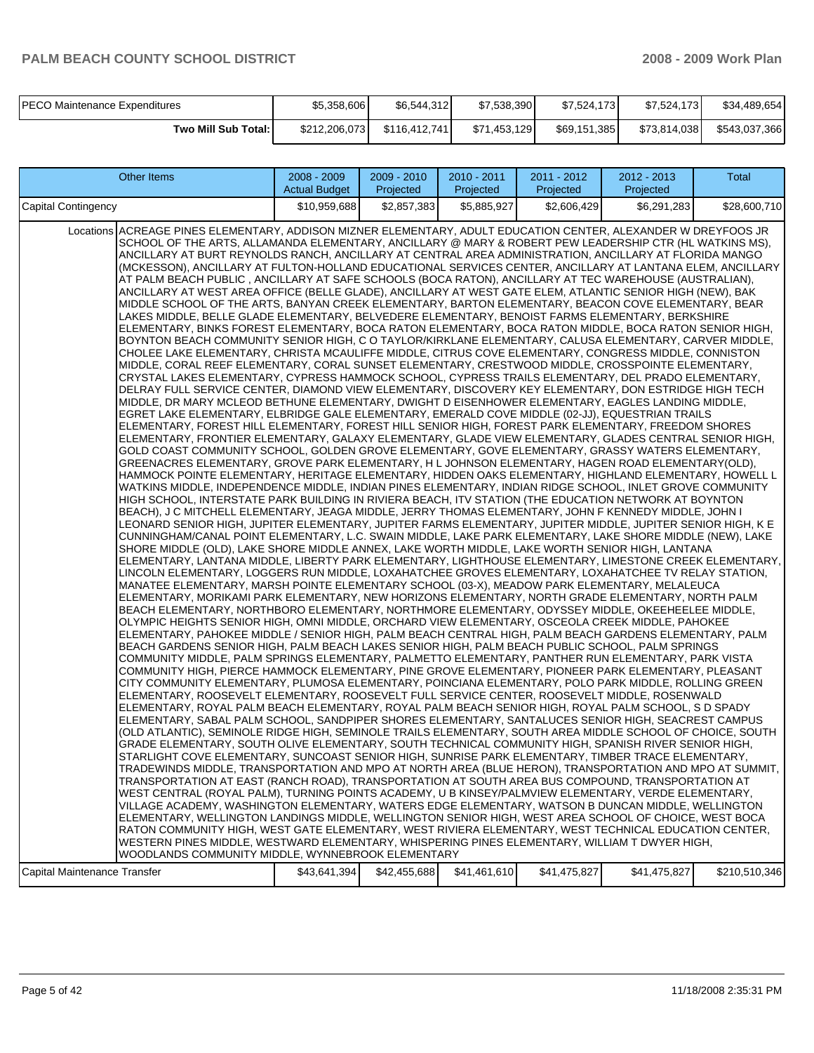| <b>PECO Maintenance Expenditures</b> | \$5,358,606   | \$6,544,312   | \$7,538,390  | \$7.524.173  | \$7,524,173  | \$34,489,654  |
|--------------------------------------|---------------|---------------|--------------|--------------|--------------|---------------|
| Two Mill Sub Total:                  | \$212,206,073 | \$116,412,741 | \$71,453,129 | \$69,151,385 | \$73,814,038 | \$543,037,366 |

| <b>Other Items</b>                                                                                                                                                                                                                                                                                                                                                                                                                                                                                                                                                                                                                                                                                                                                                                                                                                                                                                                                                                                                                                                                                                                                                                                                                                                                                                                                                                                                                                                                                                                                                                                                                                                                                                                                                                                                                                                                                                                                                                                                                                                                                                                                                                                                                                                                                                                                                                                                                                                                                                                                                                                                                                                                                                                                                                                                                                                                                                                                                                                                                                                                                                                                                                                                                                                                                                                                                                                                                                                                                                                                                                                                                                                                                                                                                                                                                                                                                                                                                                                                                                                                                                                                                                                                                                                                                                                                                                                                                                                                                                                                                                                                                                                                                                                                                                                                                                                                                                                                                                                                                                                                                                                                                                                                                                                                                                                                                                                                                                                                                       | 2008 - 2009<br><b>Actual Budget</b> | $2009 - 2010$<br>Projected | 2010 - 2011<br>Projected | 2011 - 2012<br>Projected | $2012 - 2013$<br>Projected | Total         |
|----------------------------------------------------------------------------------------------------------------------------------------------------------------------------------------------------------------------------------------------------------------------------------------------------------------------------------------------------------------------------------------------------------------------------------------------------------------------------------------------------------------------------------------------------------------------------------------------------------------------------------------------------------------------------------------------------------------------------------------------------------------------------------------------------------------------------------------------------------------------------------------------------------------------------------------------------------------------------------------------------------------------------------------------------------------------------------------------------------------------------------------------------------------------------------------------------------------------------------------------------------------------------------------------------------------------------------------------------------------------------------------------------------------------------------------------------------------------------------------------------------------------------------------------------------------------------------------------------------------------------------------------------------------------------------------------------------------------------------------------------------------------------------------------------------------------------------------------------------------------------------------------------------------------------------------------------------------------------------------------------------------------------------------------------------------------------------------------------------------------------------------------------------------------------------------------------------------------------------------------------------------------------------------------------------------------------------------------------------------------------------------------------------------------------------------------------------------------------------------------------------------------------------------------------------------------------------------------------------------------------------------------------------------------------------------------------------------------------------------------------------------------------------------------------------------------------------------------------------------------------------------------------------------------------------------------------------------------------------------------------------------------------------------------------------------------------------------------------------------------------------------------------------------------------------------------------------------------------------------------------------------------------------------------------------------------------------------------------------------------------------------------------------------------------------------------------------------------------------------------------------------------------------------------------------------------------------------------------------------------------------------------------------------------------------------------------------------------------------------------------------------------------------------------------------------------------------------------------------------------------------------------------------------------------------------------------------------------------------------------------------------------------------------------------------------------------------------------------------------------------------------------------------------------------------------------------------------------------------------------------------------------------------------------------------------------------------------------------------------------------------------------------------------------------------------------------------------------------------------------------------------------------------------------------------------------------------------------------------------------------------------------------------------------------------------------------------------------------------------------------------------------------------------------------------------------------------------------------------------------------------------------------------------------------------------------------------------------------------------------------------------------------------------------------------------------------------------------------------------------------------------------------------------------------------------------------------------------------------------------------------------------------------------------------------------------------------------------------------------------------------------------------------------------------------------------------------------------------------------------------------|-------------------------------------|----------------------------|--------------------------|--------------------------|----------------------------|---------------|
| Capital Contingency                                                                                                                                                                                                                                                                                                                                                                                                                                                                                                                                                                                                                                                                                                                                                                                                                                                                                                                                                                                                                                                                                                                                                                                                                                                                                                                                                                                                                                                                                                                                                                                                                                                                                                                                                                                                                                                                                                                                                                                                                                                                                                                                                                                                                                                                                                                                                                                                                                                                                                                                                                                                                                                                                                                                                                                                                                                                                                                                                                                                                                                                                                                                                                                                                                                                                                                                                                                                                                                                                                                                                                                                                                                                                                                                                                                                                                                                                                                                                                                                                                                                                                                                                                                                                                                                                                                                                                                                                                                                                                                                                                                                                                                                                                                                                                                                                                                                                                                                                                                                                                                                                                                                                                                                                                                                                                                                                                                                                                                                                      | \$10.959.688                        | \$2.857.383                | \$5,885,927              | \$2,606,429              | \$6,291,283                | \$28,600,710  |
| Locations ACREAGE PINES ELEMENTARY, ADDISON MIZNER ELEMENTARY, ADULT EDUCATION CENTER, ALEXANDER W DREYFOOS JR<br>SCHOOL OF THE ARTS, ALLAMANDA ELEMENTARY, ANCILLARY @ MARY & ROBERT PEW LEADERSHIP CTR (HL WATKINS MS),<br>ANCILLARY AT BURT REYNOLDS RANCH, ANCILLARY AT CENTRAL AREA ADMINISTRATION, ANCILLARY AT FLORIDA MANGO<br>(MCKESSON), ANCILLARY AT FULTON-HOLLAND EDUCATIONAL SERVICES CENTER, ANCILLARY AT LANTANA ELEM, ANCILLARY<br>AT PALM BEACH PUBLIC, ANCILLARY AT SAFE SCHOOLS (BOCA RATON), ANCILLARY AT TEC WAREHOUSE (AUSTRALIAN),<br>ANCILLARY AT WEST AREA OFFICE (BELLE GLADE), ANCILLARY AT WEST GATE ELEM, ATLANTIC SENIOR HIGH (NEW), BAK<br>MIDDLE SCHOOL OF THE ARTS, BANYAN CREEK ELEMENTARY, BARTON ELEMENTARY, BEACON COVE ELEMENTARY, BEAR<br>LAKES MIDDLE, BELLE GLADE ELEMENTARY, BELVEDERE ELEMENTARY, BENOIST FARMS ELEMENTARY, BERKSHIRE<br>ELEMENTARY, BINKS FOREST ELEMENTARY, BOCA RATON ELEMENTARY, BOCA RATON MIDDLE, BOCA RATON SENIOR HIGH,<br>BOYNTON BEACH COMMUNITY SENIOR HIGH, C O TAYLOR/KIRKLANE ELEMENTARY, CALUSA ELEMENTARY, CARVER MIDDLE,<br>CHOLEE LAKE ELEMENTARY, CHRISTA MCAULIFFE MIDDLE, CITRUS COVE ELEMENTARY, CONGRESS MIDDLE, CONNISTON<br>MIDDLE, CORAL REEF ELEMENTARY, CORAL SUNSET ELEMENTARY, CRESTWOOD MIDDLE, CROSSPOINTE ELEMENTARY,<br>CRYSTAL LAKES ELEMENTARY, CYPRESS HAMMOCK SCHOOL, CYPRESS TRAILS ELEMENTARY, DEL PRADO ELEMENTARY,<br>DELRAY FULL SERVICE CENTER, DIAMOND VIEW ELEMENTARY, DISCOVERY KEY ELEMENTARY, DON ESTRIDGE HIGH TECH<br>MIDDLE, DR MARY MCLEOD BETHUNE ELEMENTARY, DWIGHT D EISENHOWER ELEMENTARY, EAGLES LANDING MIDDLE,<br>EGRET LAKE ELEMENTARY, ELBRIDGE GALE ELEMENTARY, EMERALD COVE MIDDLE (02-JJ), EQUESTRIAN TRAILS<br>ELEMENTARY, FOREST HILL ELEMENTARY, FOREST HILL SENIOR HIGH, FOREST PARK ELEMENTARY, FREEDOM SHORES<br>ELEMENTARY, FRONTIER ELEMENTARY, GALAXY ELEMENTARY, GLADE VIEW ELEMENTARY, GLADES CENTRAL SENIOR HIGH,<br>GOLD COAST COMMUNITY SCHOOL, GOLDEN GROVE ELEMENTARY, GOVE ELEMENTARY, GRASSY WATERS ELEMENTARY,<br>GREENACRES ELEMENTARY, GROVE PARK ELEMENTARY, H L JOHNSON ELEMENTARY, HAGEN ROAD ELEMENTARY(OLD),<br>HAMMOCK POINTE ELEMENTARY, HERITAGE ELEMENTARY, HIDDEN OAKS ELEMENTARY, HIGHLAND ELEMENTARY, HOWELL L<br>WATKINS MIDDLE, INDEPENDENCE MIDDLE, INDIAN PINES ELEMENTARY, INDIAN RIDGE SCHOOL, INLET GROVE COMMUNITY<br>HIGH SCHOOL, INTERSTATE PARK BUILDING IN RIVIERA BEACH, ITV STATION (THE EDUCATION NETWORK AT BOYNTON<br>BEACH), J C MITCHELL ELEMENTARY, JEAGA MIDDLE, JERRY THOMAS ELEMENTARY, JOHN F KENNEDY MIDDLE, JOHN I<br>LEONARD SENIOR HIGH, JUPITER ELEMENTARY, JUPITER FARMS ELEMENTARY, JUPITER MIDDLE, JUPITER SENIOR HIGH, K E<br>CUNNINGHAM/CANAL POINT ELEMENTARY, L.C. SWAIN MIDDLE, LAKE PARK ELEMENTARY, LAKE SHORE MIDDLE (NEW), LAKE<br>SHORE MIDDLE (OLD), LAKE SHORE MIDDLE ANNEX, LAKE WORTH MIDDLE, LAKE WORTH SENIOR HIGH, LANTANA<br>ELEMENTARY, LANTANA MIDDLE, LIBERTY PARK ELEMENTARY, LIGHTHOUSE ELEMENTARY, LIMESTONE CREEK ELEMENTARY,  <br>LINCOLN ELEMENTARY, LOGGERS RUN MIDDLE, LOXAHATCHEE GROVES ELEMENTARY, LOXAHATCHEE TV RELAY STATION,<br>MANATEE ELEMENTARY, MARSH POINTE ELEMENTARY SCHOOL (03-X), MEADOW PARK ELEMENTARY, MELALEUCA<br>ELEMENTARY, MORIKAMI PARK ELEMENTARY, NEW HORIZONS ELEMENTARY, NORTH GRADE ELEMENTARY, NORTH PALM<br>BEACH ELEMENTARY, NORTHBORO ELEMENTARY, NORTHMORE ELEMENTARY, ODYSSEY MIDDLE, OKEEHEELEE MIDDLE,<br>OLYMPIC HEIGHTS SENIOR HIGH, OMNI MIDDLE, ORCHARD VIEW ELEMENTARY, OSCEOLA CREEK MIDDLE, PAHOKEE<br>ELEMENTARY, PAHOKEE MIDDLE / SENIOR HIGH, PALM BEACH CENTRAL HIGH, PALM BEACH GARDENS ELEMENTARY, PALM<br>BEACH GARDENS SENIOR HIGH, PALM BEACH LAKES SENIOR HIGH, PALM BEACH PUBLIC SCHOOL, PALM SPRINGS<br>COMMUNITY MIDDLE, PALM SPRINGS ELEMENTARY, PALMETTO ELEMENTARY, PANTHER RUN ELEMENTARY, PARK VISTA<br>COMMUNITY HIGH, PIERCE HAMMOCK ELEMENTARY, PINE GROVE ELEMENTARY, PIONEER PARK ELEMENTARY, PLEASANT<br>CITY COMMUNITY ELEMENTARY, PLUMOSA ELEMENTARY, POINCIANA ELEMENTARY, POLO PARK MIDDLE, ROLLING GREEN<br>ELEMENTARY, ROOSEVELT ELEMENTARY, ROOSEVELT FULL SERVICE CENTER, ROOSEVELT MIDDLE, ROSENWALD<br>ELEMENTARY, ROYAL PALM BEACH ELEMENTARY, ROYAL PALM BEACH SENIOR HIGH, ROYAL PALM SCHOOL, S D SPADY<br>ELEMENTARY, SABAL PALM SCHOOL, SANDPIPER SHORES ELEMENTARY, SANTALUCES SENIOR HIGH, SEACREST CAMPUS<br>(OLD ATLANTIC), SEMINOLE RIDGE HIGH, SEMINOLE TRAILS ELEMENTARY, SOUTH AREA MIDDLE SCHOOL OF CHOICE, SOUTH<br>GRADE ELEMENTARY, SOUTH OLIVE ELEMENTARY, SOUTH TECHNICAL COMMUNITY HIGH, SPANISH RIVER SENIOR HIGH,<br>STARLIGHT COVE ELEMENTARY, SUNCOAST SENIOR HIGH, SUNRISE PARK ELEMENTARY, TIMBER TRACE ELEMENTARY,<br>TRADEWINDS MIDDLE, TRANSPORTATION AND MPO AT NORTH AREA (BLUE HERON), TRANSPORTATION AND MPO AT SUMMIT,<br>TRANSPORTATION AT EAST (RANCH ROAD), TRANSPORTATION AT SOUTH AREA BUS COMPOUND, TRANSPORTATION AT<br>WEST CENTRAL (ROYAL PALM), TURNING POINTS ACADEMY, U B KINSEY/PALMVIEW ELEMENTARY, VERDE ELEMENTARY,<br>VILLAGE ACADEMY, WASHINGTON ELEMENTARY, WATERS EDGE ELEMENTARY, WATSON B DUNCAN MIDDLE, WELLINGTON<br>ELEMENTARY, WELLINGTON LANDINGS MIDDLE, WELLINGTON SENIOR HIGH, WEST AREA SCHOOL OF CHOICE, WEST BOCA<br>RATON COMMUNITY HIGH, WEST GATE ELEMENTARY, WEST RIVIERA ELEMENTARY, WEST TECHNICAL EDUCATION CENTER,<br>WESTERN PINES MIDDLE, WESTWARD ELEMENTARY, WHISPERING PINES ELEMENTARY, WILLIAM T DWYER HIGH, |                                     |                            |                          |                          |                            |               |
| WOODLANDS COMMUNITY MIDDLE, WYNNEBROOK ELEMENTARY<br>Capital Maintenance Transfer                                                                                                                                                                                                                                                                                                                                                                                                                                                                                                                                                                                                                                                                                                                                                                                                                                                                                                                                                                                                                                                                                                                                                                                                                                                                                                                                                                                                                                                                                                                                                                                                                                                                                                                                                                                                                                                                                                                                                                                                                                                                                                                                                                                                                                                                                                                                                                                                                                                                                                                                                                                                                                                                                                                                                                                                                                                                                                                                                                                                                                                                                                                                                                                                                                                                                                                                                                                                                                                                                                                                                                                                                                                                                                                                                                                                                                                                                                                                                                                                                                                                                                                                                                                                                                                                                                                                                                                                                                                                                                                                                                                                                                                                                                                                                                                                                                                                                                                                                                                                                                                                                                                                                                                                                                                                                                                                                                                                                        | \$43,641,394                        | \$42,455,688               | \$41,461,610             | \$41,475,827             | \$41,475,827               | \$210,510,346 |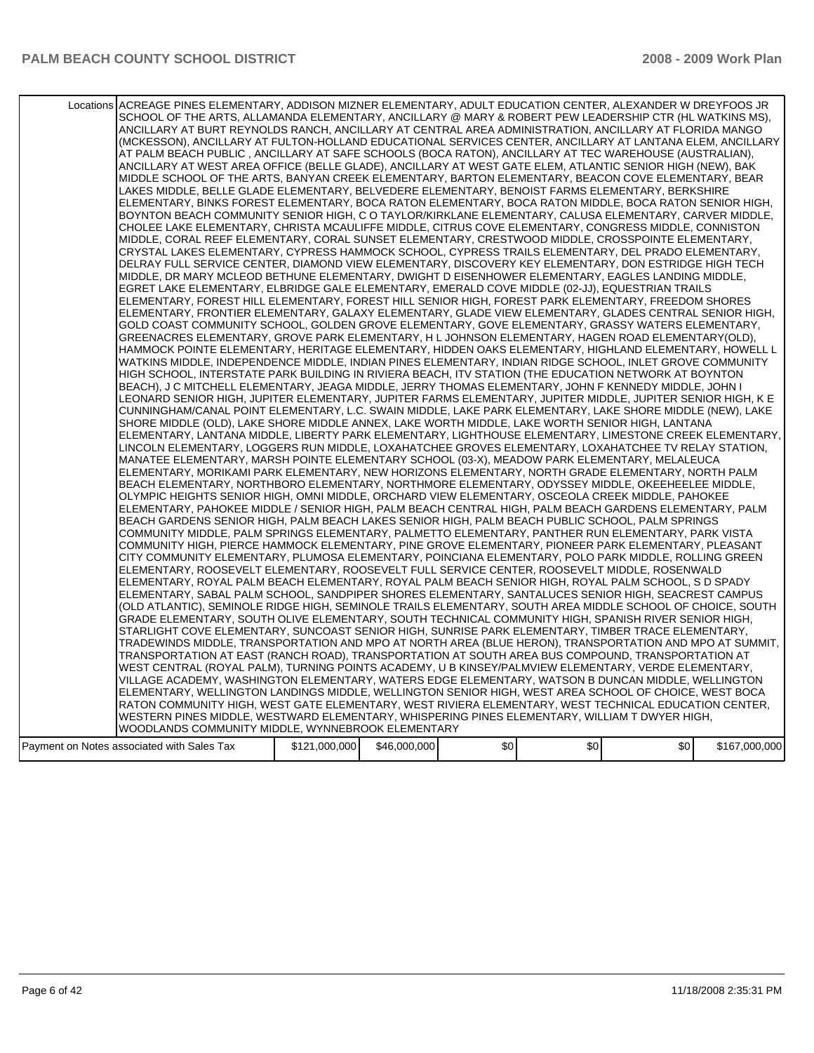| Locations ACREAGE PINES ELEMENTARY, ADDISON MIZNER ELEMENTARY, ADULT EDUCATION CENTER, ALEXANDER W DREYFOOS JR<br>SCHOOL OF THE ARTS, ALLAMANDA ELEMENTARY, ANCILLARY @ MARY & ROBERT PEW LEADERSHIP CTR (HL WATKINS MS),<br>ANCILLARY AT BURT REYNOLDS RANCH, ANCILLARY AT CENTRAL AREA ADMINISTRATION, ANCILLARY AT FLORIDA MANGO<br>(MCKESSON), ANCILLARY AT FULTON-HOLLAND EDUCATIONAL SERVICES CENTER, ANCILLARY AT LANTANA ELEM, ANCILLARY<br>AT PALM BEACH PUBLIC, ANCILLARY AT SAFE SCHOOLS (BOCA RATON), ANCILLARY AT TEC WAREHOUSE (AUSTRALIAN),<br>ANCILLARY AT WEST AREA OFFICE (BELLE GLADE), ANCILLARY AT WEST GATE ELEM, ATLANTIC SENIOR HIGH (NEW), BAK<br>MIDDLE SCHOOL OF THE ARTS, BANYAN CREEK ELEMENTARY, BARTON ELEMENTARY, BEACON COVE ELEMENTARY, BEAR<br>LAKES MIDDLE, BELLE GLADE ELEMENTARY, BELVEDERE ELEMENTARY, BENOIST FARMS ELEMENTARY, BERKSHIRE<br>ELEMENTARY, BINKS FOREST ELEMENTARY, BOCA RATON ELEMENTARY, BOCA RATON MIDDLE, BOCA RATON SENIOR HIGH,<br>BOYNTON BEACH COMMUNITY SENIOR HIGH, C O TAYLOR/KIRKLANE ELEMENTARY, CALUSA ELEMENTARY, CARVER MIDDLE,<br>CHOLEE LAKE ELEMENTARY, CHRISTA MCAULIFFE MIDDLE, CITRUS COVE ELEMENTARY, CONGRESS MIDDLE, CONNISTON<br>MIDDLE, CORAL REEF ELEMENTARY, CORAL SUNSET ELEMENTARY, CRESTWOOD MIDDLE, CROSSPOINTE ELEMENTARY,<br>CRYSTAL LAKES ELEMENTARY, CYPRESS HAMMOCK SCHOOL, CYPRESS TRAILS ELEMENTARY, DEL PRADO ELEMENTARY,<br>DELRAY FULL SERVICE CENTER, DIAMOND VIEW ELEMENTARY, DISCOVERY KEY ELEMENTARY, DON ESTRIDGE HIGH TECH<br>MIDDLE, DR MARY MCLEOD BETHUNE ELEMENTARY, DWIGHT D EISENHOWER ELEMENTARY, EAGLES LANDING MIDDLE,<br>EGRET LAKE ELEMENTARY, ELBRIDGE GALE ELEMENTARY, EMERALD COVE MIDDLE (02-JJ), EQUESTRIAN TRAILS<br>ELEMENTARY, FOREST HILL ELEMENTARY, FOREST HILL SENIOR HIGH, FOREST PARK ELEMENTARY, FREEDOM SHORES<br>ELEMENTARY, FRONTIER ELEMENTARY, GALAXY ELEMENTARY, GLADE VIEW ELEMENTARY, GLADES CENTRAL SENIOR HIGH,<br>GOLD COAST COMMUNITY SCHOOL, GOLDEN GROVE ELEMENTARY, GOVE ELEMENTARY, GRASSY WATERS ELEMENTARY,<br>GREENACRES ELEMENTARY, GROVE PARK ELEMENTARY, H L JOHNSON ELEMENTARY, HAGEN ROAD ELEMENTARY(OLD),<br>HAMMOCK POINTE ELEMENTARY, HERITAGE ELEMENTARY, HIDDEN OAKS ELEMENTARY, HIGHLAND ELEMENTARY, HOWELL L<br>WATKINS MIDDLE, INDEPENDENCE MIDDLE, INDIAN PINES ELEMENTARY, INDIAN RIDGE SCHOOL, INLET GROVE COMMUNITY<br>HIGH SCHOOL, INTERSTATE PARK BUILDING IN RIVIERA BEACH, ITV STATION (THE EDUCATION NETWORK AT BOYNTON)<br>BEACH), J C MITCHELL ELEMENTARY, JEAGA MIDDLE, JERRY THOMAS ELEMENTARY, JOHN F KENNEDY MIDDLE, JOHN I<br>LEONARD SENIOR HIGH, JUPITER ELEMENTARY, JUPITER FARMS ELEMENTARY, JUPITER MIDDLE, JUPITER SENIOR HIGH, K E<br>CUNNINGHAM/CANAL POINT ELEMENTARY, L.C. SWAIN MIDDLE, LAKE PARK ELEMENTARY, LAKE SHORE MIDDLE (NEW), LAKE<br>SHORE MIDDLE (OLD), LAKE SHORE MIDDLE ANNEX, LAKE WORTH MIDDLE, LAKE WORTH SENIOR HIGH, LANTANA<br>ELEMENTARY, LANTANA MIDDLE, LIBERTY PARK ELEMENTARY, LIGHTHOUSE ELEMENTARY, LIMESTONE CREEK ELEMENTARY,<br>LINCOLN ELEMENTARY, LOGGERS RUN MIDDLE, LOXAHATCHEE GROVES ELEMENTARY, LOXAHATCHEE TV RELAY STATION,<br>MANATEE ELEMENTARY, MARSH POINTE ELEMENTARY SCHOOL (03-X), MEADOW PARK ELEMENTARY, MELALEUCA<br>ELEMENTARY, MORIKAMI PARK ELEMENTARY, NEW HORIZONS ELEMENTARY, NORTH GRADE ELEMENTARY, NORTH PALM<br>BEACH ELEMENTARY, NORTHBORO ELEMENTARY, NORTHMORE ELEMENTARY, ODYSSEY MIDDLE, OKEEHEELEE MIDDLE,<br>OLYMPIC HEIGHTS SENIOR HIGH, OMNI MIDDLE, ORCHARD VIEW ELEMENTARY, OSCEOLA CREEK MIDDLE, PAHOKEE<br>ELEMENTARY, PAHOKEE MIDDLE / SENIOR HIGH, PALM BEACH CENTRAL HIGH, PALM BEACH GARDENS ELEMENTARY, PALM<br>BEACH GARDENS SENIOR HIGH, PALM BEACH LAKES SENIOR HIGH, PALM BEACH PUBLIC SCHOOL, PALM SPRINGS<br>COMMUNITY MIDDLE, PALM SPRINGS ELEMENTARY, PALMETTO ELEMENTARY, PANTHER RUN ELEMENTARY, PARK VISTA<br>COMMUNITY HIGH, PIERCE HAMMOCK ELEMENTARY, PINE GROVE ELEMENTARY, PIONEER PARK ELEMENTARY, PLEASANT<br>CITY COMMUNITY ELEMENTARY, PLUMOSA ELEMENTARY, POINCIANA ELEMENTARY, POLO PARK MIDDLE, ROLLING GREEN<br>ELEMENTARY, ROOSEVELT ELEMENTARY, ROOSEVELT FULL SERVICE CENTER, ROOSEVELT MIDDLE, ROSENWALD<br>ELEMENTARY, ROYAL PALM BEACH ELEMENTARY, ROYAL PALM BEACH SENIOR HIGH, ROYAL PALM SCHOOL, S D SPADY<br>ELEMENTARY, SABAL PALM SCHOOL, SANDPIPER SHORES ELEMENTARY, SANTALUCES SENIOR HIGH, SEACREST CAMPUS<br>(OLD ATLANTIC), SEMINOLE RIDGE HIGH, SEMINOLE TRAILS ELEMENTARY, SOUTH AREA MIDDLE SCHOOL OF CHOICE, SOUTH<br>GRADE ELEMENTARY, SOUTH OLIVE ELEMENTARY, SOUTH TECHNICAL COMMUNITY HIGH, SPANISH RIVER SENIOR HIGH,<br>STARLIGHT COVE ELEMENTARY, SUNCOAST SENIOR HIGH, SUNRISE PARK ELEMENTARY, TIMBER TRACE ELEMENTARY,<br>TRADEWINDS MIDDLE, TRANSPORTATION AND MPO AT NORTH AREA (BLUE HERON), TRANSPORTATION AND MPO AT SUMMIT,<br>TRANSPORTATION AT EAST (RANCH ROAD), TRANSPORTATION AT SOUTH AREA BUS COMPOUND, TRANSPORTATION AT<br>WEST CENTRAL (ROYAL PALM), TURNING POINTS ACADEMY, U B KINSEY/PALMVIEW ELEMENTARY, VERDE ELEMENTARY, |               |              |     |     |     |               |
|--------------------------------------------------------------------------------------------------------------------------------------------------------------------------------------------------------------------------------------------------------------------------------------------------------------------------------------------------------------------------------------------------------------------------------------------------------------------------------------------------------------------------------------------------------------------------------------------------------------------------------------------------------------------------------------------------------------------------------------------------------------------------------------------------------------------------------------------------------------------------------------------------------------------------------------------------------------------------------------------------------------------------------------------------------------------------------------------------------------------------------------------------------------------------------------------------------------------------------------------------------------------------------------------------------------------------------------------------------------------------------------------------------------------------------------------------------------------------------------------------------------------------------------------------------------------------------------------------------------------------------------------------------------------------------------------------------------------------------------------------------------------------------------------------------------------------------------------------------------------------------------------------------------------------------------------------------------------------------------------------------------------------------------------------------------------------------------------------------------------------------------------------------------------------------------------------------------------------------------------------------------------------------------------------------------------------------------------------------------------------------------------------------------------------------------------------------------------------------------------------------------------------------------------------------------------------------------------------------------------------------------------------------------------------------------------------------------------------------------------------------------------------------------------------------------------------------------------------------------------------------------------------------------------------------------------------------------------------------------------------------------------------------------------------------------------------------------------------------------------------------------------------------------------------------------------------------------------------------------------------------------------------------------------------------------------------------------------------------------------------------------------------------------------------------------------------------------------------------------------------------------------------------------------------------------------------------------------------------------------------------------------------------------------------------------------------------------------------------------------------------------------------------------------------------------------------------------------------------------------------------------------------------------------------------------------------------------------------------------------------------------------------------------------------------------------------------------------------------------------------------------------------------------------------------------------------------------------------------------------------------------------------------------------------------------------------------------------------------------------------------------------------------------------------------------------------------------------------------------------------------------------------------------------------------------------------------------------------------------------------------------------------------------------------------------------------------------------------------------------------------------------------------------------------------------------------------------------------------------------------------------------------------------------------------------------------------------------------------------------------------------------------------------------------------------------------------|---------------|--------------|-----|-----|-----|---------------|
|                                                                                                                                                                                                                                                                                                                                                                                                                                                                                                                                                                                                                                                                                                                                                                                                                                                                                                                                                                                                                                                                                                                                                                                                                                                                                                                                                                                                                                                                                                                                                                                                                                                                                                                                                                                                                                                                                                                                                                                                                                                                                                                                                                                                                                                                                                                                                                                                                                                                                                                                                                                                                                                                                                                                                                                                                                                                                                                                                                                                                                                                                                                                                                                                                                                                                                                                                                                                                                                                                                                                                                                                                                                                                                                                                                                                                                                                                                                                                                                                                                                                                                                                                                                                                                                                                                                                                                                                                                                                                                                                                                                                                                                                                                                                                                                                                                                                                                                                                                                                                                                                                |               |              |     |     |     |               |
|                                                                                                                                                                                                                                                                                                                                                                                                                                                                                                                                                                                                                                                                                                                                                                                                                                                                                                                                                                                                                                                                                                                                                                                                                                                                                                                                                                                                                                                                                                                                                                                                                                                                                                                                                                                                                                                                                                                                                                                                                                                                                                                                                                                                                                                                                                                                                                                                                                                                                                                                                                                                                                                                                                                                                                                                                                                                                                                                                                                                                                                                                                                                                                                                                                                                                                                                                                                                                                                                                                                                                                                                                                                                                                                                                                                                                                                                                                                                                                                                                                                                                                                                                                                                                                                                                                                                                                                                                                                                                                                                                                                                                                                                                                                                                                                                                                                                                                                                                                                                                                                                                |               |              |     |     |     |               |
|                                                                                                                                                                                                                                                                                                                                                                                                                                                                                                                                                                                                                                                                                                                                                                                                                                                                                                                                                                                                                                                                                                                                                                                                                                                                                                                                                                                                                                                                                                                                                                                                                                                                                                                                                                                                                                                                                                                                                                                                                                                                                                                                                                                                                                                                                                                                                                                                                                                                                                                                                                                                                                                                                                                                                                                                                                                                                                                                                                                                                                                                                                                                                                                                                                                                                                                                                                                                                                                                                                                                                                                                                                                                                                                                                                                                                                                                                                                                                                                                                                                                                                                                                                                                                                                                                                                                                                                                                                                                                                                                                                                                                                                                                                                                                                                                                                                                                                                                                                                                                                                                                |               |              |     |     |     |               |
| VILLAGE ACADEMY, WASHINGTON ELEMENTARY, WATERS EDGE ELEMENTARY, WATSON B DUNCAN MIDDLE, WELLINGTON<br>ELEMENTARY, WELLINGTON LANDINGS MIDDLE, WELLINGTON SENIOR HIGH, WEST AREA SCHOOL OF CHOICE, WEST BOCA                                                                                                                                                                                                                                                                                                                                                                                                                                                                                                                                                                                                                                                                                                                                                                                                                                                                                                                                                                                                                                                                                                                                                                                                                                                                                                                                                                                                                                                                                                                                                                                                                                                                                                                                                                                                                                                                                                                                                                                                                                                                                                                                                                                                                                                                                                                                                                                                                                                                                                                                                                                                                                                                                                                                                                                                                                                                                                                                                                                                                                                                                                                                                                                                                                                                                                                                                                                                                                                                                                                                                                                                                                                                                                                                                                                                                                                                                                                                                                                                                                                                                                                                                                                                                                                                                                                                                                                                                                                                                                                                                                                                                                                                                                                                                                                                                                                                    |               |              |     |     |     |               |
| RATON COMMUNITY HIGH, WEST GATE ELEMENTARY, WEST RIVIERA ELEMENTARY, WEST TECHNICAL EDUCATION CENTER,<br>WESTERN PINES MIDDLE, WESTWARD ELEMENTARY, WHISPERING PINES ELEMENTARY, WILLIAM T DWYER HIGH,                                                                                                                                                                                                                                                                                                                                                                                                                                                                                                                                                                                                                                                                                                                                                                                                                                                                                                                                                                                                                                                                                                                                                                                                                                                                                                                                                                                                                                                                                                                                                                                                                                                                                                                                                                                                                                                                                                                                                                                                                                                                                                                                                                                                                                                                                                                                                                                                                                                                                                                                                                                                                                                                                                                                                                                                                                                                                                                                                                                                                                                                                                                                                                                                                                                                                                                                                                                                                                                                                                                                                                                                                                                                                                                                                                                                                                                                                                                                                                                                                                                                                                                                                                                                                                                                                                                                                                                                                                                                                                                                                                                                                                                                                                                                                                                                                                                                         |               |              |     |     |     |               |
| WOODLANDS COMMUNITY MIDDLE, WYNNEBROOK ELEMENTARY                                                                                                                                                                                                                                                                                                                                                                                                                                                                                                                                                                                                                                                                                                                                                                                                                                                                                                                                                                                                                                                                                                                                                                                                                                                                                                                                                                                                                                                                                                                                                                                                                                                                                                                                                                                                                                                                                                                                                                                                                                                                                                                                                                                                                                                                                                                                                                                                                                                                                                                                                                                                                                                                                                                                                                                                                                                                                                                                                                                                                                                                                                                                                                                                                                                                                                                                                                                                                                                                                                                                                                                                                                                                                                                                                                                                                                                                                                                                                                                                                                                                                                                                                                                                                                                                                                                                                                                                                                                                                                                                                                                                                                                                                                                                                                                                                                                                                                                                                                                                                              |               |              |     |     |     |               |
| Payment on Notes associated with Sales Tax                                                                                                                                                                                                                                                                                                                                                                                                                                                                                                                                                                                                                                                                                                                                                                                                                                                                                                                                                                                                                                                                                                                                                                                                                                                                                                                                                                                                                                                                                                                                                                                                                                                                                                                                                                                                                                                                                                                                                                                                                                                                                                                                                                                                                                                                                                                                                                                                                                                                                                                                                                                                                                                                                                                                                                                                                                                                                                                                                                                                                                                                                                                                                                                                                                                                                                                                                                                                                                                                                                                                                                                                                                                                                                                                                                                                                                                                                                                                                                                                                                                                                                                                                                                                                                                                                                                                                                                                                                                                                                                                                                                                                                                                                                                                                                                                                                                                                                                                                                                                                                     | \$121,000,000 | \$46,000,000 | \$0 | \$0 | \$0 | \$167,000,000 |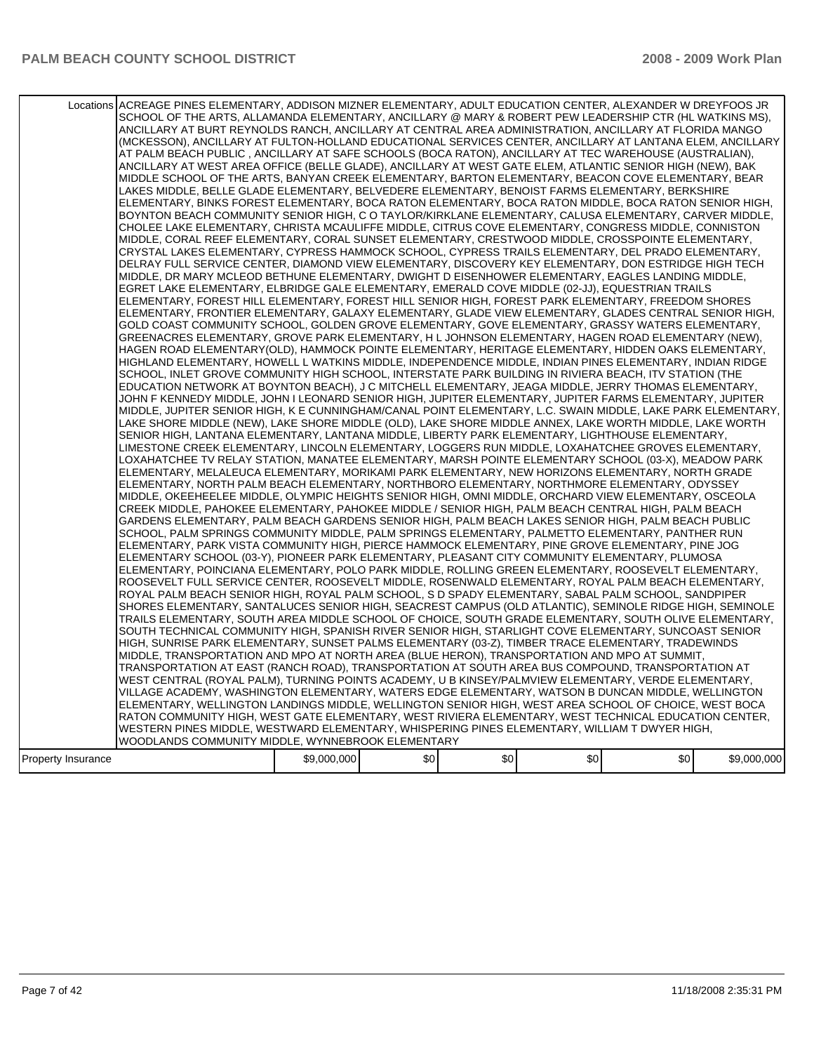|                    | Locations ACREAGE PINES ELEMENTARY, ADDISON MIZNER ELEMENTARY, ADULT EDUCATION CENTER, ALEXANDER W DREYFOOS JR<br>SCHOOL OF THE ARTS, ALLAMANDA ELEMENTARY, ANCILLARY @ MARY & ROBERT PEW LEADERSHIP CTR (HL WATKINS MS),<br>ANCILLARY AT BURT REYNOLDS RANCH, ANCILLARY AT CENTRAL AREA ADMINISTRATION, ANCILLARY AT FLORIDA MANGO<br>(MCKESSON), ANCILLARY AT FULTON-HOLLAND EDUCATIONAL SERVICES CENTER, ANCILLARY AT LANTANA ELEM, ANCILLARY<br>AT PALM BEACH PUBLIC . ANCILLARY AT SAFE SCHOOLS (BOCA RATON). ANCILLARY AT TEC WAREHOUSE (AUSTRALIAN).<br>ANCILLARY AT WEST AREA OFFICE (BELLE GLADE), ANCILLARY AT WEST GATE ELEM, ATLANTIC SENIOR HIGH (NEW), BAK<br>MIDDLE SCHOOL OF THE ARTS, BANYAN CREEK ELEMENTARY, BARTON ELEMENTARY, BEACON COVE ELEMENTARY, BEAR<br>LAKES MIDDLE, BELLE GLADE ELEMENTARY, BELVEDERE ELEMENTARY, BENOIST FARMS ELEMENTARY, BERKSHIRE<br>ELEMENTARY, BINKS FOREST ELEMENTARY, BOCA RATON ELEMENTARY, BOCA RATON MIDDLE, BOCA RATON SENIOR HIGH,<br>BOYNTON BEACH COMMUNITY SENIOR HIGH, C O TAYLOR/KIRKLANE ELEMENTARY, CALUSA ELEMENTARY, CARVER MIDDLE,<br>CHOLEE LAKE ELEMENTARY, CHRISTA MCAULIFFE MIDDLE, CITRUS COVE ELEMENTARY, CONGRESS MIDDLE, CONNISTON<br>MIDDLE, CORAL REEF ELEMENTARY, CORAL SUNSET ELEMENTARY, CRESTWOOD MIDDLE, CROSSPOINTE ELEMENTARY,<br>CRYSTAL LAKES ELEMENTARY, CYPRESS HAMMOCK SCHOOL, CYPRESS TRAILS ELEMENTARY, DEL PRADO ELEMENTARY,<br>DELRAY FULL SERVICE CENTER, DIAMOND VIEW ELEMENTARY, DISCOVERY KEY ELEMENTARY, DON ESTRIDGE HIGH TECH<br>MIDDLE, DR MARY MCLEOD BETHUNE ELEMENTARY, DWIGHT D EISENHOWER ELEMENTARY, EAGLES LANDING MIDDLE,<br>EGRET LAKE ELEMENTARY, ELBRIDGE GALE ELEMENTARY, EMERALD COVE MIDDLE (02-JJ), EQUESTRIAN TRAILS<br>ELEMENTARY, FOREST HILL ELEMENTARY, FOREST HILL SENIOR HIGH, FOREST PARK ELEMENTARY, FREEDOM SHORES<br>ELEMENTARY, FRONTIER ELEMENTARY, GALAXY ELEMENTARY, GLADE VIEW ELEMENTARY, GLADES CENTRAL SENIOR HIGH,<br>GOLD COAST COMMUNITY SCHOOL, GOLDEN GROVE ELEMENTARY, GOVE ELEMENTARY, GRASSY WATERS ELEMENTARY,<br>GREENACRES ELEMENTARY, GROVE PARK ELEMENTARY, H L JOHNSON ELEMENTARY, HAGEN ROAD ELEMENTARY (NEW),<br>HAGEN ROAD ELEMENTARY(OLD), HAMMOCK POINTE ELEMENTARY, HERITAGE ELEMENTARY, HIDDEN OAKS ELEMENTARY,<br>HIGHLAND ELEMENTARY, HOWELL L WATKINS MIDDLE, INDEPENDENCE MIDDLE, INDIAN PINES ELEMENTARY, INDIAN RIDGE<br>SCHOOL, INLET GROVE COMMUNITY HIGH SCHOOL, INTERSTATE PARK BUILDING IN RIVIERA BEACH, ITV STATION (THE<br>EDUCATION NETWORK AT BOYNTON BEACH), J C MITCHELL ELEMENTARY, JEAGA MIDDLE, JERRY THOMAS ELEMENTARY,<br>JOHN F KENNEDY MIDDLE, JOHN I LEONARD SENIOR HIGH, JUPITER ELEMENTARY, JUPITER FARMS ELEMENTARY, JUPITER<br>MIDDLE, JUPITER SENIOR HIGH, K E CUNNINGHAM/CANAL POINT ELEMENTARY, L.C. SWAIN MIDDLE, LAKE PARK ELEMENTARY,<br>LAKE SHORE MIDDLE (NEW), LAKE SHORE MIDDLE (OLD), LAKE SHORE MIDDLE ANNEX, LAKE WORTH MIDDLE, LAKE WORTH<br>SENIOR HIGH, LANTANA ELEMENTARY, LANTANA MIDDLE, LIBERTY PARK ELEMENTARY, LIGHTHOUSE ELEMENTARY,<br>LIMESTONE CREEK ELEMENTARY, LINCOLN ELEMENTARY, LOGGERS RUN MIDDLE, LOXAHATCHEE GROVES ELEMENTARY,<br>LOXAHATCHEE TV RELAY STATION, MANATEE ELEMENTARY, MARSH POINTE ELEMENTARY SCHOOL (03-X), MEADOW PARK<br>ELEMENTARY, MELALEUCA ELEMENTARY, MORIKAMI PARK ELEMENTARY, NEW HORIZONS ELEMENTARY, NORTH GRADE<br>ELEMENTARY, NORTH PALM BEACH ELEMENTARY, NORTHBORO ELEMENTARY, NORTHMORE ELEMENTARY, ODYSSEY<br>MIDDLE, OKEEHEELEE MIDDLE, OLYMPIC HEIGHTS SENIOR HIGH, OMNI MIDDLE, ORCHARD VIEW ELEMENTARY, OSCEOLA<br>CREEK MIDDLE, PAHOKEE ELEMENTARY, PAHOKEE MIDDLE / SENIOR HIGH, PALM BEACH CENTRAL HIGH, PALM BEACH<br>GARDENS ELEMENTARY, PALM BEACH GARDENS SENIOR HIGH, PALM BEACH LAKES SENIOR HIGH, PALM BEACH PUBLIC<br>SCHOOL, PALM SPRINGS COMMUNITY MIDDLE, PALM SPRINGS ELEMENTARY, PALMETTO ELEMENTARY, PANTHER RUN<br>ELEMENTARY, PARK VISTA COMMUNITY HIGH, PIERCE HAMMOCK ELEMENTARY, PINE GROVE ELEMENTARY, PINE JOG<br>ELEMENTARY SCHOOL (03-Y), PIONEER PARK ELEMENTARY, PLEASANT CITY COMMUNITY ELEMENTARY, PLUMOSA<br>ELEMENTARY, POINCIANA ELEMENTARY, POLO PARK MIDDLE, ROLLING GREEN ELEMENTARY, ROOSEVELT ELEMENTARY,<br>ROOSEVELT FULL SERVICE CENTER, ROOSEVELT MIDDLE, ROSENWALD ELEMENTARY, ROYAL PALM BEACH ELEMENTARY,<br>ROYAL PALM BEACH SENIOR HIGH, ROYAL PALM SCHOOL, S D SPADY ELEMENTARY, SABAL PALM SCHOOL, SANDPIPER<br>SHORES ELEMENTARY, SANTALUCES SENIOR HIGH, SEACREST CAMPUS (OLD ATLANTIC), SEMINOLE RIDGE HIGH, SEMINOLE<br>TRAILS ELEMENTARY, SOUTH AREA MIDDLE SCHOOL OF CHOICE, SOUTH GRADE ELEMENTARY, SOUTH OLIVE ELEMENTARY,<br>SOUTH TECHNICAL COMMUNITY HIGH, SPANISH RIVER SENIOR HIGH, STARLIGHT COVE ELEMENTARY, SUNCOAST SENIOR<br>HIGH, SUNRISE PARK ELEMENTARY, SUNSET PALMS ELEMENTARY (03-Z), TIMBER TRACE ELEMENTARY, TRADEWINDS<br>MIDDLE, TRANSPORTATION AND MPO AT NORTH AREA (BLUE HERON), TRANSPORTATION AND MPO AT SUMMIT,<br>TRANSPORTATION AT EAST (RANCH ROAD), TRANSPORTATION AT SOUTH AREA BUS COMPOUND, TRANSPORTATION AT<br>WEST CENTRAL (ROYAL PALM), TURNING POINTS ACADEMY, U B KINSEY/PALMVIEW ELEMENTARY, VERDE ELEMENTARY,<br>VILLAGE ACADEMY, WASHINGTON ELEMENTARY, WATERS EDGE ELEMENTARY, WATSON B DUNCAN MIDDLE, WELLINGTON<br>ELEMENTARY, WELLINGTON LANDINGS MIDDLE, WELLINGTON SENIOR HIGH, WEST AREA SCHOOL OF CHOICE, WEST BOCA<br>RATON COMMUNITY HIGH, WEST GATE ELEMENTARY, WEST RIVIERA ELEMENTARY, WEST TECHNICAL EDUCATION CENTER, |             |     |     |     |     |             |
|--------------------|-----------------------------------------------------------------------------------------------------------------------------------------------------------------------------------------------------------------------------------------------------------------------------------------------------------------------------------------------------------------------------------------------------------------------------------------------------------------------------------------------------------------------------------------------------------------------------------------------------------------------------------------------------------------------------------------------------------------------------------------------------------------------------------------------------------------------------------------------------------------------------------------------------------------------------------------------------------------------------------------------------------------------------------------------------------------------------------------------------------------------------------------------------------------------------------------------------------------------------------------------------------------------------------------------------------------------------------------------------------------------------------------------------------------------------------------------------------------------------------------------------------------------------------------------------------------------------------------------------------------------------------------------------------------------------------------------------------------------------------------------------------------------------------------------------------------------------------------------------------------------------------------------------------------------------------------------------------------------------------------------------------------------------------------------------------------------------------------------------------------------------------------------------------------------------------------------------------------------------------------------------------------------------------------------------------------------------------------------------------------------------------------------------------------------------------------------------------------------------------------------------------------------------------------------------------------------------------------------------------------------------------------------------------------------------------------------------------------------------------------------------------------------------------------------------------------------------------------------------------------------------------------------------------------------------------------------------------------------------------------------------------------------------------------------------------------------------------------------------------------------------------------------------------------------------------------------------------------------------------------------------------------------------------------------------------------------------------------------------------------------------------------------------------------------------------------------------------------------------------------------------------------------------------------------------------------------------------------------------------------------------------------------------------------------------------------------------------------------------------------------------------------------------------------------------------------------------------------------------------------------------------------------------------------------------------------------------------------------------------------------------------------------------------------------------------------------------------------------------------------------------------------------------------------------------------------------------------------------------------------------------------------------------------------------------------------------------------------------------------------------------------------------------------------------------------------------------------------------------------------------------------------------------------------------------------------------------------------------------------------------------------------------------------------------------------------------------------------------------------------------------------------------------------------------------------------------------------------------------------------------------------------------------------------------------------------------------------------------------------------------------------------------------------------------------------------------------------------------------------------------------------------------------------------------------------------------------------------------------------------------------------------------------------------------------------------------------------------------------------------------------------------------------------------------------------------------------------------------------------------------------------|-------------|-----|-----|-----|-----|-------------|
|                    | WESTERN PINES MIDDLE, WESTWARD ELEMENTARY, WHISPERING PINES ELEMENTARY, WILLIAM T DWYER HIGH,                                                                                                                                                                                                                                                                                                                                                                                                                                                                                                                                                                                                                                                                                                                                                                                                                                                                                                                                                                                                                                                                                                                                                                                                                                                                                                                                                                                                                                                                                                                                                                                                                                                                                                                                                                                                                                                                                                                                                                                                                                                                                                                                                                                                                                                                                                                                                                                                                                                                                                                                                                                                                                                                                                                                                                                                                                                                                                                                                                                                                                                                                                                                                                                                                                                                                                                                                                                                                                                                                                                                                                                                                                                                                                                                                                                                                                                                                                                                                                                                                                                                                                                                                                                                                                                                                                                                                                                                                                                                                                                                                                                                                                                                                                                                                                                                                                                                                                                                                                                                                                                                                                                                                                                                                                                                                                                                                                                                             |             |     |     |     |     |             |
|                    | WOODLANDS COMMUNITY MIDDLE, WYNNEBROOK ELEMENTARY                                                                                                                                                                                                                                                                                                                                                                                                                                                                                                                                                                                                                                                                                                                                                                                                                                                                                                                                                                                                                                                                                                                                                                                                                                                                                                                                                                                                                                                                                                                                                                                                                                                                                                                                                                                                                                                                                                                                                                                                                                                                                                                                                                                                                                                                                                                                                                                                                                                                                                                                                                                                                                                                                                                                                                                                                                                                                                                                                                                                                                                                                                                                                                                                                                                                                                                                                                                                                                                                                                                                                                                                                                                                                                                                                                                                                                                                                                                                                                                                                                                                                                                                                                                                                                                                                                                                                                                                                                                                                                                                                                                                                                                                                                                                                                                                                                                                                                                                                                                                                                                                                                                                                                                                                                                                                                                                                                                                                                                         |             |     |     |     |     |             |
| Property Insurance |                                                                                                                                                                                                                                                                                                                                                                                                                                                                                                                                                                                                                                                                                                                                                                                                                                                                                                                                                                                                                                                                                                                                                                                                                                                                                                                                                                                                                                                                                                                                                                                                                                                                                                                                                                                                                                                                                                                                                                                                                                                                                                                                                                                                                                                                                                                                                                                                                                                                                                                                                                                                                                                                                                                                                                                                                                                                                                                                                                                                                                                                                                                                                                                                                                                                                                                                                                                                                                                                                                                                                                                                                                                                                                                                                                                                                                                                                                                                                                                                                                                                                                                                                                                                                                                                                                                                                                                                                                                                                                                                                                                                                                                                                                                                                                                                                                                                                                                                                                                                                                                                                                                                                                                                                                                                                                                                                                                                                                                                                                           | \$9,000,000 | \$0 | \$0 | \$0 | \$0 | \$9,000,000 |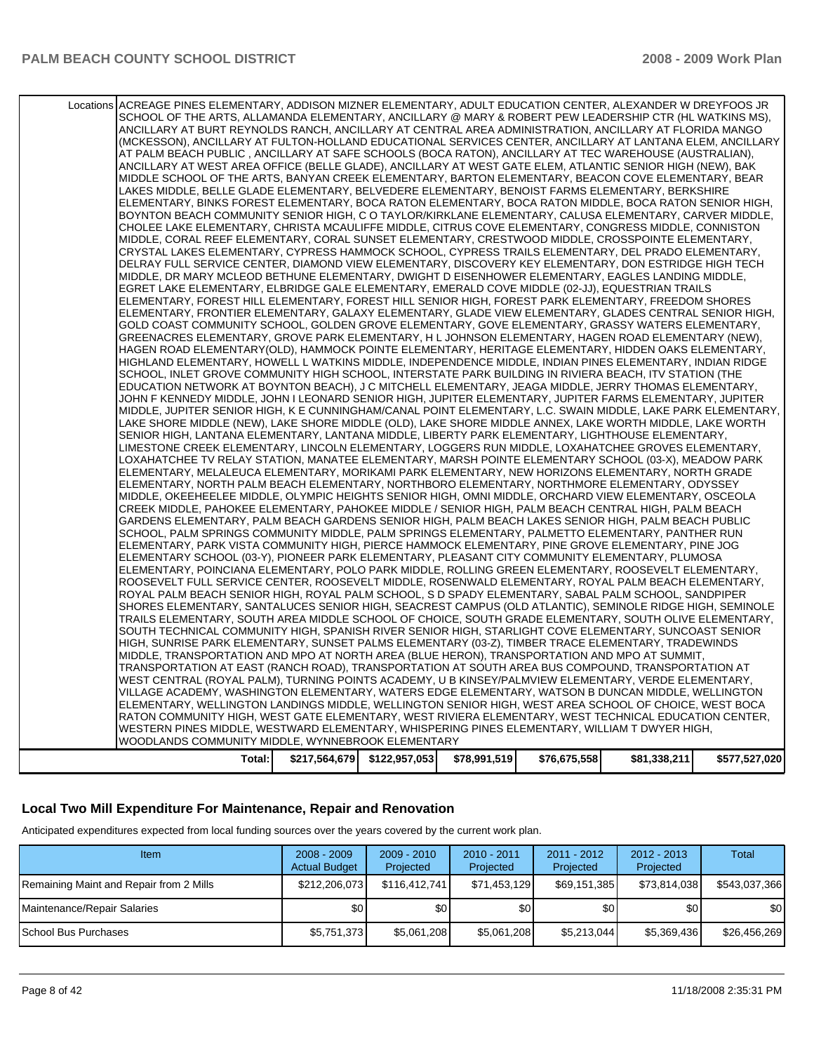| Locations | ACREAGE PINES ELEMENTARY, ADDISON MIZNER ELEMENTARY, ADULT EDUCATION CENTER, ALEXANDER W DREYFOOS JR                                                                                                               |               |               |              |              |              |               |
|-----------|--------------------------------------------------------------------------------------------------------------------------------------------------------------------------------------------------------------------|---------------|---------------|--------------|--------------|--------------|---------------|
|           | SCHOOL OF THE ARTS, ALLAMANDA ELEMENTARY, ANCILLARY @ MARY & ROBERT PEW LEADERSHIP CTR (HL WATKINS MS),                                                                                                            |               |               |              |              |              |               |
|           | ANCILLARY AT BURT REYNOLDS RANCH, ANCILLARY AT CENTRAL AREA ADMINISTRATION, ANCILLARY AT FLORIDA MANGO                                                                                                             |               |               |              |              |              |               |
|           | (MCKESSON), ANCILLARY AT FULTON-HOLLAND EDUCATIONAL SERVICES CENTER, ANCILLARY AT LANTANA ELEM, ANCILLARY                                                                                                          |               |               |              |              |              |               |
|           | AT PALM BEACH PUBLIC, ANCILLARY AT SAFE SCHOOLS (BOCA RATON), ANCILLARY AT TEC WAREHOUSE (AUSTRALIAN),                                                                                                             |               |               |              |              |              |               |
|           | ANCILLARY AT WEST AREA OFFICE (BELLE GLADE), ANCILLARY AT WEST GATE ELEM, ATLANTIC SENIOR HIGH (NEW), BAK                                                                                                          |               |               |              |              |              |               |
|           | MIDDLE SCHOOL OF THE ARTS, BANYAN CREEK ELEMENTARY, BARTON ELEMENTARY, BEACON COVE ELEMENTARY, BEAR                                                                                                                |               |               |              |              |              |               |
|           | LAKES MIDDLE, BELLE GLADE ELEMENTARY, BELVEDERE ELEMENTARY, BENOIST FARMS ELEMENTARY, BERKSHIRE                                                                                                                    |               |               |              |              |              |               |
|           | ELEMENTARY, BINKS FOREST ELEMENTARY, BOCA RATON ELEMENTARY, BOCA RATON MIDDLE, BOCA RATON SENIOR HIGH,                                                                                                             |               |               |              |              |              |               |
|           | BOYNTON BEACH COMMUNITY SENIOR HIGH, C O TAYLOR/KIRKLANE ELEMENTARY, CALUSA ELEMENTARY, CARVER MIDDLE,                                                                                                             |               |               |              |              |              |               |
|           | CHOLEE LAKE ELEMENTARY, CHRISTA MCAULIFFE MIDDLE, CITRUS COVE ELEMENTARY, CONGRESS MIDDLE, CONNISTON                                                                                                               |               |               |              |              |              |               |
|           | MIDDLE, CORAL REEF ELEMENTARY, CORAL SUNSET ELEMENTARY, CRESTWOOD MIDDLE, CROSSPOINTE ELEMENTARY,                                                                                                                  |               |               |              |              |              |               |
|           | CRYSTAL LAKES ELEMENTARY, CYPRESS HAMMOCK SCHOOL, CYPRESS TRAILS ELEMENTARY, DEL PRADO ELEMENTARY,                                                                                                                 |               |               |              |              |              |               |
|           | DELRAY FULL SERVICE CENTER, DIAMOND VIEW ELEMENTARY, DISCOVERY KEY ELEMENTARY, DON ESTRIDGE HIGH TECH                                                                                                              |               |               |              |              |              |               |
|           | MIDDLE, DR MARY MCLEOD BETHUNE ELEMENTARY, DWIGHT D EISENHOWER ELEMENTARY, EAGLES LANDING MIDDLE,                                                                                                                  |               |               |              |              |              |               |
|           | EGRET LAKE ELEMENTARY, ELBRIDGE GALE ELEMENTARY, EMERALD COVE MIDDLE (02-JJ), EQUESTRIAN TRAILS                                                                                                                    |               |               |              |              |              |               |
|           | ELEMENTARY, FOREST HILL ELEMENTARY, FOREST HILL SENIOR HIGH, FOREST PARK ELEMENTARY, FREEDOM SHORES                                                                                                                |               |               |              |              |              |               |
|           | ELEMENTARY, FRONTIER ELEMENTARY, GALAXY ELEMENTARY, GLADE VIEW ELEMENTARY, GLADES CENTRAL SENIOR HIGH.                                                                                                             |               |               |              |              |              |               |
|           | GOLD COAST COMMUNITY SCHOOL, GOLDEN GROVE ELEMENTARY, GOVE ELEMENTARY, GRASSY WATERS ELEMENTARY,                                                                                                                   |               |               |              |              |              |               |
|           | GREENACRES ELEMENTARY, GROVE PARK ELEMENTARY, H L JOHNSON ELEMENTARY, HAGEN ROAD ELEMENTARY (NEW),                                                                                                                 |               |               |              |              |              |               |
|           | HAGEN ROAD ELEMENTARY(OLD), HAMMOCK POINTE ELEMENTARY, HERITAGE ELEMENTARY, HIDDEN OAKS ELEMENTARY,                                                                                                                |               |               |              |              |              |               |
|           | HIGHLAND ELEMENTARY, HOWELL L WATKINS MIDDLE, INDEPENDENCE MIDDLE, INDIAN PINES ELEMENTARY, INDIAN RIDGE                                                                                                           |               |               |              |              |              |               |
|           | SCHOOL, INLET GROVE COMMUNITY HIGH SCHOOL, INTERSTATE PARK BUILDING IN RIVIERA BEACH, ITV STATION (THE                                                                                                             |               |               |              |              |              |               |
|           | EDUCATION NETWORK AT BOYNTON BEACH), J C MITCHELL ELEMENTARY, JEAGA MIDDLE, JERRY THOMAS ELEMENTARY,<br>JOHN F KENNEDY MIDDLE, JOHN I LEONARD SENIOR HIGH, JUPITER ELEMENTARY, JUPITER FARMS ELEMENTARY, JUPITER   |               |               |              |              |              |               |
|           | MIDDLE, JUPITER SENIOR HIGH, K E CUNNINGHAM/CANAL POINT ELEMENTARY, L.C. SWAIN MIDDLE, LAKE PARK ELEMENTARY,                                                                                                       |               |               |              |              |              |               |
|           | LAKE SHORE MIDDLE (NEW), LAKE SHORE MIDDLE (OLD), LAKE SHORE MIDDLE ANNEX, LAKE WORTH MIDDLE, LAKE WORTH                                                                                                           |               |               |              |              |              |               |
|           | SENIOR HIGH, LANTANA ELEMENTARY, LANTANA MIDDLE, LIBERTY PARK ELEMENTARY, LIGHTHOUSE ELEMENTARY,                                                                                                                   |               |               |              |              |              |               |
|           | LIMESTONE CREEK ELEMENTARY, LINCOLN ELEMENTARY, LOGGERS RUN MIDDLE, LOXAHATCHEE GROVES ELEMENTARY,                                                                                                                 |               |               |              |              |              |               |
|           | LOXAHATCHEE TV RELAY STATION, MANATEE ELEMENTARY, MARSH POINTE ELEMENTARY SCHOOL (03-X), MEADOW PARK                                                                                                               |               |               |              |              |              |               |
|           | ELEMENTARY, MELALEUCA ELEMENTARY, MORIKAMI PARK ELEMENTARY, NEW HORIZONS ELEMENTARY, NORTH GRADE                                                                                                                   |               |               |              |              |              |               |
|           | ELEMENTARY, NORTH PALM BEACH ELEMENTARY, NORTHBORO ELEMENTARY, NORTHMORE ELEMENTARY, ODYSSEY                                                                                                                       |               |               |              |              |              |               |
|           | MIDDLE, OKEEHEELEE MIDDLE, OLYMPIC HEIGHTS SENIOR HIGH, OMNI MIDDLE, ORCHARD VIEW ELEMENTARY, OSCEOLA                                                                                                              |               |               |              |              |              |               |
|           | CREEK MIDDLE, PAHOKEE ELEMENTARY, PAHOKEE MIDDLE / SENIOR HIGH, PALM BEACH CENTRAL HIGH, PALM BEACH                                                                                                                |               |               |              |              |              |               |
|           | GARDENS ELEMENTARY, PALM BEACH GARDENS SENIOR HIGH, PALM BEACH LAKES SENIOR HIGH, PALM BEACH PUBLIC                                                                                                                |               |               |              |              |              |               |
|           | SCHOOL, PALM SPRINGS COMMUNITY MIDDLE, PALM SPRINGS ELEMENTARY, PALMETTO ELEMENTARY, PANTHER RUN                                                                                                                   |               |               |              |              |              |               |
|           | ELEMENTARY, PARK VISTA COMMUNITY HIGH, PIERCE HAMMOCK ELEMENTARY, PINE GROVE ELEMENTARY, PINE JOG                                                                                                                  |               |               |              |              |              |               |
|           | ELEMENTARY SCHOOL (03-Y), PIONEER PARK ELEMENTARY, PLEASANT CITY COMMUNITY ELEMENTARY, PLUMOSA                                                                                                                     |               |               |              |              |              |               |
|           | ELEMENTARY, POINCIANA ELEMENTARY, POLO PARK MIDDLE, ROLLING GREEN ELEMENTARY, ROOSEVELT ELEMENTARY,                                                                                                                |               |               |              |              |              |               |
|           | ROOSEVELT FULL SERVICE CENTER, ROOSEVELT MIDDLE, ROSENWALD ELEMENTARY, ROYAL PALM BEACH ELEMENTARY,                                                                                                                |               |               |              |              |              |               |
|           | ROYAL PALM BEACH SENIOR HIGH, ROYAL PALM SCHOOL, S D SPADY ELEMENTARY, SABAL PALM SCHOOL, SANDPIPER                                                                                                                |               |               |              |              |              |               |
|           | SHORES ELEMENTARY, SANTALUCES SENIOR HIGH, SEACREST CAMPUS (OLD ATLANTIC), SEMINOLE RIDGE HIGH, SEMINOLE<br>TRAILS ELEMENTARY, SOUTH AREA MIDDLE SCHOOL OF CHOICE, SOUTH GRADE ELEMENTARY, SOUTH OLIVE ELEMENTARY, |               |               |              |              |              |               |
|           | SOUTH TECHNICAL COMMUNITY HIGH. SPANISH RIVER SENIOR HIGH. STARLIGHT COVE ELEMENTARY, SUNCOAST SENIOR                                                                                                              |               |               |              |              |              |               |
|           | HIGH, SUNRISE PARK ELEMENTARY, SUNSET PALMS ELEMENTARY (03-Z), TIMBER TRACE ELEMENTARY, TRADEWINDS                                                                                                                 |               |               |              |              |              |               |
|           | MIDDLE. TRANSPORTATION AND MPO AT NORTH AREA (BLUE HERON). TRANSPORTATION AND MPO AT SUMMIT.                                                                                                                       |               |               |              |              |              |               |
|           | TRANSPORTATION AT EAST (RANCH ROAD), TRANSPORTATION AT SOUTH AREA BUS COMPOUND, TRANSPORTATION AT                                                                                                                  |               |               |              |              |              |               |
|           | WEST CENTRAL (ROYAL PALM), TURNING POINTS ACADEMY, U B KINSEY/PALMVIEW ELEMENTARY, VERDE ELEMENTARY,                                                                                                               |               |               |              |              |              |               |
|           | VILLAGE ACADEMY, WASHINGTON ELEMENTARY, WATERS EDGE ELEMENTARY, WATSON B DUNCAN MIDDLE, WELLINGTON                                                                                                                 |               |               |              |              |              |               |
|           | ELEMENTARY, WELLINGTON LANDINGS MIDDLE, WELLINGTON SENIOR HIGH, WEST AREA SCHOOL OF CHOICE, WEST BOCA                                                                                                              |               |               |              |              |              |               |
|           | RATON COMMUNITY HIGH, WEST GATE ELEMENTARY, WEST RIVIERA ELEMENTARY, WEST TECHNICAL EDUCATION CENTER,                                                                                                              |               |               |              |              |              |               |
|           | WESTERN PINES MIDDLE, WESTWARD ELEMENTARY, WHISPERING PINES ELEMENTARY, WILLIAM T DWYER HIGH,                                                                                                                      |               |               |              |              |              |               |
|           | WOODLANDS COMMUNITY MIDDLE, WYNNEBROOK ELEMENTARY                                                                                                                                                                  |               |               |              |              |              |               |
|           | Total:                                                                                                                                                                                                             | \$217,564,679 | \$122,957,053 | \$78,991,519 | \$76,675,558 | \$81,338,211 | \$577,527,020 |
|           |                                                                                                                                                                                                                    |               |               |              |              |              |               |

## **Local Two Mill Expenditure For Maintenance, Repair and Renovation**

Anticipated expenditures expected from local funding sources over the years covered by the current work plan.

| Item                                    | $2008 - 2009$<br><b>Actual Budget</b> | $2009 - 2010$<br>Projected | $2010 - 2011$<br>Projected | $2011 - 2012$<br>Projected | $2012 - 2013$<br>Projected | Total         |
|-----------------------------------------|---------------------------------------|----------------------------|----------------------------|----------------------------|----------------------------|---------------|
| Remaining Maint and Repair from 2 Mills | \$212,206,073                         | \$116,412,741              | \$71,453,129               | \$69,151,385               | \$73,814,038               | \$543,037,366 |
| Maintenance/Repair Salaries             | \$0                                   | <b>\$01</b>                | \$0                        | \$0                        | \$0                        | \$0           |
| <b>I</b> School Bus Purchases           | \$5,751,373                           | \$5,061,208                | \$5,061,208                | \$5,213,044                | \$5,369,436                | \$26,456,269  |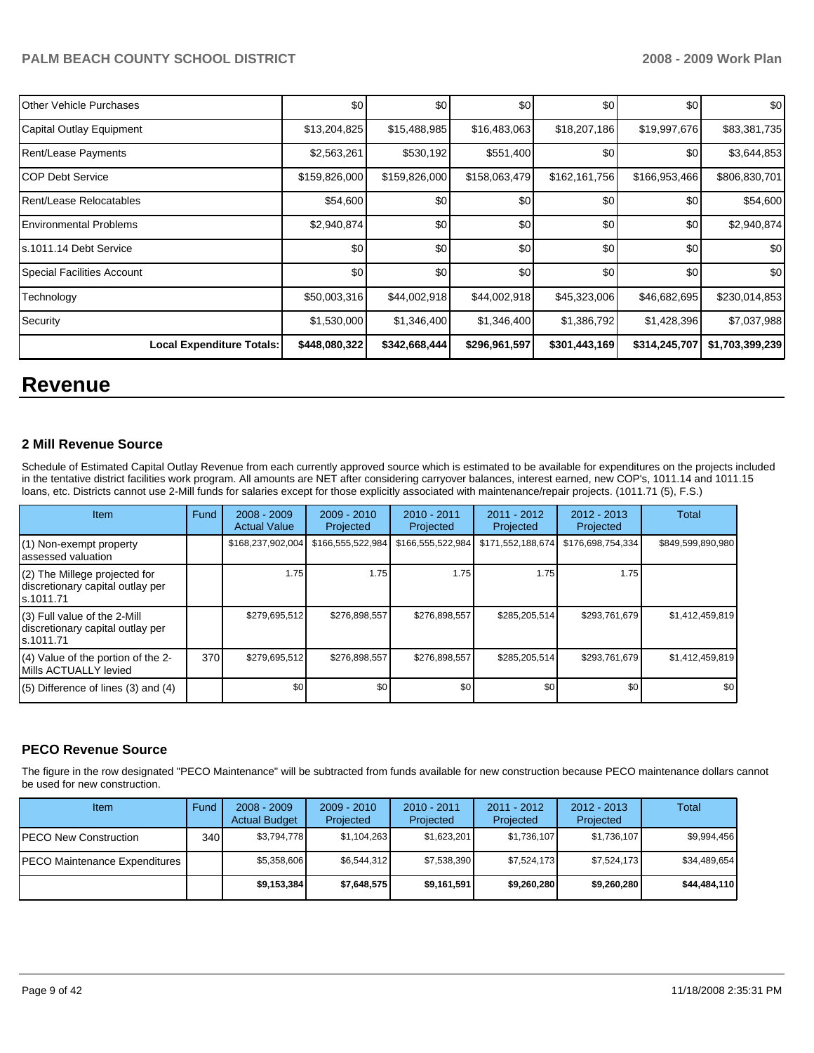| <b>IOther Vehicle Purchases</b>  | \$0           | \$0           | \$0           | \$0           | \$0           | \$0             |
|----------------------------------|---------------|---------------|---------------|---------------|---------------|-----------------|
| Capital Outlay Equipment         | \$13,204,825  | \$15,488,985  | \$16,483,063  | \$18,207,186  | \$19,997,676  | \$83,381,735    |
| Rent/Lease Payments              | \$2,563,261   | \$530,192     | \$551,400     | \$0           | \$0           | \$3,644,853     |
| ICOP Debt Service                | \$159,826,000 | \$159,826,000 | \$158,063,479 | \$162,161,756 | \$166,953,466 | \$806,830,701   |
| Rent/Lease Relocatables          | \$54,600      | \$0           | \$0           | \$0           | \$0           | \$54,600        |
| <b>IEnvironmental Problems</b>   | \$2,940,874   | \$0           | \$0           | \$0           | \$0           | \$2,940,874     |
| Is.1011.14 Debt Service          | \$0           | \$0           | \$0           | \$0           | \$0           | \$0             |
| Special Facilities Account       | \$0           | \$0           | \$0           | \$0           | \$0           | \$0             |
| Technology                       | \$50,003,316  | \$44,002,918  | \$44,002,918  | \$45,323,006  | \$46,682,695  | \$230,014,853   |
| Security                         | \$1,530,000   | \$1,346,400   | \$1,346,400   | \$1,386,792   | \$1,428,396   | \$7,037,988     |
| <b>Local Expenditure Totals:</b> | \$448,080,322 | \$342,668,444 | \$296,961,597 | \$301,443,169 | \$314,245,707 | \$1,703,399,239 |

## **Revenue**

#### **2 Mill Revenue Source**

Schedule of Estimated Capital Outlay Revenue from each currently approved source which is estimated to be available for expenditures on the projects included in the tentative district facilities work program. All amounts are NET after considering carryover balances, interest earned, new COP's, 1011.14 and 1011.15 loans, etc. Districts cannot use 2-Mill funds for salaries except for those explicitly associated with maintenance/repair projects. (1011.71 (5), F.S.)

| Item                                                                              | Fund | $2008 - 2009$<br><b>Actual Value</b> | $2009 - 2010$<br>Projected | $2010 - 2011$<br>Projected | $2011 - 2012$<br>Projected | $2012 - 2013$<br>Projected | Total             |
|-----------------------------------------------------------------------------------|------|--------------------------------------|----------------------------|----------------------------|----------------------------|----------------------------|-------------------|
| (1) Non-exempt property<br>lassessed valuation                                    |      | \$168,237,902,004                    | \$166,555,522,984          | \$166,555,522,984          | \$171,552,188,674          | \$176,698,754,334          | \$849,599,890,980 |
| $(2)$ The Millege projected for<br>discretionary capital outlay per<br>ls.1011.71 |      | 1.75                                 | 1.75                       | 1.75                       | 1.75                       | 1.75                       |                   |
| $(3)$ Full value of the 2-Mill<br>discretionary capital outlay per<br>ls.1011.71  |      | \$279,695,512                        | \$276.898.557              | \$276,898,557              | \$285,205,514              | \$293,761,679              | \$1,412,459,819   |
| (4) Value of the portion of the 2-<br>Mills ACTUALLY levied                       | 370  | \$279,695,512                        | \$276,898,557              | \$276,898,557              | \$285,205,514              | \$293,761,679              | \$1,412,459,819   |
| $(5)$ Difference of lines $(3)$ and $(4)$                                         |      | \$0                                  | \$0                        | \$0                        | \$0                        | \$0 <sub>1</sub>           | \$0               |

### **PECO Revenue Source**

The figure in the row designated "PECO Maintenance" will be subtracted from funds available for new construction because PECO maintenance dollars cannot be used for new construction.

| Item                          | Fund         | 2008 - 2009<br><b>Actual Budget</b> | $2009 - 2010$<br>Projected | $2010 - 2011$<br>Projected | $2011 - 2012$<br>Projected | $2012 - 2013$<br>Projected | Total        |
|-------------------------------|--------------|-------------------------------------|----------------------------|----------------------------|----------------------------|----------------------------|--------------|
| IPECO New Construction        | 340 <b>I</b> | \$3.794.778                         | \$1,104,263                | \$1,623,201                | \$1,736,107                | \$1,736,107                | \$9,994,456  |
| PECO Maintenance Expenditures |              | \$5,358,606                         | \$6,544,312                | \$7,538,390                | \$7,524,173                | \$7,524,173                | \$34,489,654 |
|                               |              | \$9,153,384                         | \$7,648,575                | \$9,161,591                | \$9,260,280                | \$9,260,280                | \$44,484,110 |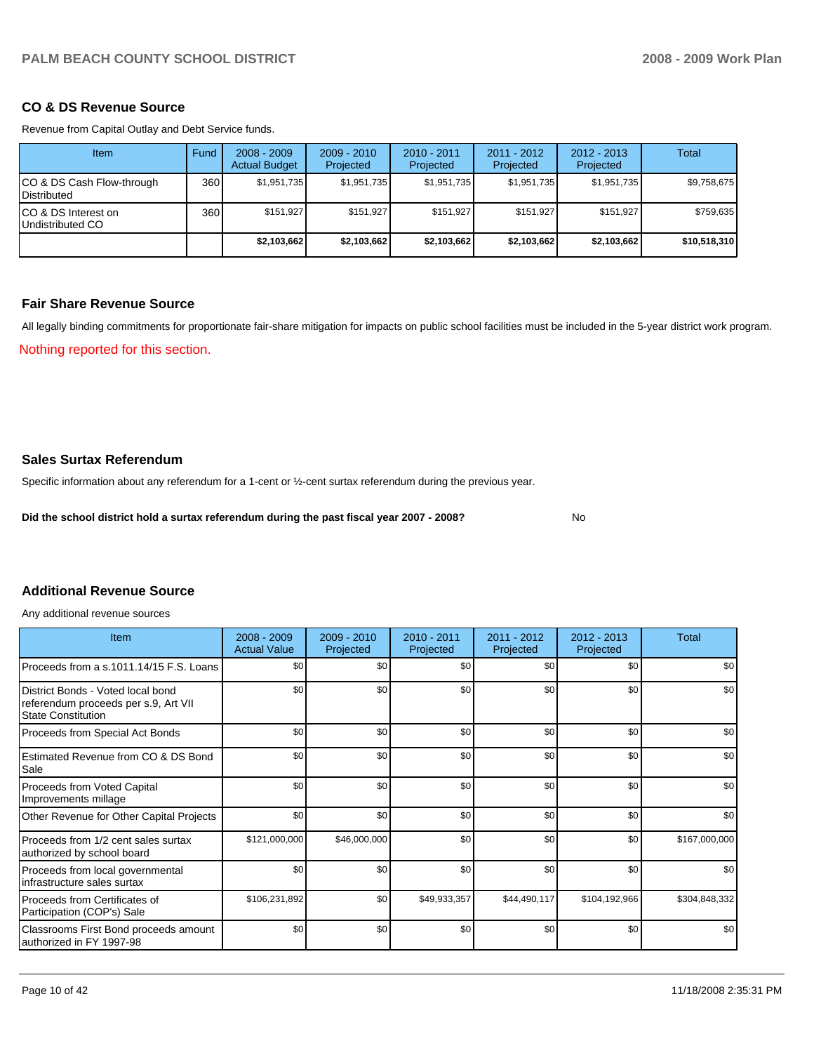### **CO & DS Revenue Source**

Revenue from Capital Outlay and Debt Service funds.

| <b>Item</b>                                        | Fund | $2008 - 2009$<br><b>Actual Budget</b> | $2009 - 2010$<br>Projected | $2010 - 2011$<br>Projected | 2011 - 2012<br>Projected | $2012 - 2013$<br>Projected | Total        |
|----------------------------------------------------|------|---------------------------------------|----------------------------|----------------------------|--------------------------|----------------------------|--------------|
| ICO & DS Cash Flow-through<br><b>I</b> Distributed | 360  | \$1,951,735                           | \$1,951,735                | \$1,951,735                | \$1,951,735              | \$1,951,735                | \$9,758,675  |
| ICO & DS Interest on<br>Undistributed CO           | 360  | \$151.927                             | \$151,927                  | \$151.927                  | \$151.927                | \$151,927                  | \$759,635    |
|                                                    |      | \$2,103,662                           | \$2,103,662                | \$2,103,662                | \$2,103,662              | \$2,103,662                | \$10,518,310 |

#### **Fair Share Revenue Source**

All legally binding commitments for proportionate fair-share mitigation for impacts on public school facilities must be included in the 5-year district work program.

Nothing reported for this section.

## **Sales Surtax Referendum**

Specific information about any referendum for a 1-cent or ½-cent surtax referendum during the previous year.

**Did the school district hold a surtax referendum during the past fiscal year 2007 - 2008?** No

## **Additional Revenue Source**

Any additional revenue sources

| Item                                                                                                   | $2008 - 2009$<br><b>Actual Value</b> | 2009 - 2010<br>Projected | 2010 - 2011<br>Projected | 2011 - 2012<br>Projected | 2012 - 2013<br>Projected | <b>Total</b>  |
|--------------------------------------------------------------------------------------------------------|--------------------------------------|--------------------------|--------------------------|--------------------------|--------------------------|---------------|
| Proceeds from a s.1011.14/15 F.S. Loans                                                                | \$0                                  | \$0 <sub>1</sub>         | \$0                      | \$0                      | \$0                      | \$0           |
| District Bonds - Voted local bond<br>referendum proceeds per s.9, Art VII<br><b>State Constitution</b> | \$0                                  | \$0                      | \$0                      | \$0                      | \$0                      | \$0           |
| Proceeds from Special Act Bonds                                                                        | \$0                                  | \$0                      | \$0                      | \$0                      | \$0                      | \$0           |
| Estimated Revenue from CO & DS Bond<br>Sale                                                            | \$0                                  | \$0 <sub>1</sub>         | \$0                      | \$0                      | \$0                      | \$0           |
| Proceeds from Voted Capital<br>Improvements millage                                                    | \$0                                  | \$0                      | \$0                      | \$0                      | \$0                      | \$0           |
| Other Revenue for Other Capital Projects                                                               | \$0                                  | \$0                      | \$0                      | \$0                      | \$0                      | \$0           |
| Proceeds from 1/2 cent sales surtax<br>authorized by school board                                      | \$121,000,000                        | \$46,000,000             | \$0                      | \$0                      | \$0                      | \$167,000,000 |
| Proceeds from local governmental<br>infrastructure sales surtax                                        | \$0                                  | \$0                      | \$0                      | \$0                      | \$0                      | \$0           |
| Proceeds from Certificates of<br>Participation (COP's) Sale                                            | \$106,231,892                        | \$0 <sub>1</sub>         | \$49,933,357             | \$44,490,117             | \$104,192,966            | \$304,848,332 |
| Classrooms First Bond proceeds amount<br>authorized in FY 1997-98                                      | \$0                                  | \$0                      | \$0                      | \$0                      | \$0                      | \$0           |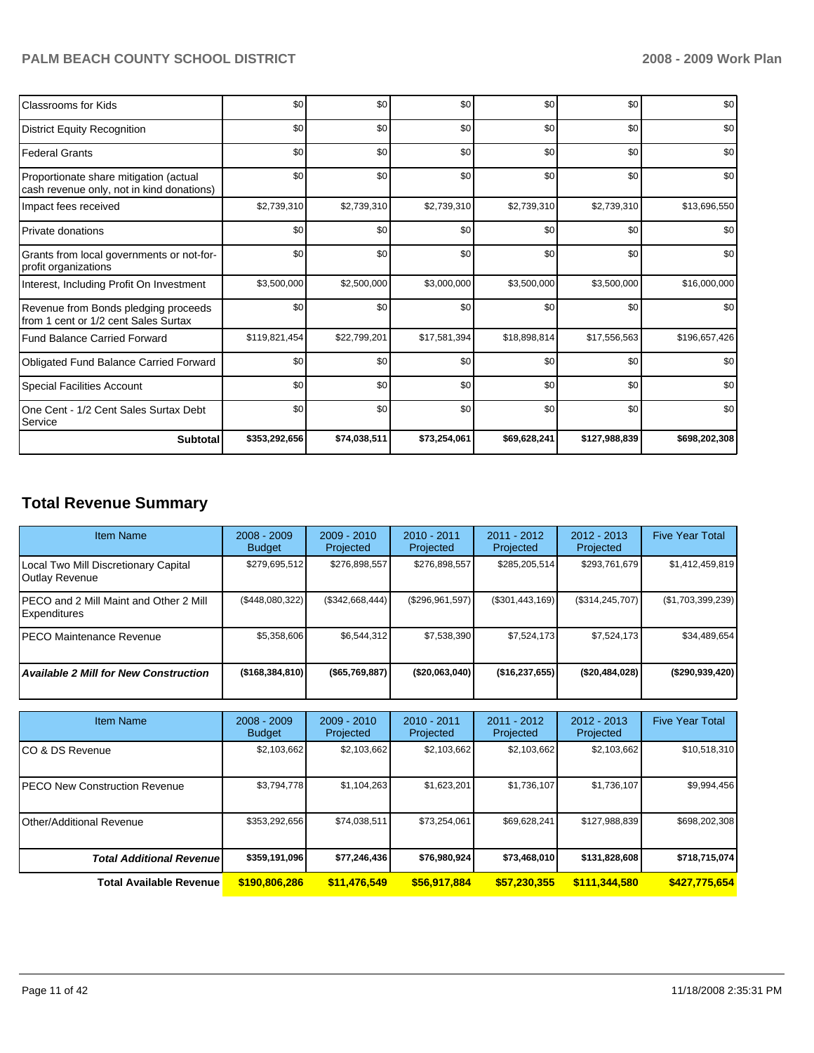| Classrooms for Kids                                                                 | \$0           | \$0          | \$0          | \$0          | \$0           | \$0           |
|-------------------------------------------------------------------------------------|---------------|--------------|--------------|--------------|---------------|---------------|
| <b>District Equity Recognition</b>                                                  | \$0           | \$0          | \$0          | \$0          | \$0           | \$0           |
| <b>Federal Grants</b>                                                               | \$0           | \$0          | \$0          | \$0          | \$0           | \$0           |
| Proportionate share mitigation (actual<br>cash revenue only, not in kind donations) | \$0           | \$0          | \$0          | \$0          | \$0           | \$0           |
| Impact fees received                                                                | \$2,739,310   | \$2,739,310  | \$2,739,310  | \$2,739,310  | \$2,739,310   | \$13,696,550  |
| <b>Private donations</b>                                                            | \$0           | \$0          | \$0          | \$0          | \$0           | \$0           |
| Grants from local governments or not-for-<br>profit organizations                   | \$0           | \$0          | \$0          | \$0          | \$0           | \$0           |
| Interest, Including Profit On Investment                                            | \$3,500,000   | \$2,500,000  | \$3,000,000  | \$3,500,000  | \$3,500,000   | \$16,000,000  |
| Revenue from Bonds pledging proceeds<br>from 1 cent or 1/2 cent Sales Surtax        | \$0           | \$0          | \$0          | \$0          | \$0           | \$0           |
| <b>Fund Balance Carried Forward</b>                                                 | \$119,821,454 | \$22,799,201 | \$17,581,394 | \$18,898,814 | \$17,556,563  | \$196,657,426 |
| Obligated Fund Balance Carried Forward                                              | \$0           | \$0          | \$0          | \$0          | \$0           | \$0           |
| <b>Special Facilities Account</b>                                                   | \$0           | \$0          | \$0          | \$0          | \$0           | \$0           |
| One Cent - 1/2 Cent Sales Surtax Debt<br>Service                                    | \$0           | \$0          | \$0          | \$0          | \$0           | \$0           |
| <b>Subtotal</b>                                                                     | \$353,292,656 | \$74,038,511 | \$73,254,061 | \$69,628,241 | \$127,988,839 | \$698,202,308 |

## **Total Revenue Summary**

| <b>Item Name</b>                                        | $2008 - 2009$<br><b>Budget</b> | $2009 - 2010$<br>Projected | $2010 - 2011$<br>Projected | $2011 - 2012$<br>Projected | $2012 - 2013$<br>Projected | <b>Five Year Total</b> |
|---------------------------------------------------------|--------------------------------|----------------------------|----------------------------|----------------------------|----------------------------|------------------------|
| Local Two Mill Discretionary Capital<br>Outlay Revenue  | \$279,695,512                  | \$276.898.557              | \$276,898,557              | \$285,205,514              | \$293,761,679              | \$1,412,459,819        |
| IPECO and 2 Mill Maint and Other 2 Mill<br>Expenditures | (\$448,080,322)                | (\$342,668,444)            | (\$296,961,597)            | $(\$301,443,169)$          | (\$314, 245, 707)          | (\$1,703,399,239)      |
| IPECO Maintenance Revenue                               | \$5,358,606                    | \$6,544,312                | \$7,538,390                | \$7.524.173                | \$7,524,173                | \$34,489,654           |
| <b>Available 2 Mill for New Construction</b>            | (\$168,384,810)                | $($ \$65,769,887)          | ( \$20,063,040]            | ( \$16, 237, 655)          | (\$20,484,028)             | (\$290,939,420)        |

| <b>Item Name</b>                      | $2008 - 2009$<br><b>Budget</b> | $2009 - 2010$<br>Projected | $2010 - 2011$<br>Projected | 2011 - 2012<br>Projected | $2012 - 2013$<br>Projected | <b>Five Year Total</b> |
|---------------------------------------|--------------------------------|----------------------------|----------------------------|--------------------------|----------------------------|------------------------|
| ICO & DS Revenue                      | \$2,103,662                    | \$2,103,662                | \$2,103,662                | \$2,103,662              | \$2,103,662                | \$10,518,310           |
| <b>IPECO New Construction Revenue</b> | \$3,794,778                    | \$1,104,263                | \$1,623,201                | \$1,736,107              | \$1,736,107                | \$9,994,456            |
| Other/Additional Revenue              | \$353,292,656                  | \$74,038,511               | \$73,254,061               | \$69,628,241             | \$127,988,839              | \$698,202,308          |
| <b>Total Additional Revenuel</b>      | \$359,191,096                  | \$77.246.436               | \$76,980,924               | \$73,468,010             | \$131,828,608              | \$718,715,074          |
| <b>Total Available Revenue</b>        | \$190,806,286                  | \$11,476,549               | \$56,917,884               | \$57,230,355             | \$111,344,580              | \$427,775,654          |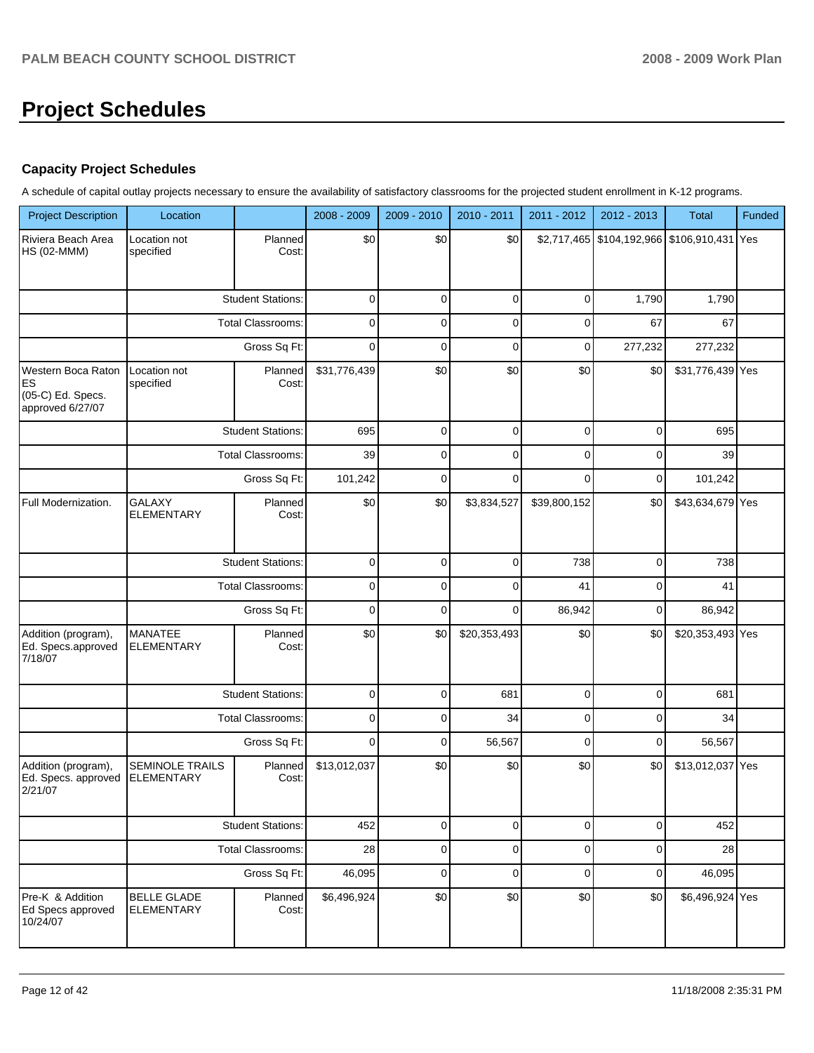# **Project Schedules**

## **Capacity Project Schedules**

A schedule of capital outlay projects necessary to ensure the availability of satisfactory classrooms for the projected student enrollment in K-12 programs.

| <b>Project Description</b>                                        | Location                                    |                          | 2008 - 2009  | 2009 - 2010 | 2010 - 2011  | 2011 - 2012  | 2012 - 2013                                 | <b>Total</b>     | Funded |
|-------------------------------------------------------------------|---------------------------------------------|--------------------------|--------------|-------------|--------------|--------------|---------------------------------------------|------------------|--------|
| Riviera Beach Area<br><b>HS (02-MMM)</b>                          | Location not<br>specified                   | Planned<br>Cost:         | \$0          | \$0         | \$0          |              | \$2,717,465 \$104,192,966 \$106,910,431 Yes |                  |        |
|                                                                   |                                             | <b>Student Stations:</b> | $\mathbf 0$  | $\mathbf 0$ | $\mathbf 0$  | $\mathbf 0$  | 1,790                                       | 1,790            |        |
|                                                                   |                                             | <b>Total Classrooms:</b> | $\mathbf 0$  | $\mathbf 0$ | $\mathbf 0$  | $\mathbf 0$  | 67                                          | 67               |        |
|                                                                   |                                             | Gross Sq Ft:             | $\mathbf 0$  | $\mathbf 0$ | $\mathbf 0$  | $\mathbf 0$  | 277,232                                     | 277,232          |        |
| Western Boca Raton<br>ES<br>(05-C) Ed. Specs.<br>approved 6/27/07 | Location not<br>specified                   | Planned<br>Cost:         | \$31,776,439 | \$0         | \$0          | \$0          | \$0                                         | \$31,776,439 Yes |        |
|                                                                   |                                             | <b>Student Stations:</b> | 695          | $\mathbf 0$ | 0            | $\mathbf 0$  | 0                                           | 695              |        |
|                                                                   |                                             | <b>Total Classrooms:</b> | 39           | $\mathbf 0$ | $\mathbf 0$  | 0            | 0                                           | 39               |        |
|                                                                   |                                             | Gross Sq Ft:             | 101,242      | $\mathbf 0$ | $\mathbf 0$  | 0            | 0                                           | 101,242          |        |
| Full Modernization.                                               | <b>GALAXY</b><br><b>ELEMENTARY</b>          | Planned<br>Cost:         | \$0          | \$0         | \$3,834,527  | \$39,800,152 | \$0                                         | \$43,634,679 Yes |        |
|                                                                   |                                             | <b>Student Stations:</b> | $\mathbf 0$  | $\mathbf 0$ | $\mathbf 0$  | 738          | 0                                           | 738              |        |
|                                                                   |                                             | <b>Total Classrooms:</b> | $\mathbf 0$  | $\mathbf 0$ | $\mathbf 0$  | 41           | 0                                           | 41               |        |
|                                                                   |                                             | Gross Sq Ft:             | $\mathbf 0$  | $\mathbf 0$ | $\mathbf 0$  | 86,942       | 0                                           | 86,942           |        |
| Addition (program),<br>Ed. Specs.approved<br>7/18/07              | <b>MANATEE</b><br><b>ELEMENTARY</b>         | Planned<br>Cost:         | \$0          | \$0         | \$20,353,493 | \$0          | \$0                                         | \$20,353,493 Yes |        |
|                                                                   |                                             | <b>Student Stations:</b> | $\mathbf 0$  | $\mathbf 0$ | 681          | $\mathbf 0$  | 0                                           | 681              |        |
|                                                                   |                                             | <b>Total Classrooms:</b> | $\mathbf 0$  | $\mathbf 0$ | 34           | $\mathbf 0$  | 0                                           | 34               |        |
|                                                                   |                                             | Gross Sq Ft:             | $\mathbf 0$  | $\mathbf 0$ | 56,567       | $\mathbf 0$  | 0                                           | 56,567           |        |
| Addition (program),<br>Ed. Specs. approved<br>2/21/07             | <b>SEMINOLE TRAILS</b><br><b>ELEMENTARY</b> | Planned<br>Cost:         | \$13,012,037 | \$0         | \$0          | \$0          | \$0                                         | \$13,012,037 Yes |        |
|                                                                   |                                             | <b>Student Stations:</b> | 452          | $\mathbf 0$ | $\mathbf 0$  | $\mathbf 0$  | $\mathbf 0$                                 | 452              |        |
|                                                                   |                                             | <b>Total Classrooms:</b> | 28           | $\mathbf 0$ | $\mathbf 0$  | $\mathbf 0$  | 0                                           | 28               |        |
|                                                                   |                                             | Gross Sq Ft:             | 46,095       | $\mathbf 0$ | $\mathbf 0$  | $\mathbf 0$  | 0                                           | 46,095           |        |
| Pre-K & Addition<br>Ed Specs approved<br>10/24/07                 | <b>BELLE GLADE</b><br><b>ELEMENTARY</b>     | Planned<br>Cost:         | \$6,496,924  | \$0         | \$0          | \$0          | \$0                                         | \$6,496,924 Yes  |        |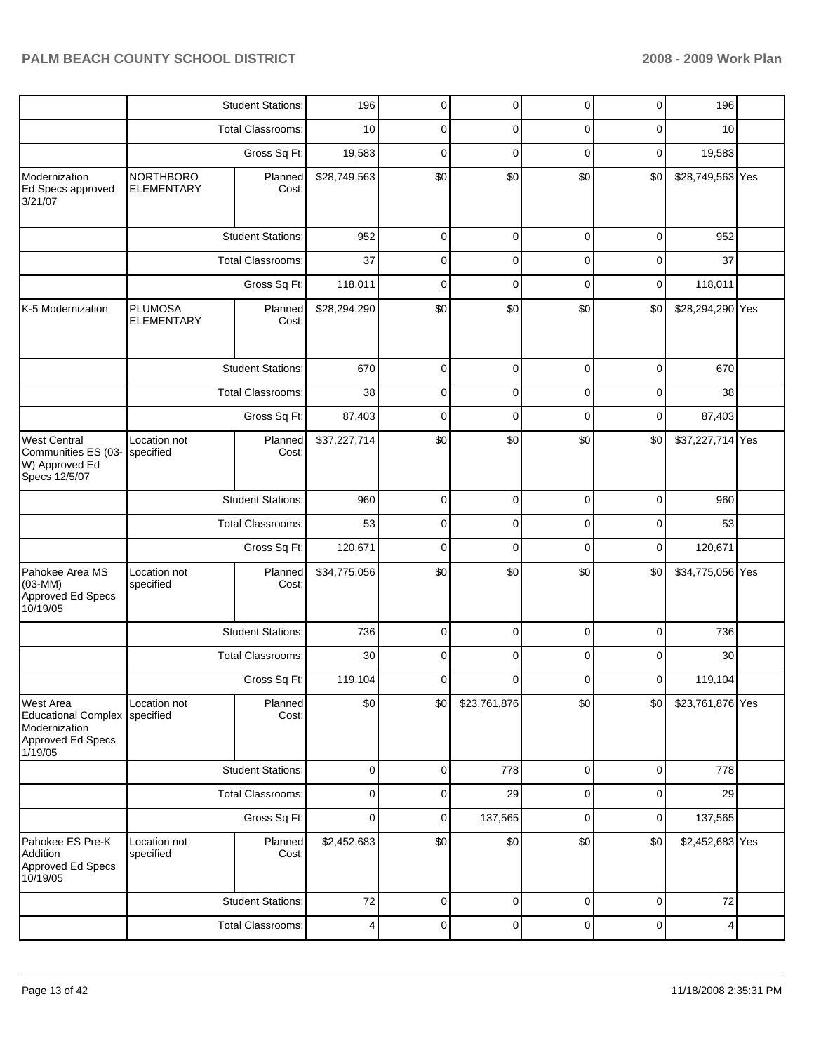|                                                                                                 |                                       | <b>Student Stations:</b> | 196          | 0         | 0            | 0           | 0           | 196              |  |
|-------------------------------------------------------------------------------------------------|---------------------------------------|--------------------------|--------------|-----------|--------------|-------------|-------------|------------------|--|
|                                                                                                 |                                       | <b>Total Classrooms:</b> | 10           | 0         | 0            | 0           | 0           | 10               |  |
|                                                                                                 |                                       | Gross Sq Ft:             | 19,583       | 0         | 0            | 0           | 0           | 19,583           |  |
| Modernization<br>Ed Specs approved<br>3/21/07                                                   | <b>NORTHBORO</b><br><b>ELEMENTARY</b> | Planned<br>Cost:         | \$28,749,563 | \$0       | \$0          | \$0         | \$0         | \$28,749,563 Yes |  |
|                                                                                                 |                                       | <b>Student Stations:</b> | 952          | 0         | $\mathbf 0$  | 0           | $\mathbf 0$ | 952              |  |
|                                                                                                 |                                       | <b>Total Classrooms:</b> | 37           | 0         | 0            | 0           | 0           | 37               |  |
|                                                                                                 | Gross Sq Ft:                          |                          | 118,011      | 0         | 0            | 0           | $\mathbf 0$ | 118,011          |  |
| K-5 Modernization                                                                               | <b>PLUMOSA</b><br><b>ELEMENTARY</b>   | Planned<br>Cost:         | \$28,294,290 | \$0       | \$0          | \$0         | \$0         | \$28,294,290 Yes |  |
|                                                                                                 |                                       | <b>Student Stations:</b> | 670          | 0         | 0            | 0           | 0           | 670              |  |
|                                                                                                 |                                       | <b>Total Classrooms:</b> | 38           | 0         | 0            | 0           | 0           | 38               |  |
|                                                                                                 |                                       | Gross Sq Ft:             | 87,403       | 0         | 0            | 0           | 0           | 87,403           |  |
| <b>West Central</b><br>Communities ES (03-<br>W) Approved Ed<br>Specs 12/5/07                   | Location not<br>specified             | Planned<br>Cost:         | \$37,227,714 | \$0       | \$0          | \$0         | \$0         | \$37,227,714 Yes |  |
|                                                                                                 | <b>Student Stations:</b>              |                          | 960          | 0         | $\mathbf 0$  | 0           | $\mathbf 0$ | 960              |  |
|                                                                                                 |                                       | <b>Total Classrooms:</b> | 53           | 0         | 0            | 0           | 0           | 53               |  |
|                                                                                                 |                                       | Gross Sq Ft:             | 120,671      | 0         | 0            | 0           | $\mathbf 0$ | 120,671          |  |
| Pahokee Area MS<br>$(03-MM)$<br>Approved Ed Specs<br>10/19/05                                   | Location not<br>specified             | Planned<br>Cost:         | \$34,775,056 | \$0       | \$0          | \$0         | \$0         | \$34,775,056 Yes |  |
|                                                                                                 |                                       | <b>Student Stations:</b> | 736          | 0         | 0            | 0           | 0           | 736              |  |
|                                                                                                 |                                       | <b>Total Classrooms:</b> | 30           | 0         | 0            | 0           | 0           | 30               |  |
|                                                                                                 |                                       | Gross Sq Ft:             | 119,104      | 0         | 0            | 0           | 0           | 119,104          |  |
| <b>West Area</b><br><b>Educational Complex</b><br>Modernization<br>Approved Ed Specs<br>1/19/05 | Location not<br>specified             | Planned<br>Cost:         | \$0          | \$0       | \$23,761,876 | \$0         | \$0         | \$23,761,876 Yes |  |
|                                                                                                 |                                       | <b>Student Stations:</b> | $\mathbf 0$  | 0         | 778          | $\mathbf 0$ | $\mathbf 0$ | 778              |  |
|                                                                                                 |                                       | Total Classrooms:        | 0            | 0         | 29           | 0           | 0           | 29               |  |
|                                                                                                 |                                       | Gross Sq Ft:             | $\mathbf 0$  | 0         | 137,565      | $\mathbf 0$ | $\mathbf 0$ | 137,565          |  |
| Pahokee ES Pre-K<br>Addition<br>Approved Ed Specs<br>10/19/05                                   | Location not<br>specified             | Planned<br>Cost:         | \$2,452,683  | \$0       | \$0          | \$0         | \$0         | \$2,452,683 Yes  |  |
|                                                                                                 |                                       | <b>Student Stations:</b> | 72           | $\pmb{0}$ | $\pmb{0}$    | $\pmb{0}$   | $\pmb{0}$   | 72               |  |
|                                                                                                 |                                       | Total Classrooms:        | 4            | 0         | $\mathbf 0$  | 0           | $\mathbf 0$ | 4                |  |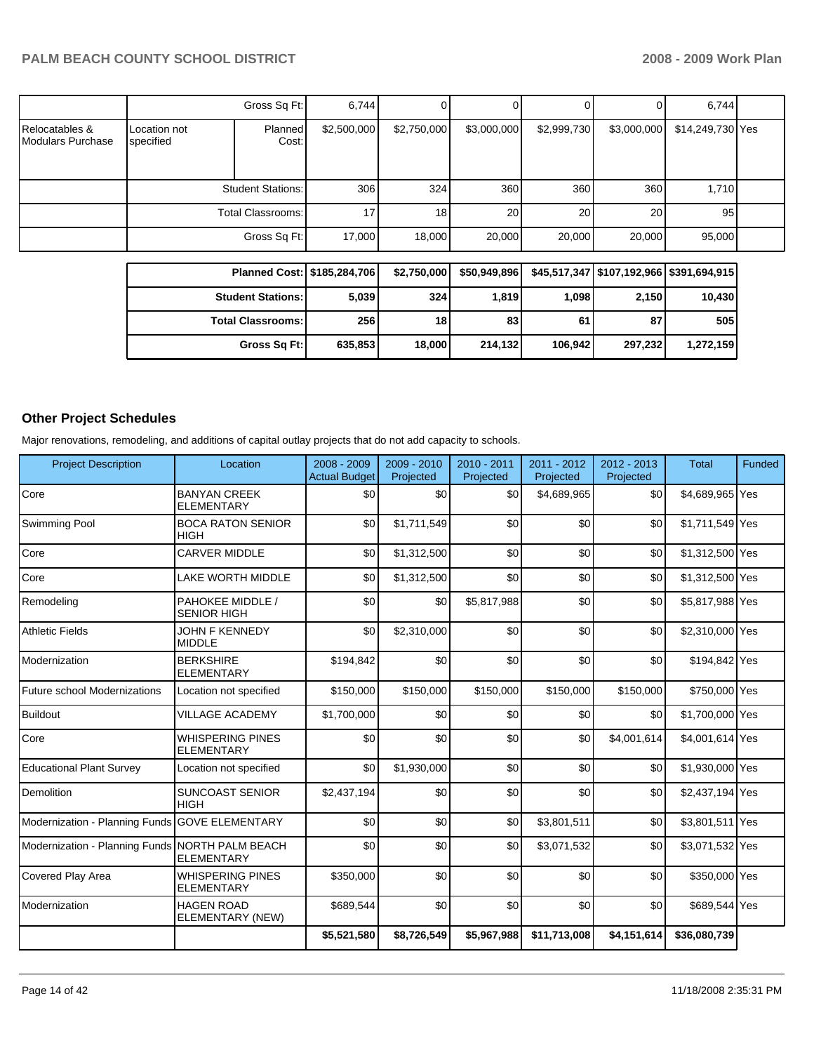|                                            |                           | Gross Sq Ft:             | 6,744       |             |             |             |             | 6.744            |  |
|--------------------------------------------|---------------------------|--------------------------|-------------|-------------|-------------|-------------|-------------|------------------|--|
| Relocatables &<br><b>Modulars Purchase</b> | Location not<br>specified | Planned<br>Cost:         | \$2,500,000 | \$2,750,000 | \$3,000,000 | \$2,999,730 | \$3,000,000 | \$14,249,730 Yes |  |
|                                            |                           | <b>Student Stations:</b> | 306         | 324         | 360         | 360         | 360         | 1,710            |  |
|                                            |                           | Total Classrooms:        | 17          | 18          | 20          | 20          | 20          | 95               |  |
|                                            |                           | Gross Sq Ft:             | 17,000      | 18,000      | 20,000      | 20,000      | 20,000      | 95,000           |  |

| Planned Cost:   \$185,284,706 |         | \$2,750,000 | \$50,949,896 |         |         | \$45,517,347   \$107,192,966   \$391,694,915 |
|-------------------------------|---------|-------------|--------------|---------|---------|----------------------------------------------|
| <b>Student Stations:</b>      | 5,039   | 324         | 1,819        | 1,098   | 2,150   | 10,430                                       |
| <b>Total Classrooms:</b>      | 256     | 18          | 83           | 61      | 87      | 505                                          |
| Gross Sq Ft:                  | 635,853 | 18,000      | 214,132      | 106.942 | 297,232 | 1,272,159                                    |

## **Other Project Schedules**

Major renovations, remodeling, and additions of capital outlay projects that do not add capacity to schools.

| <b>Project Description</b>                      | Location                                     | 2008 - 2009<br><b>Actual Budget</b> | 2009 - 2010<br>Projected | 2010 - 2011<br>Projected | 2011 - 2012<br>Projected | 2012 - 2013<br>Projected | <b>Total</b>    | Funded |
|-------------------------------------------------|----------------------------------------------|-------------------------------------|--------------------------|--------------------------|--------------------------|--------------------------|-----------------|--------|
| Core                                            | <b>BANYAN CREEK</b><br><b>ELEMENTARY</b>     | \$0                                 | \$0                      | \$0                      | \$4,689,965              | \$0                      | \$4,689,965 Yes |        |
| Swimming Pool                                   | <b>BOCA RATON SENIOR</b><br><b>HIGH</b>      | \$0                                 | \$1,711,549              | \$0                      | \$0                      | \$0                      | \$1,711,549 Yes |        |
| Core                                            | <b>CARVER MIDDLE</b>                         | \$0                                 | \$1,312,500              | \$0                      | \$0                      | \$0                      | \$1,312,500 Yes |        |
| Core                                            | LAKE WORTH MIDDLE                            | \$0                                 | \$1,312,500              | \$0                      | \$0                      | \$0                      | \$1,312,500 Yes |        |
| Remodeling                                      | PAHOKEE MIDDLE /<br><b>SENIOR HIGH</b>       | \$0                                 | \$0                      | \$5,817,988              | \$0                      | \$0                      | \$5,817,988 Yes |        |
| <b>Athletic Fields</b>                          | <b>JOHN F KENNEDY</b><br><b>MIDDLE</b>       | \$0                                 | \$2,310,000              | \$0                      | \$0                      | \$0                      | \$2,310,000 Yes |        |
| Modernization                                   | <b>BERKSHIRE</b><br><b>ELEMENTARY</b>        | \$194,842                           | \$0                      | \$0                      | \$0                      | \$0                      | \$194,842 Yes   |        |
| Future school Modernizations                    | Location not specified                       | \$150,000                           | \$150,000                | \$150,000                | \$150,000                | \$150,000                | \$750,000 Yes   |        |
| <b>Buildout</b>                                 | <b>VILLAGE ACADEMY</b>                       | \$1,700,000                         | \$0                      | \$0                      | \$0                      | \$0                      | \$1,700,000 Yes |        |
| Core                                            | <b>WHISPERING PINES</b><br><b>ELEMENTARY</b> | \$0                                 | \$0                      | \$0                      | \$0                      | \$4,001,614              | \$4,001,614 Yes |        |
| <b>Educational Plant Survey</b>                 | Location not specified                       | \$0                                 | \$1,930,000              | \$0                      | \$0                      | \$0                      | \$1,930,000 Yes |        |
| Demolition                                      | <b>SUNCOAST SENIOR</b><br><b>HIGH</b>        | \$2,437,194                         | \$0                      | \$0                      | \$0                      | \$0                      | \$2,437,194 Yes |        |
| Modernization - Planning Funds                  | <b>GOVE ELEMENTARY</b>                       | \$0                                 | \$0                      | \$0                      | \$3,801,511              | \$0                      | \$3,801,511 Yes |        |
| Modernization - Planning Funds NORTH PALM BEACH | <b>ELEMENTARY</b>                            | \$0                                 | \$0                      | \$0                      | \$3,071,532              | \$0                      | \$3,071,532 Yes |        |
| Covered Play Area                               | <b>WHISPERING PINES</b><br><b>ELEMENTARY</b> | \$350,000                           | \$0                      | \$0                      | \$0                      | \$0                      | \$350,000 Yes   |        |
| Modernization                                   | <b>HAGEN ROAD</b><br>ELEMENTARY (NEW)        | \$689,544                           | \$0                      | \$0                      | \$0                      | \$0                      | \$689,544 Yes   |        |
|                                                 |                                              | \$5,521,580                         | \$8,726,549              | \$5,967,988              | \$11,713,008             | \$4,151,614              | \$36,080,739    |        |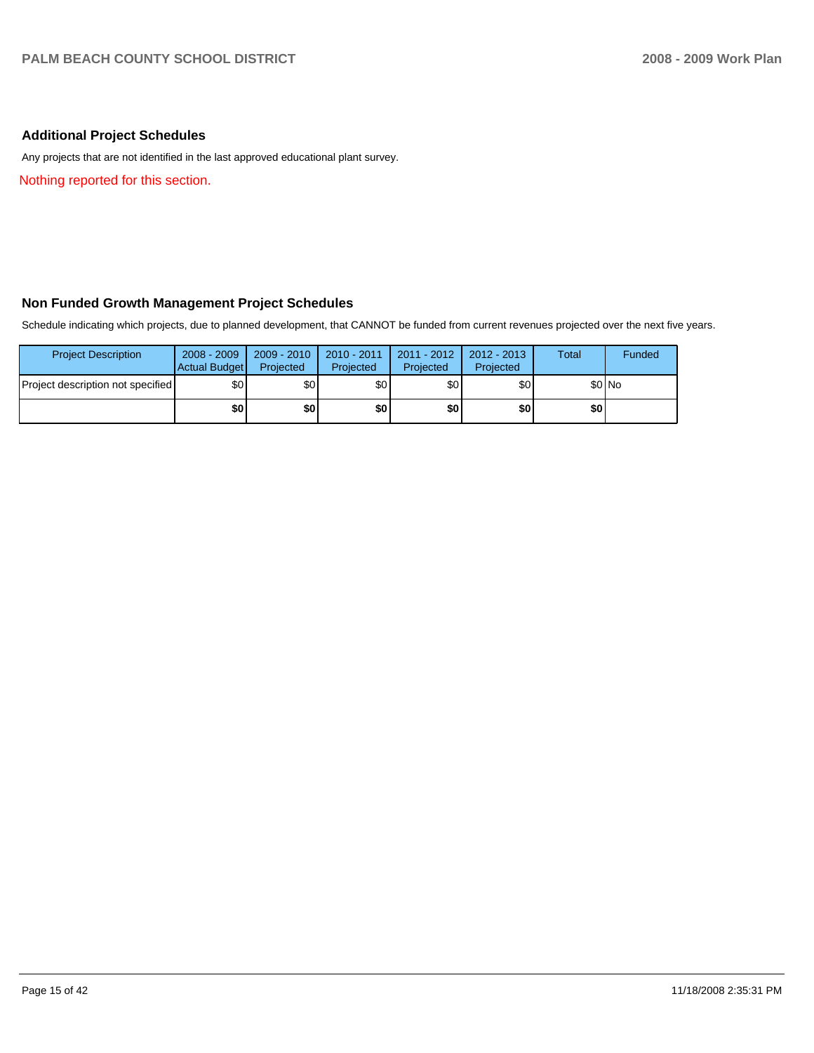## **Additional Project Schedules**

Any projects that are not identified in the last approved educational plant survey.

Nothing reported for this section.

## **Non Funded Growth Management Project Schedules**

Schedule indicating which projects, due to planned development, that CANNOT be funded from current revenues projected over the next five years.

| <b>Project Description</b>        | $2008 - 2009$<br>Actual Budget | $2009 - 2010$<br>Projected | $2010 - 2011$<br>Projected | $2011 - 2012$<br>Projected | 2012 - 2013<br>Projected | Total | Funded  |
|-----------------------------------|--------------------------------|----------------------------|----------------------------|----------------------------|--------------------------|-------|---------|
| Project description not specified | \$0                            | \$0                        | \$0 <sub>1</sub>           | \$0                        | \$0                      |       | $$0$ No |
|                                   | \$0                            | \$0                        | \$0 I                      | \$0                        | \$0                      | \$0   |         |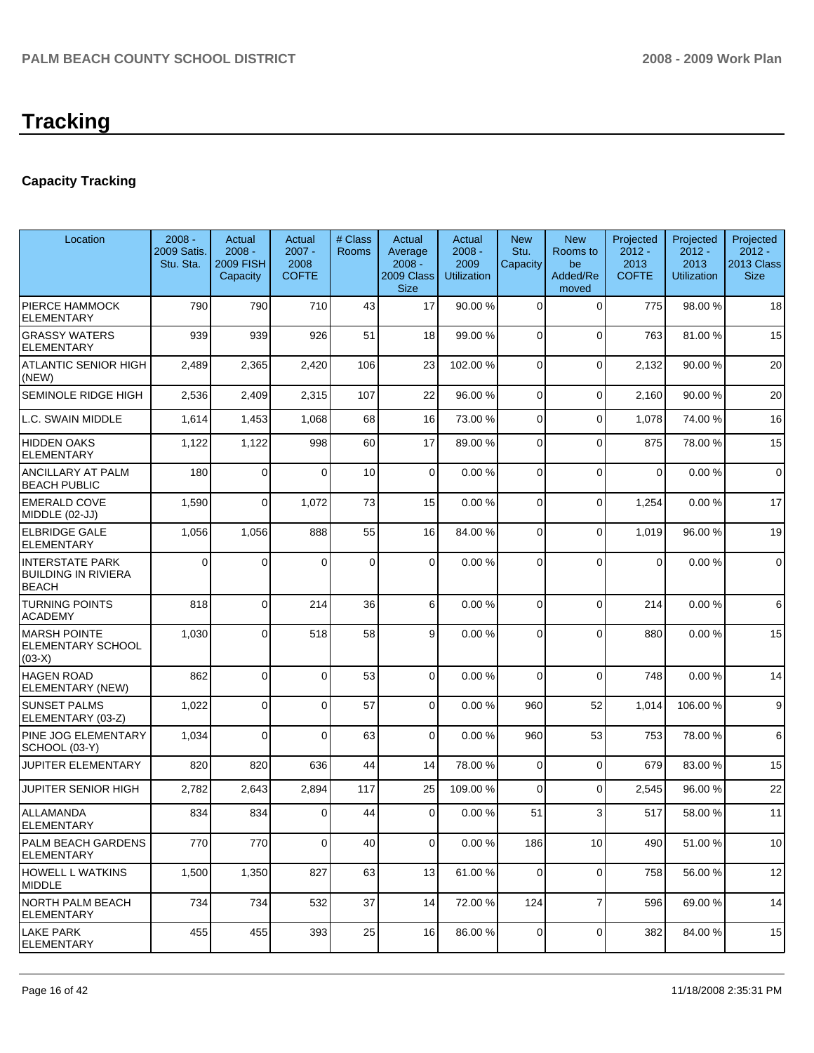# **Tracking**

## **Capacity Tracking**

| Location                                                             | $2008 -$<br><b>2009 Satis.</b><br>Stu. Sta. | Actual<br>$2008 -$<br><b>2009 FISH</b><br>Capacity | Actual<br>$2007 -$<br>2008<br><b>COFTE</b> | # Class<br>Rooms | Actual<br>Average<br>$2008 -$<br>2009 Class<br><b>Size</b> | Actual<br>$2008 -$<br>2009<br><b>Utilization</b> | <b>New</b><br>Stu.<br>Capacity | <b>New</b><br>Rooms to<br>be<br>Added/Re<br>moved | Projected<br>$2012 -$<br>2013<br><b>COFTE</b> | Projected<br>$2012 -$<br>2013<br><b>Utilization</b> | Projected<br>$2012 -$<br>2013 Class<br><b>Size</b> |
|----------------------------------------------------------------------|---------------------------------------------|----------------------------------------------------|--------------------------------------------|------------------|------------------------------------------------------------|--------------------------------------------------|--------------------------------|---------------------------------------------------|-----------------------------------------------|-----------------------------------------------------|----------------------------------------------------|
| PIERCE HAMMOCK<br><b>ELEMENTARY</b>                                  | 790                                         | 790                                                | 710                                        | 43               | 17                                                         | 90.00 %                                          | $\Omega$                       | $\mathbf 0$                                       | 775                                           | 98.00 %                                             | 18                                                 |
| <b>GRASSY WATERS</b><br><b>ELEMENTARY</b>                            | 939                                         | 939                                                | 926                                        | 51               | 18                                                         | 99.00 %                                          | $\Omega$                       | $\Omega$                                          | 763                                           | 81.00 %                                             | 15                                                 |
| <b>ATLANTIC SENIOR HIGH</b><br>(NEW)                                 | 2,489                                       | 2,365                                              | 2,420                                      | 106              | 23                                                         | 102.00 %                                         | $\mathbf 0$                    | $\Omega$                                          | 2,132                                         | 90.00 %                                             | 20                                                 |
| SEMINOLE RIDGE HIGH                                                  | 2,536                                       | 2,409                                              | 2,315                                      | 107              | 22                                                         | 96.00 %                                          | 0                              | $\Omega$                                          | 2,160                                         | 90.00 %                                             | 20                                                 |
| L.C. SWAIN MIDDLE                                                    | 1,614                                       | 1,453                                              | 1,068                                      | 68               | 16                                                         | 73.00 %                                          | 0                              | $\Omega$                                          | 1,078                                         | 74.00 %                                             | 16                                                 |
| HIDDEN OAKS<br><b>ELEMENTARY</b>                                     | 1,122                                       | 1,122                                              | 998                                        | 60               | 17                                                         | 89.00 %                                          | 0                              | $\Omega$                                          | 875                                           | 78.00 %                                             | 15                                                 |
| ANCILLARY AT PALM<br><b>BEACH PUBLIC</b>                             | 180                                         | $\Omega$                                           | $\Omega$                                   | 10               | $\Omega$                                                   | 0.00%                                            | $\Omega$                       | $\mathbf{0}$                                      | $\mathbf 0$                                   | 0.00%                                               | $\mathbf 0$                                        |
| <b>EMERALD COVE</b><br>MIDDLE (02-JJ)                                | 1,590                                       | 0                                                  | 1,072                                      | 73               | 15                                                         | 0.00%                                            | $\overline{0}$                 | 0                                                 | 1,254                                         | 0.00%                                               | 17                                                 |
| <b>ELBRIDGE GALE</b><br><b>ELEMENTARY</b>                            | 1,056                                       | 1,056                                              | 888                                        | 55               | 16                                                         | 84.00 %                                          | 0                              | $\mathbf 0$                                       | 1,019                                         | 96.00 %                                             | 19                                                 |
| <b>INTERSTATE PARK</b><br><b>BUILDING IN RIVIERA</b><br><b>BEACH</b> | 0                                           | $\Omega$                                           | $\Omega$                                   | 0                | $\Omega$                                                   | 0.00%                                            | 0                              | $\Omega$                                          | $\mathbf 0$                                   | 0.00%                                               | $\mathbf 0$                                        |
| <b>TURNING POINTS</b><br>ACADEMY                                     | 818                                         | 0                                                  | 214                                        | 36               | 6                                                          | 0.00%                                            | $\mathbf 0$                    | $\overline{0}$                                    | 214                                           | 0.00%                                               | 6                                                  |
| <b>MARSH POINTE</b><br>ELEMENTARY SCHOOL<br>$(03-X)$                 | 1,030                                       | $\Omega$                                           | 518                                        | 58               | 9                                                          | 0.00%                                            | 0                              | $\Omega$                                          | 880                                           | 0.00%                                               | 15                                                 |
| <b>HAGEN ROAD</b><br>ELEMENTARY (NEW)                                | 862                                         | 0                                                  | $\Omega$                                   | 53               | 0                                                          | 0.00%                                            | 0                              | $\Omega$                                          | 748                                           | 0.00%                                               | 14                                                 |
| <b>SUNSET PALMS</b><br>ELEMENTARY (03-Z)                             | 1,022                                       | $\Omega$                                           | $\Omega$                                   | 57               | $\overline{0}$                                             | 0.00%                                            | 960                            | 52                                                | 1,014                                         | 106.00 %                                            | 9                                                  |
| PINE JOG ELEMENTARY<br>SCHOOL (03-Y)                                 | 1,034                                       | 0                                                  | $\Omega$                                   | 63               | $\overline{0}$                                             | 0.00%                                            | 960                            | 53                                                | 753                                           | 78.00 %                                             | 6                                                  |
| <b>JUPITER ELEMENTARY</b>                                            | 820                                         | 820                                                | 636                                        | 44               | 14                                                         | 78.00 %                                          | $\mathbf 0$                    | $\mathbf 0$                                       | 679                                           | 83.00 %                                             | 15                                                 |
| <b>JUPITER SENIOR HIGH</b>                                           | 2,782                                       | 2,643                                              | 2,894                                      | 117              | 25                                                         | 109.00 %                                         | $\Omega$                       | $\Omega$                                          | 2,545                                         | 96.00 %                                             | 22                                                 |
| ALLAMANDA<br>ELEMENTARY                                              | 834                                         | 834                                                | $\overline{0}$                             | 44               | $\overline{0}$                                             | 0.00%                                            | 51                             | 3                                                 | 517                                           | 58.00 %                                             | 11                                                 |
| PALM BEACH GARDENS<br>ELEMENTARY                                     | 770                                         | 770                                                | $\mathbf 0$                                | 40               | $\overline{0}$                                             | 0.00%                                            | 186                            | 10                                                | 490                                           | 51.00 %                                             | 10                                                 |
| <b>HOWELL L WATKINS</b><br><b>MIDDLE</b>                             | 1,500                                       | 1,350                                              | 827                                        | 63               | 13                                                         | 61.00%                                           | $\Omega$                       | $\mathbf 0$                                       | 758                                           | 56.00 %                                             | 12                                                 |
| <b>NORTH PALM BEACH</b><br><b>ELEMENTARY</b>                         | 734                                         | 734                                                | 532                                        | 37               | 14                                                         | 72.00 %                                          | 124                            | $\overline{7}$                                    | 596                                           | 69.00 %                                             | 14                                                 |
| <b>LAKE PARK</b><br><b>ELEMENTARY</b>                                | 455                                         | 455                                                | 393                                        | 25               | 16                                                         | 86.00 %                                          | $\mathbf 0$                    | 0                                                 | 382                                           | 84.00 %                                             | 15                                                 |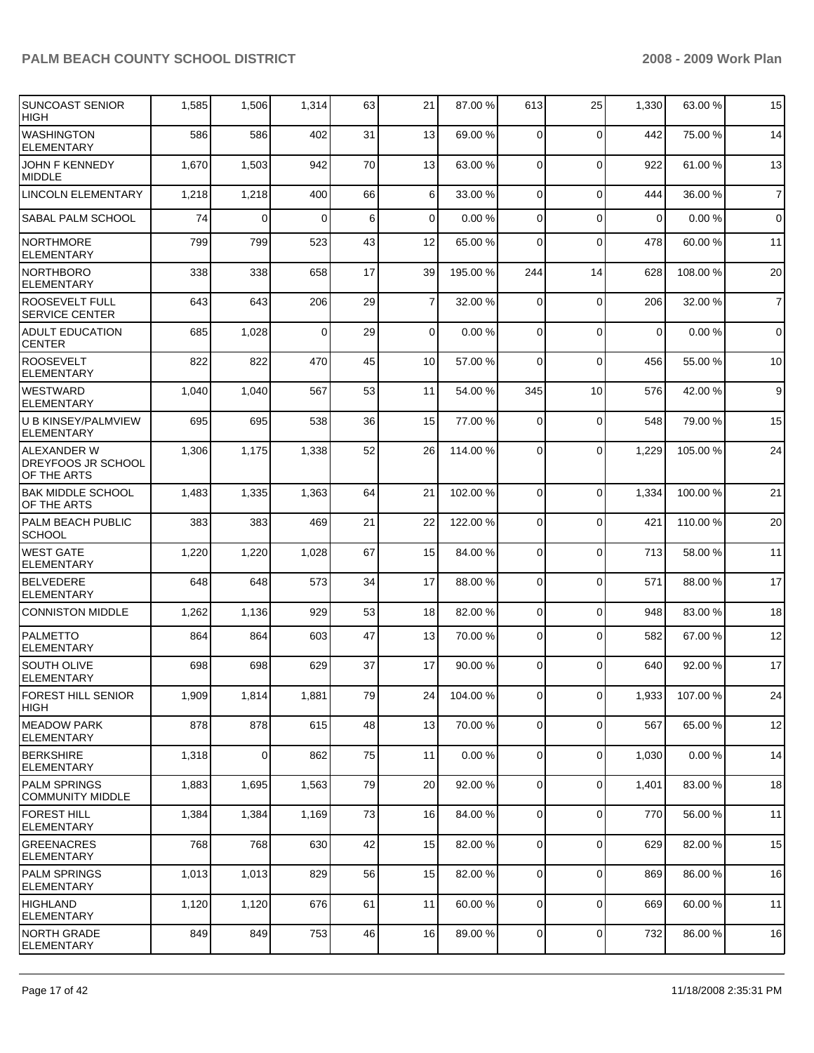| <b>SUNCOAST SENIOR</b><br><b>HIGH</b>                   | 1,585 | 1,506          | 1,314    | 63 | 21             | 87.00 %  | 613            | 25             | 1,330       | 63.00 %  | 15             |
|---------------------------------------------------------|-------|----------------|----------|----|----------------|----------|----------------|----------------|-------------|----------|----------------|
| <b>WASHINGTON</b><br><b>ELEMENTARY</b>                  | 586   | 586            | 402      | 31 | 13             | 69.00 %  | 0              | $\Omega$       | 442         | 75.00 %  | 14             |
| JOHN F KENNEDY<br><b>MIDDLE</b>                         | 1,670 | 1,503          | 942      | 70 | 13             | 63.00 %  | $\mathbf 0$    | $\Omega$       | 922         | 61.00 %  | 13             |
| <b>LINCOLN ELEMENTARY</b>                               | 1,218 | 1,218          | 400      | 66 | 6              | 33.00 %  | $\mathbf 0$    | $\Omega$       | 444         | 36.00 %  | $\overline{7}$ |
| SABAL PALM SCHOOL                                       | 74    | $\Omega$       | $\Omega$ | 6  | 0              | 0.00%    | 0              | $\Omega$       | $\Omega$    | 0.00%    | $\mathbf 0$    |
| <b>NORTHMORE</b><br><b>ELEMENTARY</b>                   | 799   | 799            | 523      | 43 | 12             | 65.00 %  | 0              | $\Omega$       | 478         | 60.00 %  | 11             |
| <b>NORTHBORO</b><br><b>ELEMENTARY</b>                   | 338   | 338            | 658      | 17 | 39             | 195.00 % | 244            | 14             | 628         | 108.00 % | 20             |
| <b>ROOSEVELT FULL</b><br><b>SERVICE CENTER</b>          | 643   | 643            | 206      | 29 | $\overline{7}$ | 32.00 %  | 0              | $\mathbf 0$    | 206         | 32.00 %  | $\overline{7}$ |
| <b>ADULT EDUCATION</b><br><b>CENTER</b>                 | 685   | 1,028          | 0        | 29 | $\overline{0}$ | 0.00%    | 0              | $\Omega$       | $\mathbf 0$ | 0.00%    | $\mathbf 0$    |
| <b>ROOSEVELT</b><br><b>ELEMENTARY</b>                   | 822   | 822            | 470      | 45 | 10             | 57.00 %  | 0              | $\mathbf 0$    | 456         | 55.00 %  | 10             |
| <b>WESTWARD</b><br><b>ELEMENTARY</b>                    | 1,040 | 1,040          | 567      | 53 | 11             | 54.00 %  | 345            | 10             | 576         | 42.00 %  | 9              |
| U B KINSEY/PALMVIEW<br><b>ELEMENTARY</b>                | 695   | 695            | 538      | 36 | 15             | 77.00 %  | $\mathbf 0$    | $\mathbf 0$    | 548         | 79.00 %  | 15             |
| <b>ALEXANDER W</b><br>DREYFOOS JR SCHOOL<br>OF THE ARTS | 1,306 | 1,175          | 1,338    | 52 | 26             | 114.00 % | $\Omega$       | $\Omega$       | 1,229       | 105.00 % | 24             |
| <b>BAK MIDDLE SCHOOL</b><br>OF THE ARTS                 | 1,483 | 1,335          | 1,363    | 64 | 21             | 102.00 % | $\Omega$       | $\Omega$       | 1,334       | 100.00 % | 21             |
| <b>PALM BEACH PUBLIC</b><br><b>SCHOOL</b>               | 383   | 383            | 469      | 21 | 22             | 122.00 % | $\mathbf 0$    | $\Omega$       | 421         | 110.00 % | 20             |
| <b>WEST GATE</b><br><b>ELEMENTARY</b>                   | 1,220 | 1,220          | 1,028    | 67 | 15             | 84.00 %  | 0              | $\mathbf 0$    | 713         | 58.00 %  | 11             |
| <b>BELVEDERE</b><br><b>ELEMENTARY</b>                   | 648   | 648            | 573      | 34 | 17             | 88.00 %  | $\Omega$       | $\Omega$       | 571         | 88.00 %  | 17             |
| <b>CONNISTON MIDDLE</b>                                 | 1,262 | 1,136          | 929      | 53 | 18             | 82.00 %  | $\mathbf 0$    | $\mathbf 0$    | 948         | 83.00 %  | 18             |
| PALMETTO<br><b>ELEMENTARY</b>                           | 864   | 864            | 603      | 47 | 13             | 70.00 %  | 0              | $\Omega$       | 582         | 67.00 %  | 12             |
| <b>SOUTH OLIVE</b><br><b>ELEMENTARY</b>                 | 698   | 698            | 629      | 37 | 17             | 90.00 %  | 0              | $\Omega$       | 640         | 92.00 %  | 17             |
| <b>FOREST HILL SENIOR</b><br><b>HIGH</b>                | 1,909 | 1,814          | 1,881    | 79 | 24             | 104.00 % | $\overline{0}$ | $\overline{0}$ | 1,933       | 107.00 % | 24             |
| <b>IMEADOW PARK</b><br><b>ELEMENTARY</b>                | 878   | 878            | 615      | 48 | 13             | 70.00 %  | $\overline{0}$ | $\Omega$       | 567         | 65.00 %  | 12             |
| <b>BERKSHIRE</b><br>ELEMENTARY                          | 1,318 | $\overline{0}$ | 862      | 75 | 11             | 0.00%    | $\overline{0}$ | $\mathbf 0$    | 1,030       | 0.00%    | 14             |
| <b>PALM SPRINGS</b><br><b>COMMUNITY MIDDLE</b>          | 1,883 | 1,695          | 1,563    | 79 | 20             | 92.00 %  | $\mathbf 0$    | $\mathbf 0$    | 1,401       | 83.00 %  | 18             |
| <b>FOREST HILL</b><br><b>ELEMENTARY</b>                 | 1,384 | 1,384          | 1,169    | 73 | 16             | 84.00 %  | 0              | $\mathbf 0$    | 770         | 56.00 %  | 11             |
| <b>GREENACRES</b><br>ELEMENTARY                         | 768   | 768            | 630      | 42 | 15             | 82.00 %  | $\overline{0}$ | $\mathbf 0$    | 629         | 82.00 %  | 15             |
| <b>PALM SPRINGS</b><br>ELEMENTARY                       | 1,013 | 1,013          | 829      | 56 | 15             | 82.00 %  | $\mathbf 0$    | $\mathbf 0$    | 869         | 86.00 %  | 16             |
| HIGHLAND<br><b>ELEMENTARY</b>                           | 1,120 | 1,120          | 676      | 61 | 11             | 60.00 %  | 0              | $\mathbf 0$    | 669         | 60.00 %  | 11             |
| NORTH GRADE<br>ELEMENTARY                               | 849   | 849            | 753      | 46 | 16             | 89.00 %  | 0              | $\mathbf 0$    | 732         | 86.00 %  | 16             |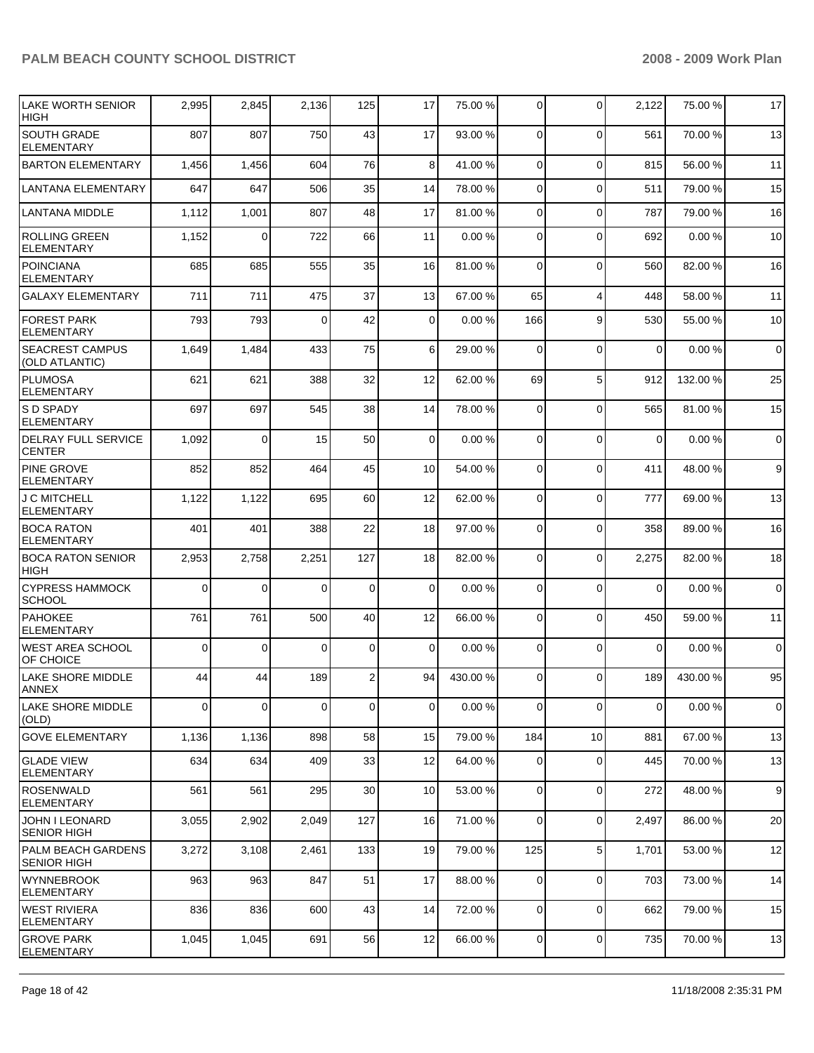| LAKE WORTH SENIOR<br><b>HIGH</b>            | 2,995       | 2,845    | 2,136       | 125            | 17             | 75.00 %  | 0              | $\Omega$       | 2,122       | 75.00 %  | 17               |
|---------------------------------------------|-------------|----------|-------------|----------------|----------------|----------|----------------|----------------|-------------|----------|------------------|
| <b>SOUTH GRADE</b><br><b>ELEMENTARY</b>     | 807         | 807      | 750         | 43             | 17             | 93.00 %  | 0              | $\Omega$       | 561         | 70.00 %  | 13               |
| <b>BARTON ELEMENTARY</b>                    | 1,456       | 1,456    | 604         | 76             | 8              | 41.00 %  | 0              | $\Omega$       | 815         | 56.00 %  | 11               |
| <b>LANTANA ELEMENTARY</b>                   | 647         | 647      | 506         | 35             | 14             | 78.00 %  | 0              | $\mathbf 0$    | 511         | 79.00 %  | 15               |
| <b>LANTANA MIDDLE</b>                       | 1,112       | 1,001    | 807         | 48             | 17             | 81.00 %  | 0              | $\Omega$       | 787         | 79.00 %  | 16               |
| <b>ROLLING GREEN</b><br><b>ELEMENTARY</b>   | 1,152       | 0        | 722         | 66             | 11             | 0.00%    | 0              | $\Omega$       | 692         | 0.00%    | 10               |
| POINCIANA<br><b>ELEMENTARY</b>              | 685         | 685      | 555         | 35             | 16             | 81.00%   | 0              | $\mathbf 0$    | 560         | 82.00 %  | 16               |
| <b>GALAXY ELEMENTARY</b>                    | 711         | 711      | 475         | 37             | 13             | 67.00 %  | 65             | $\overline{4}$ | 448         | 58.00 %  | 11               |
| <b>FOREST PARK</b><br><b>ELEMENTARY</b>     | 793         | 793      | 0           | 42             | 0              | 0.00%    | 166            | 9              | 530         | 55.00 %  | 10               |
| <b>SEACREST CAMPUS</b><br>(OLD ATLANTIC)    | 1,649       | 1,484    | 433         | 75             | 6              | 29.00 %  | $\mathbf 0$    | $\Omega$       | $\mathbf 0$ | 0.00%    | $\mathbf 0$      |
| PLUMOSA<br><b>ELEMENTARY</b>                | 621         | 621      | 388         | 32             | 12             | 62.00 %  | 69             | 5              | 912         | 132.00 % | 25               |
| <b>S D SPADY</b><br><b>ELEMENTARY</b>       | 697         | 697      | 545         | 38             | 14             | 78.00 %  | $\mathbf 0$    | $\Omega$       | 565         | 81.00%   | 15               |
| <b>DELRAY FULL SERVICE</b><br><b>CENTER</b> | 1,092       | $\Omega$ | 15          | 50             | $\mathbf 0$    | 0.00%    | $\Omega$       | $\Omega$       | $\mathbf 0$ | 0.00%    | $\mathbf 0$      |
| <b>PINE GROVE</b><br><b>ELEMENTARY</b>      | 852         | 852      | 464         | 45             | 10             | 54.00 %  | $\mathbf 0$    | $\Omega$       | 411         | 48.00 %  | 9                |
| J C MITCHELL<br><b>ELEMENTARY</b>           | 1,122       | 1,122    | 695         | 60             | 12             | 62.00 %  | $\mathbf 0$    | $\Omega$       | 777         | 69.00 %  | 13               |
| <b>BOCA RATON</b><br><b>ELEMENTARY</b>      | 401         | 401      | 388         | 22             | 18             | 97.00 %  | 0              | $\Omega$       | 358         | 89.00 %  | 16               |
| <b>BOCA RATON SENIOR</b><br><b>HIGH</b>     | 2,953       | 2,758    | 2,251       | 127            | 18             | 82.00 %  | 0              | $\Omega$       | 2,275       | 82.00 %  | 18               |
| <b>CYPRESS HAMMOCK</b><br>SCHOOL            | $\Omega$    | $\Omega$ | $\Omega$    | 0              | $\overline{0}$ | 0.00%    | 0              | $\Omega$       | $\mathbf 0$ | 0.00%    | $\mathbf 0$      |
| <b>PAHOKEE</b><br><b>ELEMENTARY</b>         | 761         | 761      | 500         | 40             | 12             | 66.00 %  | 0              | $\Omega$       | 450         | 59.00 %  | 11               |
| WEST AREA SCHOOL<br>OF CHOICE               | $\Omega$    | 0        | $\Omega$    | $\mathbf 0$    | 0              | 0.00%    | 0              | $\Omega$       | 0           | 0.00%    | $\mathbf 0$      |
| LAKE SHORE MIDDLE<br>ANNEX                  | 44          | 44       | 189         | $\overline{2}$ | 94             | 430.00 % | 0              | $\Omega$       | 189         | 430.00%  | 95               |
| <b>LAKE SHORE MIDDLE</b><br>(OLD)           | $\mathbf 0$ | 0        | $\mathbf 0$ | 0              | $\overline{0}$ | 0.00%    | $\mathbf 0$    | $\mathbf 0$    | 0           | 0.00%    | $\mathbf 0$      |
| <b>GOVE ELEMENTARY</b>                      | 1,136       | 1,136    | 898         | 58             | 15             | 79.00 %  | 184            | 10             | 881         | 67.00 %  | 13               |
| <b>GLADE VIEW</b><br>ELEMENTARY             | 634         | 634      | 409         | 33             | 12             | 64.00 %  | 0              | $\mathbf 0$    | 445         | 70.00 %  | 13               |
| <b>ROSENWALD</b><br>ELEMENTARY              | 561         | 561      | 295         | 30             | 10             | 53.00 %  | 0              | $\mathbf 0$    | 272         | 48.00 %  | $\boldsymbol{9}$ |
| JOHN I LEONARD<br><b>SENIOR HIGH</b>        | 3,055       | 2,902    | 2,049       | 127            | 16             | 71.00 %  | $\overline{0}$ | $\mathbf 0$    | 2,497       | 86.00 %  | 20               |
| PALM BEACH GARDENS<br><b>SENIOR HIGH</b>    | 3,272       | 3,108    | 2,461       | 133            | 19             | 79.00 %  | 125            | 5              | 1,701       | 53.00 %  | 12               |
| <b>WYNNEBROOK</b><br>ELEMENTARY             | 963         | 963      | 847         | 51             | 17             | 88.00 %  | 0              | $\mathbf 0$    | 703         | 73.00 %  | 14               |
| <b>WEST RIVIERA</b><br><b>ELEMENTARY</b>    | 836         | 836      | 600         | 43             | 14             | 72.00 %  | $\mathbf 0$    | $\Omega$       | 662         | 79.00 %  | 15               |
| <b>GROVE PARK</b><br><b>ELEMENTARY</b>      | 1,045       | 1,045    | 691         | 56             | 12             | 66.00 %  | $\mathbf 0$    | 0              | 735         | 70.00 %  | 13               |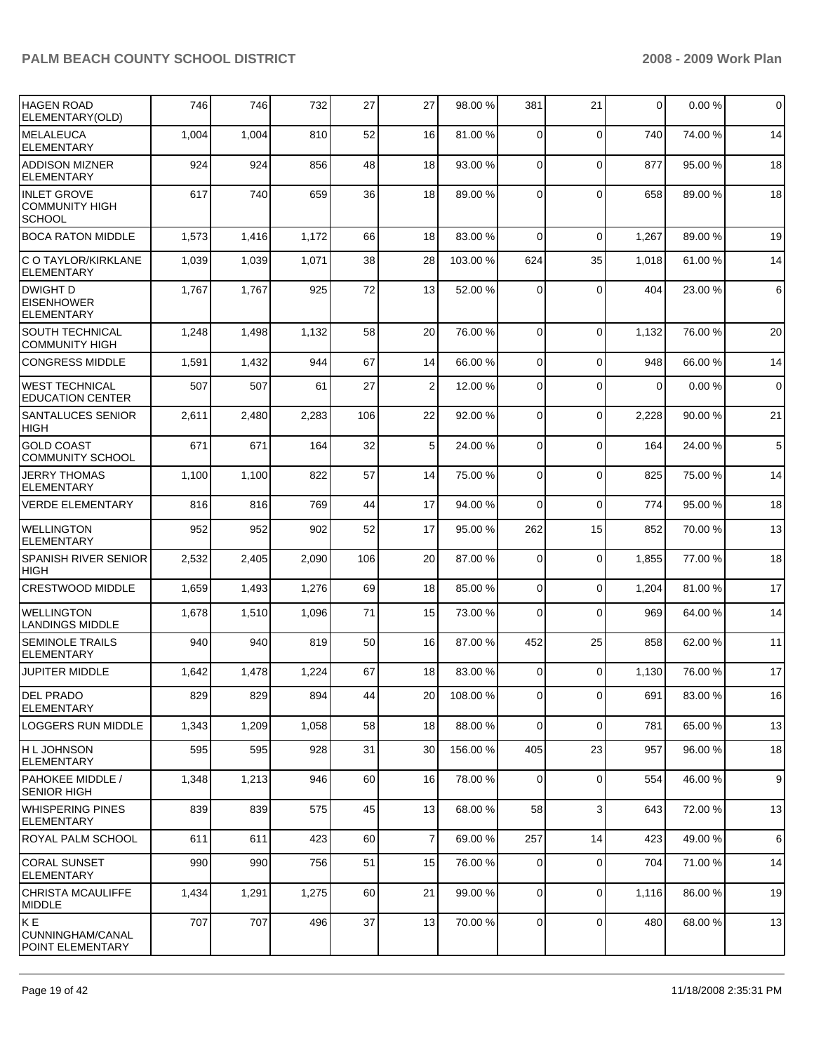| HAGEN ROAD<br>ELEMENTARY(OLD)                                | 746   | 746   | 732   | 27  | 27           | 98.00 %  | 381            | 21             | 0        | 0.00%   | $\mathbf 0$ |
|--------------------------------------------------------------|-------|-------|-------|-----|--------------|----------|----------------|----------------|----------|---------|-------------|
| <b>MELALEUCA</b><br><b>ELEMENTARY</b>                        | 1,004 | 1,004 | 810   | 52  | 16           | 81.00 %  | $\mathbf 0$    | $\Omega$       | 740      | 74.00 % | 14          |
| <b>ADDISON MIZNER</b><br><b>ELEMENTARY</b>                   | 924   | 924   | 856   | 48  | 18           | 93.00 %  | $\mathbf 0$    | $\Omega$       | 877      | 95.00 % | 18          |
| <b>INLET GROVE</b><br><b>COMMUNITY HIGH</b><br><b>SCHOOL</b> | 617   | 740   | 659   | 36  | 18           | 89.00 %  | $\Omega$       | $\Omega$       | 658      | 89.00 % | 18          |
| <b>BOCA RATON MIDDLE</b>                                     | 1,573 | 1,416 | 1,172 | 66  | 18           | 83.00 %  | $\mathbf 0$    | $\Omega$       | 1,267    | 89.00 % | 19          |
| C O TAYLOR/KIRKLANE<br><b>ELEMENTARY</b>                     | 1,039 | 1,039 | 1,071 | 38  | 28           | 103.00 % | 624            | 35             | 1,018    | 61.00 % | 14          |
| <b>DWIGHT D</b><br><b>EISENHOWER</b><br><b>ELEMENTARY</b>    | 1,767 | 1,767 | 925   | 72  | 13           | 52.00 %  | $\Omega$       | $\Omega$       | 404      | 23.00 % | $\,6\,$     |
| <b>SOUTH TECHNICAL</b><br><b>COMMUNITY HIGH</b>              | 1,248 | 1,498 | 1,132 | 58  | 20           | 76.00 %  | $\mathbf 0$    | $\Omega$       | 1,132    | 76.00 % | 20          |
| <b>CONGRESS MIDDLE</b>                                       | 1,591 | 1,432 | 944   | 67  | 14           | 66.00 %  | $\mathbf 0$    | $\Omega$       | 948      | 66.00 % | 14          |
| <b>WEST TECHNICAL</b><br><b>EDUCATION CENTER</b>             | 507   | 507   | 61    | 27  | $\mathbf{2}$ | 12.00 %  | $\mathbf 0$    | $\Omega$       | $\Omega$ | 0.00%   | $\mathbf 0$ |
| <b>SANTALUCES SENIOR</b><br><b>HIGH</b>                      | 2,611 | 2,480 | 2,283 | 106 | 22           | 92.00 %  | 0              | $\mathbf 0$    | 2,228    | 90.00 % | 21          |
| <b>GOLD COAST</b><br><b>COMMUNITY SCHOOL</b>                 | 671   | 671   | 164   | 32  | 5            | 24.00 %  | $\Omega$       | $\Omega$       | 164      | 24.00 % | $\,$ 5 $\,$ |
| <b>JERRY THOMAS</b><br><b>ELEMENTARY</b>                     | 1,100 | 1,100 | 822   | 57  | 14           | 75.00 %  | $\mathbf 0$    | $\Omega$       | 825      | 75.00 % | 14          |
| <b>VERDE ELEMENTARY</b>                                      | 816   | 816   | 769   | 44  | 17           | 94.00 %  | $\Omega$       | $\Omega$       | 774      | 95.00 % | 18          |
| <b>WELLINGTON</b><br><b>ELEMENTARY</b>                       | 952   | 952   | 902   | 52  | 17           | 95.00 %  | 262            | 15             | 852      | 70.00 % | 13          |
| <b>SPANISH RIVER SENIOR</b><br><b>HIGH</b>                   | 2,532 | 2,405 | 2,090 | 106 | 20           | 87.00 %  | 0              | $\Omega$       | 1,855    | 77.00 % | 18          |
| <b>CRESTWOOD MIDDLE</b>                                      | 1,659 | 1,493 | 1,276 | 69  | 18           | 85.00 %  | $\mathbf{0}$   | $\Omega$       | 1,204    | 81.00 % | 17          |
| <b>WELLINGTON</b><br><b>LANDINGS MIDDLE</b>                  | 1,678 | 1,510 | 1,096 | 71  | 15           | 73.00 %  | 0              | $\Omega$       | 969      | 64.00 % | 14          |
| <b>SEMINOLE TRAILS</b><br><b>ELEMENTARY</b>                  | 940   | 940   | 819   | 50  | 16           | 87.00 %  | 452            | 25             | 858      | 62.00 % | 11          |
| <b>JUPITER MIDDLE</b>                                        | 1,642 | 1,478 | 1,224 | 67  | 18           | 83.00 %  | $\mathbf 0$    | $\Omega$       | 1,130    | 76.00 % | 17          |
| <b>DEL PRADO</b><br><b>ELEMENTARY</b>                        | 829   | 829   | 894   | 44  | 20           | 108.00 % | $\overline{0}$ | $\overline{0}$ | 691      | 83.00 % | 16          |
| <b>LOGGERS RUN MIDDLE</b>                                    | 1,343 | 1,209 | 1,058 | 58  | 18           | 88.00 %  | 0              | $\Omega$       | 781      | 65.00 % | 13          |
| H L JOHNSON<br><b>ELEMENTARY</b>                             | 595   | 595   | 928   | 31  | 30           | 156.00 % | 405            | 23             | 957      | 96.00 % | 18          |
| <b>PAHOKEE MIDDLE /</b><br><b>SENIOR HIGH</b>                | 1,348 | 1,213 | 946   | 60  | 16           | 78.00 %  | $\mathbf 0$    | $\mathbf 0$    | 554      | 46.00 % | 9           |
| <b>WHISPERING PINES</b><br><b>ELEMENTARY</b>                 | 839   | 839   | 575   | 45  | 13           | 68.00 %  | 58             | 3              | 643      | 72.00 % | 13          |
| ROYAL PALM SCHOOL                                            | 611   | 611   | 423   | 60  | 7            | 69.00 %  | 257            | 14             | 423      | 49.00 % | 6           |
| <b>CORAL SUNSET</b><br><b>ELEMENTARY</b>                     | 990   | 990   | 756   | 51  | 15           | 76.00 %  | 0              | $\mathbf 0$    | 704      | 71.00 % | 14          |
| <b>CHRISTA MCAULIFFE</b><br><b>MIDDLE</b>                    | 1,434 | 1,291 | 1,275 | 60  | 21           | 99.00 %  | 0              | $\mathbf 0$    | 1,116    | 86.00 % | 19          |
| K E<br>CUNNINGHAM/CANAL<br>POINT ELEMENTARY                  | 707   | 707   | 496   | 37  | 13           | 70.00 %  | $\overline{0}$ | $\mathbf 0$    | 480      | 68.00 % | 13          |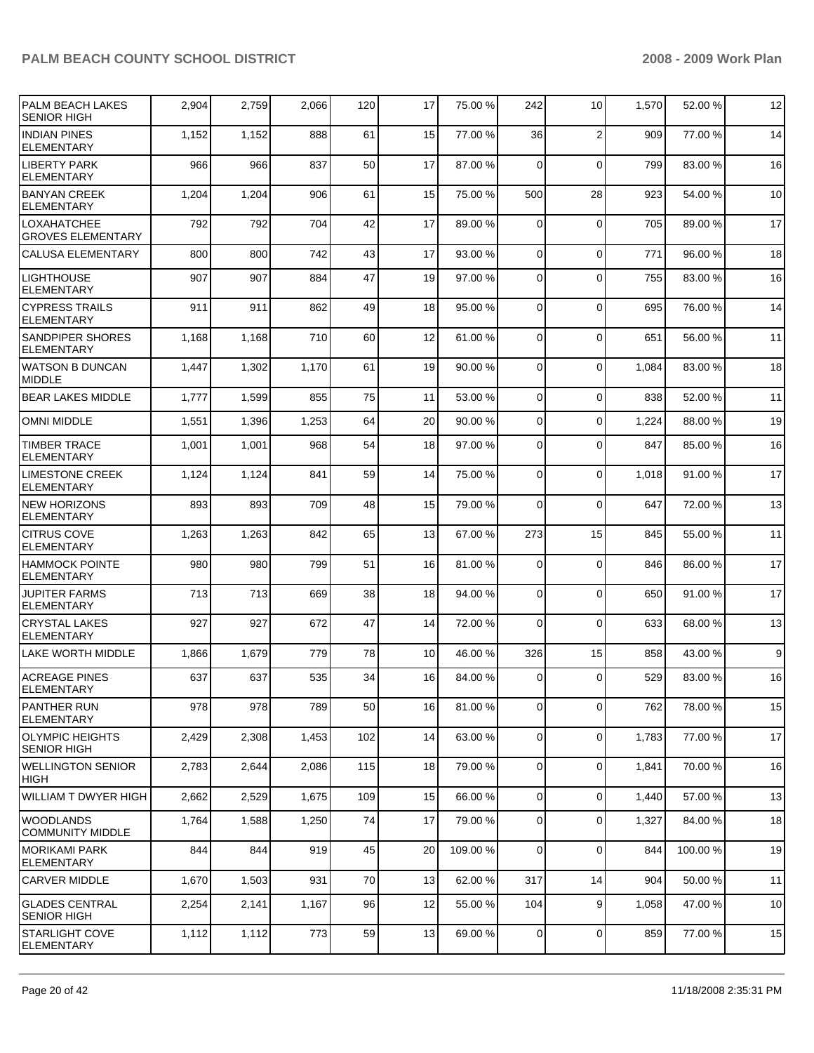| <b>PALM BEACH LAKES</b><br><b>SENIOR HIGH</b>  | 2,904 | 2,759 | 2,066 | 120 | 17 | 75.00 %  | 242         | 10             | 1,570 | 52.00 %  | 12               |
|------------------------------------------------|-------|-------|-------|-----|----|----------|-------------|----------------|-------|----------|------------------|
| <b>INDIAN PINES</b><br><b>ELEMENTARY</b>       | 1,152 | 1,152 | 888   | 61  | 15 | 77.00 %  | 36          | $\overline{2}$ | 909   | 77.00 %  | 14               |
| <b>LIBERTY PARK</b><br><b>ELEMENTARY</b>       | 966   | 966   | 837   | 50  | 17 | 87.00 %  | $\Omega$    | $\mathbf 0$    | 799   | 83.00 %  | 16               |
| <b>BANYAN CREEK</b><br><b>ELEMENTARY</b>       | 1,204 | 1,204 | 906   | 61  | 15 | 75.00 %  | 500         | 28             | 923   | 54.00 %  | 10               |
| <b>LOXAHATCHEE</b><br><b>GROVES ELEMENTARY</b> | 792   | 792   | 704   | 42  | 17 | 89.00 %  | $\Omega$    | $\mathbf 0$    | 705   | 89.00 %  | 17               |
| <b>CALUSA ELEMENTARY</b>                       | 800   | 800   | 742   | 43  | 17 | 93.00 %  | $\Omega$    | 0              | 771   | 96.00 %  | 18               |
| <b>LIGHTHOUSE</b><br><b>ELEMENTARY</b>         | 907   | 907   | 884   | 47  | 19 | 97.00 %  | $\Omega$    | $\Omega$       | 755   | 83.00 %  | 16               |
| <b>CYPRESS TRAILS</b><br><b>ELEMENTARY</b>     | 911   | 911   | 862   | 49  | 18 | 95.00 %  | $\Omega$    | $\Omega$       | 695   | 76.00 %  | 14               |
| <b>SANDPIPER SHORES</b><br><b>ELEMENTARY</b>   | 1,168 | 1,168 | 710   | 60  | 12 | 61.00 %  | $\Omega$    | $\Omega$       | 651   | 56.00 %  | 11               |
| <b>WATSON B DUNCAN</b><br><b>MIDDLE</b>        | 1,447 | 1,302 | 1,170 | 61  | 19 | 90.00 %  | $\Omega$    | $\Omega$       | 1,084 | 83.00 %  | 18               |
| <b>BEAR LAKES MIDDLE</b>                       | 1,777 | 1,599 | 855   | 75  | 11 | 53.00 %  | $\Omega$    | 0              | 838   | 52.00 %  | 11               |
| <b>OMNI MIDDLE</b>                             | 1,551 | 1,396 | 1,253 | 64  | 20 | 90.00 %  | $\Omega$    | 0              | 1,224 | 88.00 %  | 19               |
| <b>TIMBER TRACE</b><br><b>ELEMENTARY</b>       | 1,001 | 1,001 | 968   | 54  | 18 | 97.00 %  | $\Omega$    | $\Omega$       | 847   | 85.00 %  | 16               |
| <b>LIMESTONE CREEK</b><br><b>ELEMENTARY</b>    | 1,124 | 1,124 | 841   | 59  | 14 | 75.00 %  | 0           | $\Omega$       | 1,018 | 91.00 %  | 17               |
| <b>NEW HORIZONS</b><br><b>ELEMENTARY</b>       | 893   | 893   | 709   | 48  | 15 | 79.00 %  | $\Omega$    | $\Omega$       | 647   | 72.00 %  | 13               |
| <b>CITRUS COVE</b><br><b>ELEMENTARY</b>        | 1,263 | 1,263 | 842   | 65  | 13 | 67.00 %  | 273         | 15             | 845   | 55.00 %  | 11               |
| <b>HAMMOCK POINTE</b><br><b>ELEMENTARY</b>     | 980   | 980   | 799   | 51  | 16 | 81.00 %  | 0           | $\overline{0}$ | 846   | 86.00 %  | 17               |
| <b>JUPITER FARMS</b><br><b>ELEMENTARY</b>      | 713   | 713   | 669   | 38  | 18 | 94.00 %  | $\mathbf 0$ | $\Omega$       | 650   | 91.00 %  | 17               |
| <b>CRYSTAL LAKES</b><br><b>ELEMENTARY</b>      | 927   | 927   | 672   | 47  | 14 | 72.00 %  | 0           | $\mathbf 0$    | 633   | 68.00 %  | 13               |
| <b>LAKE WORTH MIDDLE</b>                       | 1,866 | 1,679 | 779   | 78  | 10 | 46.00 %  | 326         | 15             | 858   | 43.00 %  | $\boldsymbol{9}$ |
| <b>ACREAGE PINES</b><br><b>ELEMENTARY</b>      | 637   | 637   | 535   | 34  | 16 | 84.00 %  | $\Omega$    | $\Omega$       | 529   | 83.00 %  | 16               |
| <b>PANTHER RUN</b><br><b>ELEMENTARY</b>        | 978   | 978   | 789   | 50  | 16 | 81.00 %  | $\mathbf 0$ | 0              | 762   | 78.00 %  | 15               |
| OLYMPIC HEIGHTS<br><b>SENIOR HIGH</b>          | 2,429 | 2,308 | 1,453 | 102 | 14 | 63.00 %  | $\mathbf 0$ | 0              | 1,783 | 77.00 %  | 17               |
| <b>WELLINGTON SENIOR</b><br>HIGH               | 2,783 | 2,644 | 2,086 | 115 | 18 | 79.00 %  | $\mathbf 0$ | 0              | 1,841 | 70.00 %  | 16               |
| WILLIAM T DWYER HIGH                           | 2,662 | 2,529 | 1,675 | 109 | 15 | 66.00 %  | $\mathbf 0$ | 0              | 1,440 | 57.00 %  | 13               |
| <b>WOODLANDS</b><br><b>COMMUNITY MIDDLE</b>    | 1,764 | 1,588 | 1,250 | 74  | 17 | 79.00 %  | $\Omega$    | 0              | 1,327 | 84.00 %  | 18               |
| IMORIKAMI PARK<br><b>ELEMENTARY</b>            | 844   | 844   | 919   | 45  | 20 | 109.00 % | $\Omega$    | 0              | 844   | 100.00 % | 19               |
| <b>CARVER MIDDLE</b>                           | 1,670 | 1,503 | 931   | 70  | 13 | 62.00 %  | 317         | 14             | 904   | 50.00 %  | 11               |
| <b>GLADES CENTRAL</b><br><b>SENIOR HIGH</b>    | 2,254 | 2,141 | 1,167 | 96  | 12 | 55.00 %  | 104         | 9              | 1,058 | 47.00 %  | 10               |
| <b>STARLIGHT COVE</b><br><b>ELEMENTARY</b>     | 1,112 | 1,112 | 773   | 59  | 13 | 69.00 %  | 0           | 0              | 859   | 77.00 %  | 15               |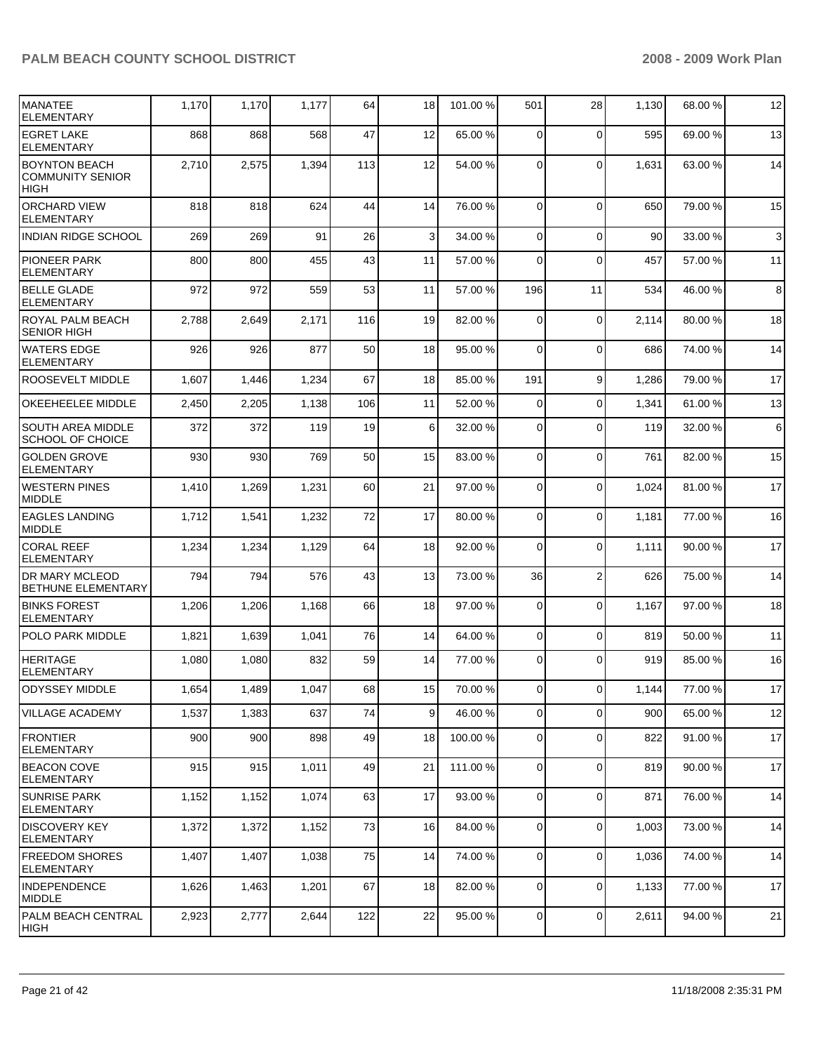| <b>IMANATEE</b><br><b>ELEMENTARY</b>                           | 1,170 | 1,170 | 1,177 | 64  | 18 | 101.00 % | 501            | 28             | 1,130 | 68.00 % | 12 |
|----------------------------------------------------------------|-------|-------|-------|-----|----|----------|----------------|----------------|-------|---------|----|
| <b>EGRET LAKE</b><br><b>ELEMENTARY</b>                         | 868   | 868   | 568   | 47  | 12 | 65.00 %  | 0              | $\mathbf 0$    | 595   | 69.00 % | 13 |
| <b>BOYNTON BEACH</b><br><b>COMMUNITY SENIOR</b><br><b>HIGH</b> | 2,710 | 2,575 | 1,394 | 113 | 12 | 54.00 %  | 0              | $\mathbf 0$    | 1,631 | 63.00 % | 14 |
| <b>ORCHARD VIEW</b><br><b>ELEMENTARY</b>                       | 818   | 818   | 624   | 44  | 14 | 76.00 %  | $\Omega$       | $\Omega$       | 650   | 79.00 % | 15 |
| <b>INDIAN RIDGE SCHOOL</b>                                     | 269   | 269   | 91    | 26  | 3  | 34.00 %  | 0              | $\mathbf 0$    | 90    | 33.00 % | 3  |
| <b>PIONEER PARK</b><br>ELEMENTARY                              | 800   | 800   | 455   | 43  | 11 | 57.00 %  | 0              | $\Omega$       | 457   | 57.00 % | 11 |
| <b>BELLE GLADE</b><br><b>ELEMENTARY</b>                        | 972   | 972   | 559   | 53  | 11 | 57.00 %  | 196            | 11             | 534   | 46.00 % | 8  |
| ROYAL PALM BEACH<br><b>SENIOR HIGH</b>                         | 2,788 | 2,649 | 2,171 | 116 | 19 | 82.00 %  | $\mathbf 0$    | $\mathbf 0$    | 2,114 | 80.00 % | 18 |
| <b>WATERS EDGE</b><br><b>ELEMENTARY</b>                        | 926   | 926   | 877   | 50  | 18 | 95.00 %  | $\Omega$       | $\Omega$       | 686   | 74.00 % | 14 |
| ROOSEVELT MIDDLE                                               | 1,607 | 1,446 | 1,234 | 67  | 18 | 85.00 %  | 191            | 9              | 1,286 | 79.00 % | 17 |
| OKEEHEELEE MIDDLE                                              | 2,450 | 2,205 | 1,138 | 106 | 11 | 52.00 %  | $\mathbf 0$    | $\mathbf 0$    | 1,341 | 61.00 % | 13 |
| SOUTH AREA MIDDLE<br><b>SCHOOL OF CHOICE</b>                   | 372   | 372   | 119   | 19  | 6  | 32.00 %  | 0              | $\Omega$       | 119   | 32.00 % | 6  |
| <b>GOLDEN GROVE</b><br><b>ELEMENTARY</b>                       | 930   | 930   | 769   | 50  | 15 | 83.00 %  | $\mathbf 0$    | $\Omega$       | 761   | 82.00 % | 15 |
| <b>WESTERN PINES</b><br><b>MIDDLE</b>                          | 1,410 | 1,269 | 1,231 | 60  | 21 | 97.00 %  | 0              | $\mathbf 0$    | 1,024 | 81.00 % | 17 |
| <b>EAGLES LANDING</b><br>MIDDLE                                | 1,712 | 1,541 | 1,232 | 72  | 17 | 80.00 %  | 0              | $\Omega$       | 1,181 | 77.00 % | 16 |
| <b>CORAL REEF</b><br><b>ELEMENTARY</b>                         | 1,234 | 1,234 | 1,129 | 64  | 18 | 92.00 %  | $\mathbf 0$    | $\Omega$       | 1,111 | 90.00 % | 17 |
| <b>DR MARY MCLEOD</b><br><b>BETHUNE ELEMENTARY</b>             | 794   | 794   | 576   | 43  | 13 | 73.00 %  | 36             | $\overline{2}$ | 626   | 75.00 % | 14 |
| <b>BINKS FOREST</b><br><b>ELEMENTARY</b>                       | 1,206 | 1,206 | 1,168 | 66  | 18 | 97.00 %  | 0              | $\Omega$       | 1,167 | 97.00 % | 18 |
| <b>POLO PARK MIDDLE</b>                                        | 1,821 | 1,639 | 1,041 | 76  | 14 | 64.00 %  | $\overline{0}$ | $\mathbf 0$    | 819   | 50.00 % | 11 |
| <b>HERITAGE</b><br><b>ELEMENTARY</b>                           | 1,080 | 1,080 | 832   | 59  | 14 | 77.00 %  | 0              | $\Omega$       | 919   | 85.00 % | 16 |
| ODYSSEY MIDDLE                                                 | 1,654 | 1,489 | 1,047 | 68  | 15 | 70.00 %  | $\overline{0}$ | $\circ$        | 1,144 | 77.00 % | 17 |
| VILLAGE ACADEMY                                                | 1,537 | 1,383 | 637   | 74  | 9  | 46.00 %  | $\overline{0}$ | $\Omega$       | 900   | 65.00 % | 12 |
| <b>FRONTIER</b><br>ELEMENTARY                                  | 900   | 900   | 898   | 49  | 18 | 100.00 % | $\overline{0}$ | $\mathbf 0$    | 822   | 91.00 % | 17 |
| <b>BEACON COVE</b><br>ELEMENTARY                               | 915   | 915   | 1,011 | 49  | 21 | 111.00 % | 0              | $\mathbf 0$    | 819   | 90.00 % | 17 |
| <b>SUNRISE PARK</b><br><b>ELEMENTARY</b>                       | 1,152 | 1,152 | 1,074 | 63  | 17 | 93.00 %  | 0              | $\mathbf 0$    | 871   | 76.00 % | 14 |
| DISCOVERY KEY<br>ELEMENTARY                                    | 1,372 | 1,372 | 1,152 | 73  | 16 | 84.00 %  | $\overline{0}$ | $\mathbf 0$    | 1,003 | 73.00 % | 14 |
| <b>FREEDOM SHORES</b><br>ELEMENTARY                            | 1,407 | 1,407 | 1,038 | 75  | 14 | 74.00 %  | $\mathbf 0$    | $\mathbf 0$    | 1,036 | 74.00 % | 14 |
| <b>INDEPENDENCE</b><br>MIDDLE                                  | 1,626 | 1,463 | 1,201 | 67  | 18 | 82.00 %  | 0              | $\mathbf 0$    | 1,133 | 77.00 % | 17 |
| PALM BEACH CENTRAL<br> HIGH                                    | 2,923 | 2,777 | 2,644 | 122 | 22 | 95.00 %  | 0              | $\mathbf 0$    | 2,611 | 94.00 % | 21 |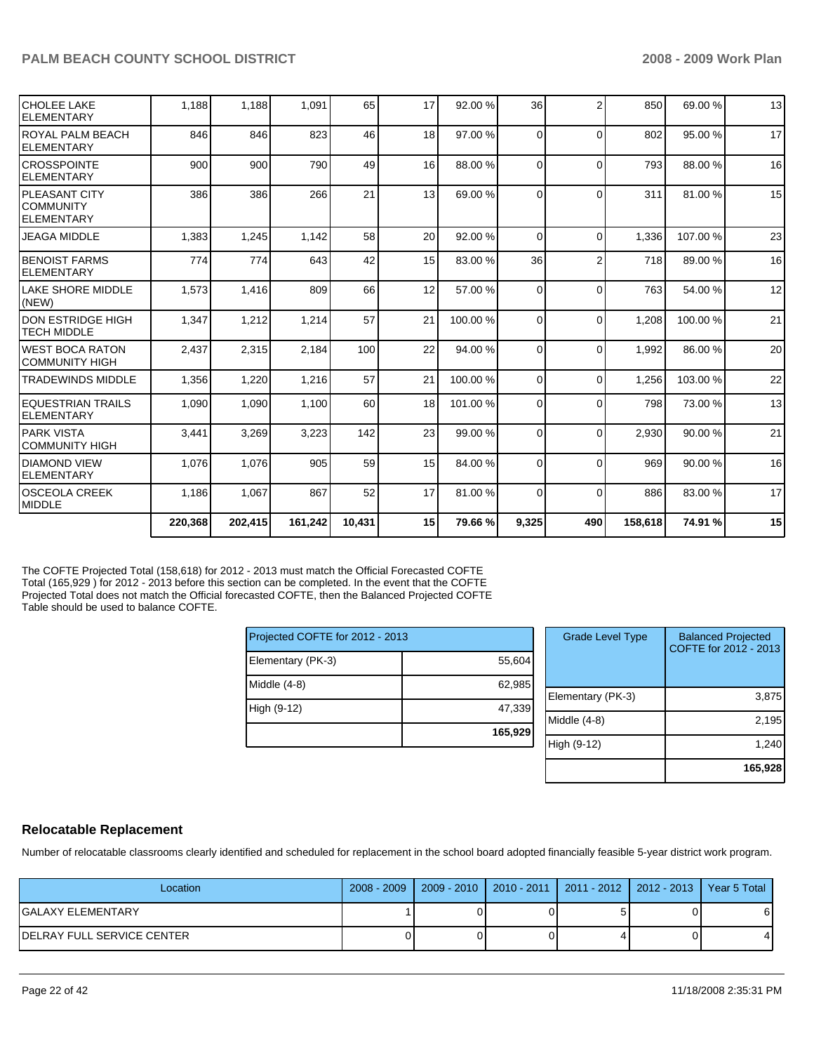| <b>CHOLEE LAKE</b><br>IELEMENTARY                         | 1.188   | 1,188   | 1,091   | 65     | 17 | 92.00 %  | 36             | $\overline{2}$ | 850     | 69.00 %  | 13     |
|-----------------------------------------------------------|---------|---------|---------|--------|----|----------|----------------|----------------|---------|----------|--------|
| IROYAL PALM BEACH<br>IELEMENTARY                          | 846     | 846     | 823     | 46     | 18 | 97.00 %  | $\Omega$       | $\Omega$       | 802     | 95.00 %  | 17     |
| ICROSSPOINTE<br>IELEMENTARY                               | 900     | 900     | 790     | 49     | 16 | 88.00 %  | $\Omega$       | $\Omega$       | 793     | 88.00 %  | 16     |
| <b>IPLEASANT CITY</b><br>ICOMMUNITY<br><b>IELEMENTARY</b> | 386     | 386     | 266     | 21     | 13 | 69.00 %  | $\Omega$       | $\Omega$       | 311     | 81.00 %  | 15     |
| <b>JEAGA MIDDLE</b>                                       | 1,383   | 1,245   | 1,142   | 58     | 20 | 92.00 %  | $\Omega$       | $\Omega$       | 1,336   | 107.00 % | 23     |
| <b>IBENOIST FARMS</b><br>IELEMENTARY                      | 774     | 774     | 643     | 42     | 15 | 83.00 %  | 36             | $\overline{2}$ | 718     | 89.00 %  | 16     |
| llake SHORE MIDDLE<br>(NEW)                               | 1,573   | 1,416   | 809     | 66     | 12 | 57.00 %  | $\Omega$       | $\Omega$       | 763     | 54.00 %  | 12     |
| IDON ESTRIDGE HIGH<br>ITECH MIDDLE                        | 1,347   | 1,212   | 1,214   | 57     | 21 | 100.00 % | $\Omega$       | $\Omega$       | 1,208   | 100.00 % | 21     |
| IWEST BOCA RATON<br>ICOMMUNITY HIGH                       | 2,437   | 2,315   | 2,184   | 100    | 22 | 94.00 %  | $\Omega$       | $\Omega$       | 1,992   | 86.00 %  | $20\,$ |
| <b>TRADEWINDS MIDDLE</b>                                  | 1,356   | 1,220   | 1,216   | 57     | 21 | 100.00 % | $\Omega$       | $\Omega$       | 1.256   | 103.00 % | 22     |
| <b>IEQUESTRIAN TRAILS</b><br>IELEMENTARY                  | 1,090   | 1,090   | 1,100   | 60     | 18 | 101.00 % | $\Omega$       | $\Omega$       | 798     | 73.00 %  | 13     |
| <b>PARK VISTA</b><br><b>COMMUNITY HIGH</b>                | 3,441   | 3,269   | 3,223   | 142    | 23 | 99.00 %  | $\Omega$       | $\Omega$       | 2,930   | 90.00 %  | 21     |
| IDIAMOND VIEW<br>IELEMENTARY                              | 1,076   | 1,076   | 905     | 59     | 15 | 84.00 %  | $\Omega$       | $\Omega$       | 969     | 90.00 %  | 16     |
| <b>OSCEOLA CREEK</b><br>MIDDLE                            | 1,186   | 1,067   | 867     | 52     | 17 | 81.00 %  | $\overline{0}$ | $\Omega$       | 886     | 83.00 %  | 17     |
|                                                           | 220,368 | 202,415 | 161,242 | 10.431 | 15 | 79.66%   | 9,325          | 490            | 158.618 | 74.91 %  | 15     |

The COFTE Projected Total (158,618) for 2012 - 2013 must match the Official Forecasted COFTE Total (165,929) for 2012 - 2013 before this section can be completed. In the event that the COFTE Projected Total does not match the Official forecasted COFTE, then the Balanced Projected COFTE Table should be used to balance COFTE.

| Projected COFTE for 2012 - 2013 |         |  |  |  |  |  |  |
|---------------------------------|---------|--|--|--|--|--|--|
| Elementary (PK-3)               | 55,604  |  |  |  |  |  |  |
| Middle (4-8)                    | 62,985  |  |  |  |  |  |  |
| High (9-12)                     | 47,339  |  |  |  |  |  |  |
|                                 | 165,929 |  |  |  |  |  |  |

| <b>Grade Level Type</b> | <b>Balanced Projected</b><br>COFTE for 2012 - 2013 |
|-------------------------|----------------------------------------------------|
| Elementary (PK-3)       | 3,875                                              |
| Middle $(4-8)$          | 2,195                                              |
| High (9-12)             | 1,240                                              |
|                         | 165,928                                            |

## **Relocatable Replacement**

Number of relocatable classrooms clearly identified and scheduled for replacement in the school board adopted financially feasible 5-year district work program.

| Location                           | 2008 - 2009   2009 - 2010   2010 - 2011   2011 - 2012   2012 - 2013   Year 5 Total |  |    |
|------------------------------------|------------------------------------------------------------------------------------|--|----|
| lGALAXY ELEMENTARY                 |                                                                                    |  | οı |
| <b>IDELRAY FULL SERVICE CENTER</b> |                                                                                    |  | 41 |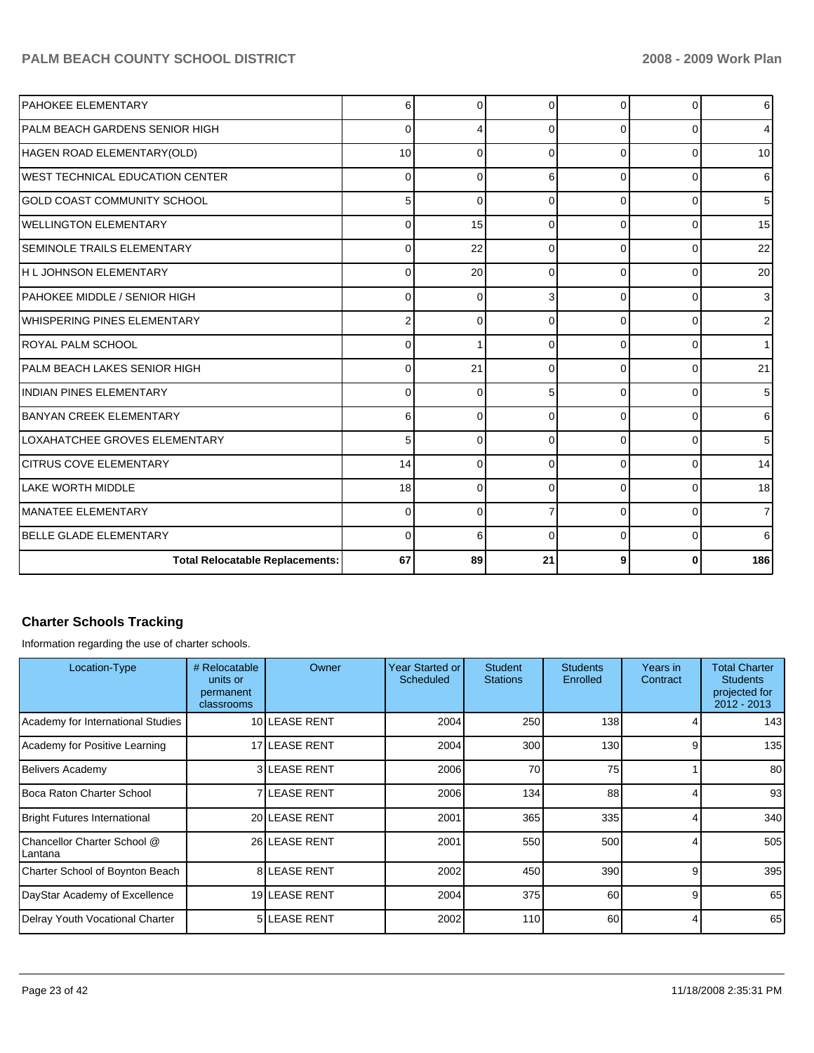| <b>PAHOKEE ELEMENTARY</b>              | 6                       | $\Omega$ | $\Omega$ | $\Omega$ | 0        | 6   |
|----------------------------------------|-------------------------|----------|----------|----------|----------|-----|
| PALM BEACH GARDENS SENIOR HIGH         | $\mathbf 0$             | 4        | $\Omega$ | $\Omega$ | 0        | 4   |
| HAGEN ROAD ELEMENTARY(OLD)             | 10                      | $\Omega$ | $\Omega$ | $\Omega$ | 0        | 10  |
| IWEST TECHNICAL EDUCATION CENTER       | $\mathbf 0$             | $\Omega$ | 6        | $\Omega$ | 0        | 6   |
| GOLD COAST COMMUNITY SCHOOL            | 5                       | $\Omega$ | $\Omega$ | $\Omega$ | 0        | 5   |
| <b>I</b> WELLINGTON ELEMENTARY         | $\mathbf 0$             | 15       | $\Omega$ | $\Omega$ | 0        | 15  |
| <b>SEMINOLE TRAILS ELEMENTARY</b>      | $\mathbf 0$             | 22       | $\Omega$ | $\Omega$ | 0        | 22  |
| H L JOHNSON ELEMENTARY                 | $\mathbf 0$             | 20       | $\Omega$ | $\Omega$ | 0        | 20  |
| PAHOKEE MIDDLE / SENIOR HIGH           | $\mathbf 0$             | $\Omega$ | 3        | $\Omega$ | 0        | 3   |
| WHISPERING PINES ELEMENTARY            | $\overline{\mathbf{c}}$ | $\Omega$ | $\Omega$ | $\Omega$ | 0        | 2   |
| IROYAL PALM SCHOOL                     | $\mathbf 0$             |          | $\Omega$ | $\Omega$ | 0        |     |
| PALM BEACH LAKES SENIOR HIGH           | $\mathbf 0$             | 21       | $\Omega$ | $\Omega$ | 0        | 21  |
| IINDIAN PINES ELEMENTARY               | $\mathbf 0$             | $\Omega$ | 5        | $\Omega$ | 0        | 5   |
| <b>BANYAN CREEK ELEMENTARY</b>         | 6                       | $\Omega$ | $\Omega$ | $\Omega$ | 0        | 6   |
| LOXAHATCHEE GROVES ELEMENTARY          | 5                       | $\Omega$ | $\Omega$ | $\Omega$ | $\Omega$ | 5   |
| <b>ICITRUS COVE ELEMENTARY</b>         | 14                      | 0        | $\Omega$ | $\Omega$ | 0        | 14  |
| LAKE WORTH MIDDLE                      | 18                      | $\Omega$ | $\Omega$ | $\Omega$ | 0        | 18  |
| IMANATEE ELEMENTARY                    | $\mathbf 0$             | $\Omega$ | 7        | $\Omega$ | 0        | 7   |
| <b>IBELLE GLADE ELEMENTARY</b>         | $\mathbf 0$             | 6        | $\Omega$ | $\Omega$ | 0        | 6   |
| <b>Total Relocatable Replacements:</b> | 67                      | 89       | 21       | 9        |          | 186 |

## **Charter Schools Tracking**

Information regarding the use of charter schools.

| Location-Type                          | # Relocatable<br>units or<br>permanent<br>classrooms | Owner               | Year Started or<br><b>Scheduled</b> | <b>Student</b><br><b>Stations</b> | <b>Students</b><br>Enrolled | Years in<br>Contract | <b>Total Charter</b><br><b>Students</b><br>projected for<br>2012 - 2013 |
|----------------------------------------|------------------------------------------------------|---------------------|-------------------------------------|-----------------------------------|-----------------------------|----------------------|-------------------------------------------------------------------------|
| Academy for International Studies      |                                                      | 10 LEASE RENT       | 2004                                | 250                               | 138                         |                      | 143                                                                     |
| Academy for Positive Learning          |                                                      | 17 LEASE RENT       | 2004                                | 300                               | 130                         | 9                    | 135                                                                     |
| Belivers Academy                       |                                                      | <b>3ILEASE RENT</b> | 2006                                | 70                                | 75                          |                      | 80                                                                      |
| Boca Raton Charter School              |                                                      | <b>7ILEASE RENT</b> | 2006                                | 134                               | 88                          |                      | 93                                                                      |
| <b>Bright Futures International</b>    |                                                      | 20 LEASE RENT       | 2001                                | 365                               | 335                         |                      | 340                                                                     |
| Chancellor Charter School @<br>Lantana |                                                      | 26 LEASE RENT       | 2001                                | 550                               | 500                         |                      | 505                                                                     |
| Charter School of Boynton Beach        |                                                      | <b>8ILEASE RENT</b> | 2002                                | 450                               | 390                         | 9                    | 395                                                                     |
| DayStar Academy of Excellence          |                                                      | 19 LEASE RENT       | 2004                                | 375                               | 60                          | 9                    | 65                                                                      |
| Delray Youth Vocational Charter        |                                                      | <b>5 LEASE RENT</b> | 2002                                | 110                               | 60                          | 4                    | 65                                                                      |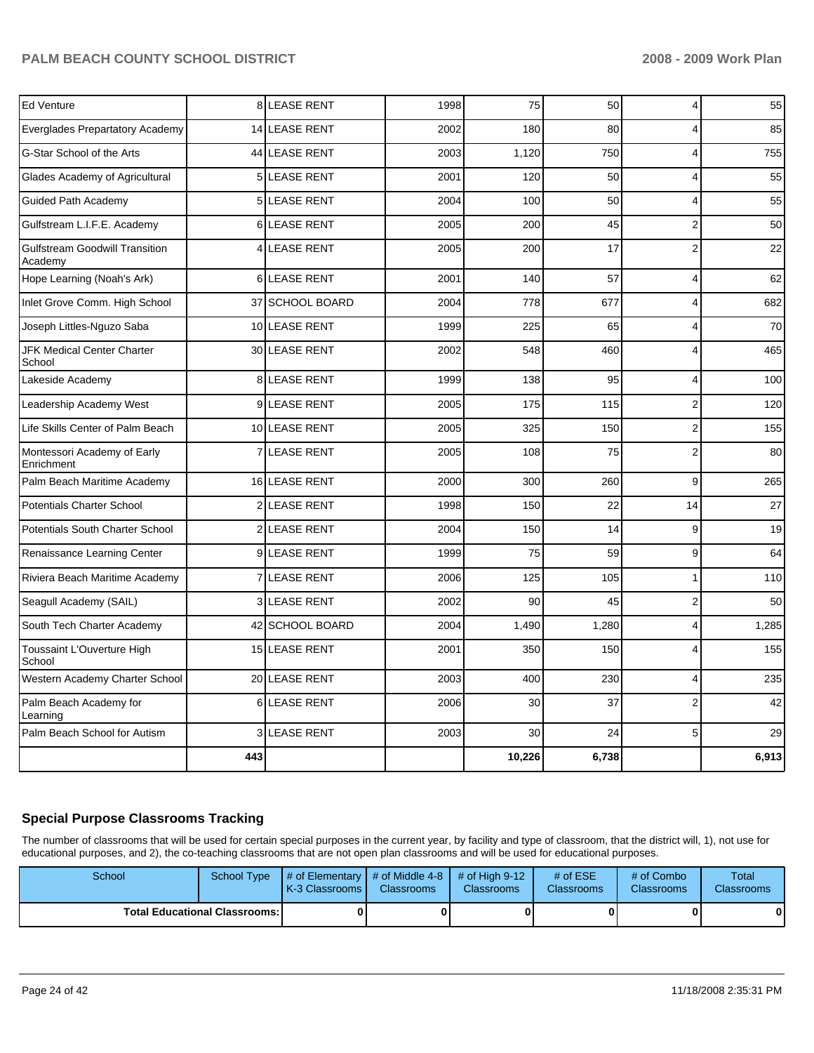| <b>Ed Venture</b>                                |                | <b>8 LEASE RENT</b> | 1998 | 75     | 50    | $\overline{4}$          | 55    |
|--------------------------------------------------|----------------|---------------------|------|--------|-------|-------------------------|-------|
| Everglades Prepartatory Academy                  |                | 14 LEASE RENT       | 2002 | 180    | 80    | 4                       | 85    |
| G-Star School of the Arts                        |                | 44 LEASE RENT       | 2003 | 1,120  | 750   | 4                       | 755   |
| Glades Academy of Agricultural                   |                | 5 LEASE RENT        | 2001 | 120    | 50    | 4                       | 55    |
| <b>Guided Path Academy</b>                       |                | 5 LEASE RENT        | 2004 | 100    | 50    | 4                       | 55    |
| Gulfstream L.I.F.E. Academy                      | 6              | LEASE RENT          | 2005 | 200    | 45    | $\overline{c}$          | 50    |
| <b>Gulfstream Goodwill Transition</b><br>Academy | 4              | <b>LEASE RENT</b>   | 2005 | 200    | 17    | $\overline{c}$          | 22    |
| Hope Learning (Noah's Ark)                       |                | 6LEASE RENT         | 2001 | 140    | 57    | 4                       | 62    |
| Inlet Grove Comm. High School                    |                | 37 SCHOOL BOARD     | 2004 | 778    | 677   | 4                       | 682   |
| Joseph Littles-Nguzo Saba                        |                | 10 LEASE RENT       | 1999 | 225    | 65    | 4                       | 70    |
| JFK Medical Center Charter<br>School             |                | 30 LEASE RENT       | 2002 | 548    | 460   | $\overline{4}$          | 465   |
| Lakeside Academy                                 |                | 8 LEASE RENT        | 1999 | 138    | 95    | $\overline{\mathbf{4}}$ | 100   |
| Leadership Academy West                          |                | 9 LEASE RENT        | 2005 | 175    | 115   | $\overline{2}$          | 120   |
| Life Skills Center of Palm Beach                 |                | 10 LEASE RENT       | 2005 | 325    | 150   | $\overline{2}$          | 155   |
| Montessori Academy of Early<br>Enrichment        | $\overline{7}$ | <b>LEASE RENT</b>   | 2005 | 108    | 75    | $\overline{c}$          | 80    |
| Palm Beach Maritime Academy                      |                | 16 LEASE RENT       | 2000 | 300    | 260   | 9                       | 265   |
| <b>Potentials Charter School</b>                 |                | 2 LEASE RENT        | 1998 | 150    | 22    | 14                      | 27    |
| Potentials South Charter School                  |                | 2 LEASE RENT        | 2004 | 150    | 14    | 9                       | 19    |
| Renaissance Learning Center                      |                | <b>9ILEASE RENT</b> | 1999 | 75     | 59    | 9                       | 64    |
| Riviera Beach Maritime Academy                   | $\overline{7}$ | LEASE RENT          | 2006 | 125    | 105   | 1                       | 110   |
| Seagull Academy (SAIL)                           |                | 3 LEASE RENT        | 2002 | 90     | 45    | $\overline{c}$          | 50    |
| South Tech Charter Academy                       |                | 42 SCHOOL BOARD     | 2004 | 1,490  | 1,280 | 4                       | 1,285 |
| Toussaint L'Ouverture High<br>School             |                | 15 LEASE RENT       | 2001 | 350    | 150   | 4                       | 155   |
| Western Academy Charter School                   |                | 20 LEASE RENT       | 2003 | 400    | 230   | 4                       | 235   |
| Palm Beach Academy for<br>Learning               | 6              | <b>LEASE RENT</b>   | 2006 | 30     | 37    | $\overline{2}$          | 42    |
| Palm Beach School for Autism                     |                | 3 LEASE RENT        | 2003 | 30     | 24    | 5                       | 29    |
|                                                  | 443            |                     |      | 10,226 | 6,738 |                         | 6,913 |

## **Special Purpose Classrooms Tracking**

The number of classrooms that will be used for certain special purposes in the current year, by facility and type of classroom, that the district will, 1), not use for educational purposes, and 2), the co-teaching classrooms that are not open plan classrooms and will be used for educational purposes.

| School                                 | School Type | $\parallel$ # of Elementary $\parallel$ # of Middle 4-8 $\parallel$ # of High 9-12<br><b>IK-3 Classrooms I</b> | <b>Classrooms</b> | <b>Classrooms</b> | # of $ESE$<br>Classrooms | # of Combo<br><b>Classrooms</b> | <b>Total</b><br><b>Classrooms</b> |
|----------------------------------------|-------------|----------------------------------------------------------------------------------------------------------------|-------------------|-------------------|--------------------------|---------------------------------|-----------------------------------|
| <b>Total Educational Classrooms: I</b> |             |                                                                                                                |                   |                   |                          | 01                              | 0                                 |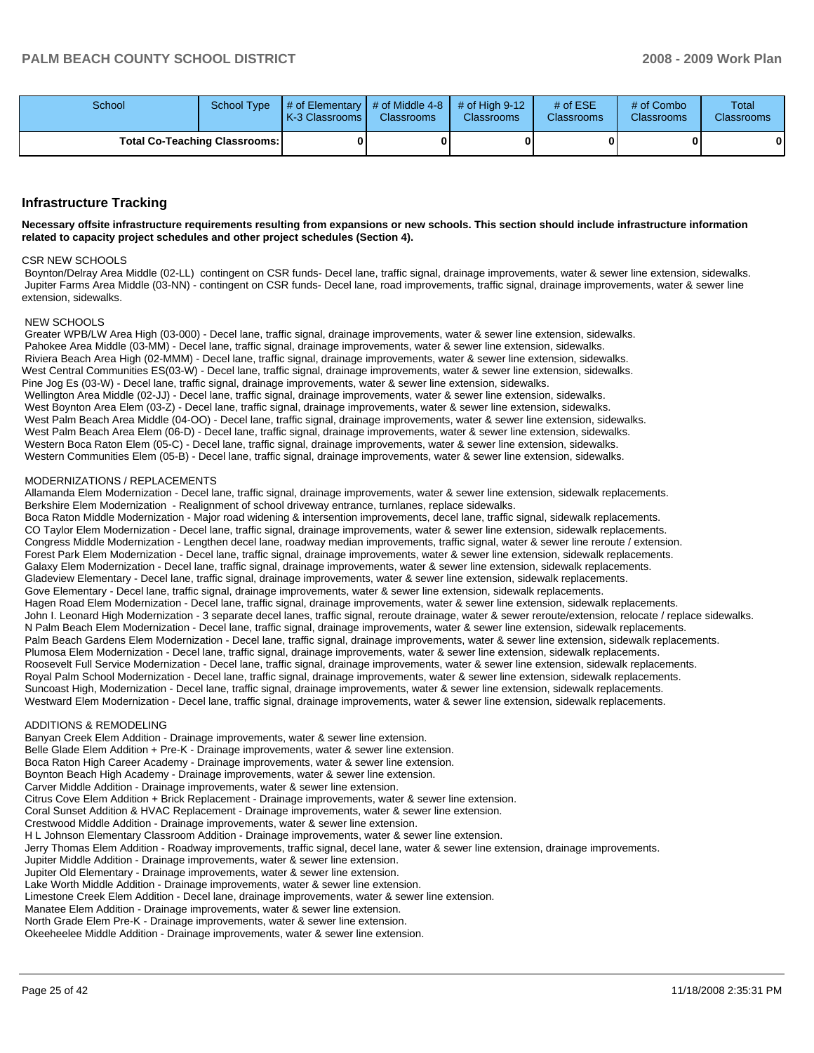| School | School Type                          | # of Elementary  # of Middle 4-8  # of High 9-12<br><b>IK-3 Classrooms I</b> | <b>Classrooms</b> | <b>Classrooms</b> | $#$ of ESE<br><b>Classrooms</b> | # of Combo<br><b>Classrooms</b> | Total<br><b>Classrooms</b> |
|--------|--------------------------------------|------------------------------------------------------------------------------|-------------------|-------------------|---------------------------------|---------------------------------|----------------------------|
|        | <b>Total Co-Teaching Classrooms:</b> |                                                                              |                   |                   |                                 |                                 |                            |

#### **Infrastructure Tracking**

Necessary offsite infrastructure requirements resulting from expansions or new schools. This section should include infrastructure information related to capacity project schedules and other project schedules (Section 4).

#### **CSR NEW SCHOOLS**

Boynton/Delray Area Middle (02-LL) contingent on CSR funds- Decel lane, traffic signal, drainage improvements, water & sewer line extension, sidewalks. Jupiter Farms Area Middle (03-NN) - contingent on CSR funds- Decel lane, road improvements, traffic signal, drainage improvements, water & sewer line extension, sidewalks

#### NEW SCHOOLS

Greater WPB/LW Area High (03-000) - Decel lane, traffic signal, drainage improvements, water & sewer line extension, sidewalks, Pahokee Area Middle (03-MM) - Decel lane, traffic signal, drainage improvements, water & sewer line extension, sidewalks. Riviera Beach Area High (02-MMM) - Decel lane, traffic signal, drainage improvements, water & sewer line extension, sidewalks. West Central Communities ES(03-W) - Decel lane, traffic signal, drainage improvements, water & sewer line extension, sidewalks. Pine Jog Es (03-W) - Decel lane, traffic signal, drainage improvements, water & sewer line extension, sidewalks, Wellington Area Middle (02-JJ) - Decel lane, traffic signal, drainage improvements, water & sewer line extension, sidewalks. West Boynton Area Elem (03-Z) - Decel lane, traffic signal, drainage improvements, water & sewer line extension, sidewalks. West Palm Beach Area Middle (04-OO) - Decel lane, traffic signal, drainage improvements, water & sewer line extension, sidewalks. West Palm Beach Area Elem (06-D) - Decel lane, traffic signal, drainage improvements, water & sewer line extension, sidewalks. Western Boca Raton Elem (05-C) - Decel lane, traffic signal, drainage improvements, water & sewer line extension, sidewalks. Western Communities Elem (05-B) - Decel lane, traffic signal, drainage improvements, water & sewer line extension, sidewalks.

#### MODERNIZATIONS / REPLACEMENTS

Allamanda Elem Modernization - Decel lane, traffic signal, drainage improvements, water & sewer line extension, sidewalk replacements. Berkshire Elem Modernization - Realignment of school driveway entrance, turnlanes, replace sidewalks.

Boca Raton Middle Modernization - Major road widening & intersention improvements, decel lane, traffic signal, sidewalk replacements. CO Taylor Elem Modernization - Decel lane, traffic signal, drainage improvements, water & sewer line extension, sidewalk replacements. Congress Middle Modernization - Lengthen decel lane, roadway median improvements, traffic signal, water & sewer line reroute / extension. Forest Park Elem Modernization - Decel lane, traffic signal, drainage improvements, water & sewer line extension, sidewalk replacements. Galaxy Elem Modernization - Decel lane, traffic signal, drainage improvements, water & sewer line extension, sidewalk replacements. Gladeview Elementary - Decel lane, traffic signal, drainage improvements, water & sewer line extension, sidewalk replacements. Gove Elementary - Decel lane, traffic signal, drainage improvements, water & sewer line extension, sidewalk replacements. Hagen Road Elem Modernization - Decel lane, traffic signal, drainage improvements, water & sewer line extension, sidewalk replacements. John I. Leonard High Modernization - 3 separate decel lanes, traffic signal, reroute drainage, water & sewer reroute/extension, relocate / replace sidewalks. N Palm Beach Elem Modernization - Decel lane, traffic signal, drainage improvements, water & sewer line extension, sidewalk replacements. Palm Beach Gardens Elem Modernization - Decel lane, traffic signal, drainage improvements, water & sewer line extension, sidewalk replacements. Plumosa Elem Modernization - Decel lane, traffic signal, drainage improvements, water & sewer line extension, sidewalk replacements. Roosevelt Full Service Modernization - Decel lane, traffic signal, drainage improvements, water & sewer line extension, sidewalk replacements. Royal Palm School Modernization - Decel lane, traffic signal, drainage improvements, water & sewer line extension, sidewalk replacements. Suncoast High, Modernization - Decel lane, traffic signal, drainage improvements, water & sewer line extension, sidewalk replacements. Westward Elem Modernization - Decel lane, traffic signal, drainage improvements, water & sewer line extension, sidewalk replacements.

#### ADDITIONS & REMODELING

Banyan Creek Elem Addition - Drainage improvements, water & sewer line extension. Belle Glade Elem Addition + Pre-K - Drainage improvements, water & sewer line extension. Boca Raton High Career Academy - Drainage improvements, water & sewer line extension. Boynton Beach High Academy - Drainage improvements, water & sewer line extension. Carver Middle Addition - Drainage improvements, water & sewer line extension. Citrus Cove Elem Addition + Brick Replacement - Drainage improvements, water & sewer line extension. Coral Sunset Addition & HVAC Replacement - Drainage improvements, water & sewer line extension. Crestwood Middle Addition - Drainage improvements, water & sewer line extension. H L Johnson Elementary Classroom Addition - Drainage improvements, water & sewer line extension. Jerry Thomas Elem Addition - Roadway improvements, traffic signal, decel lane, water & sewer line extension, drainage improvements. Jupiter Middle Addition - Drainage improvements, water & sewer line extension. Jupiter Old Elementary - Drainage improvements, water & sewer line extension. Lake Worth Middle Addition - Drainage improvements, water & sewer line extension. Limestone Creek Elem Addition - Decel lane, drainage improvements, water & sewer line extension. Manatee Elem Addition - Drainage improvements, water & sewer line extension. North Grade Elem Pre-K - Drainage improvements, water & sewer line extension. Okeeheelee Middle Addition - Drainage improvements, water & sewer line extension.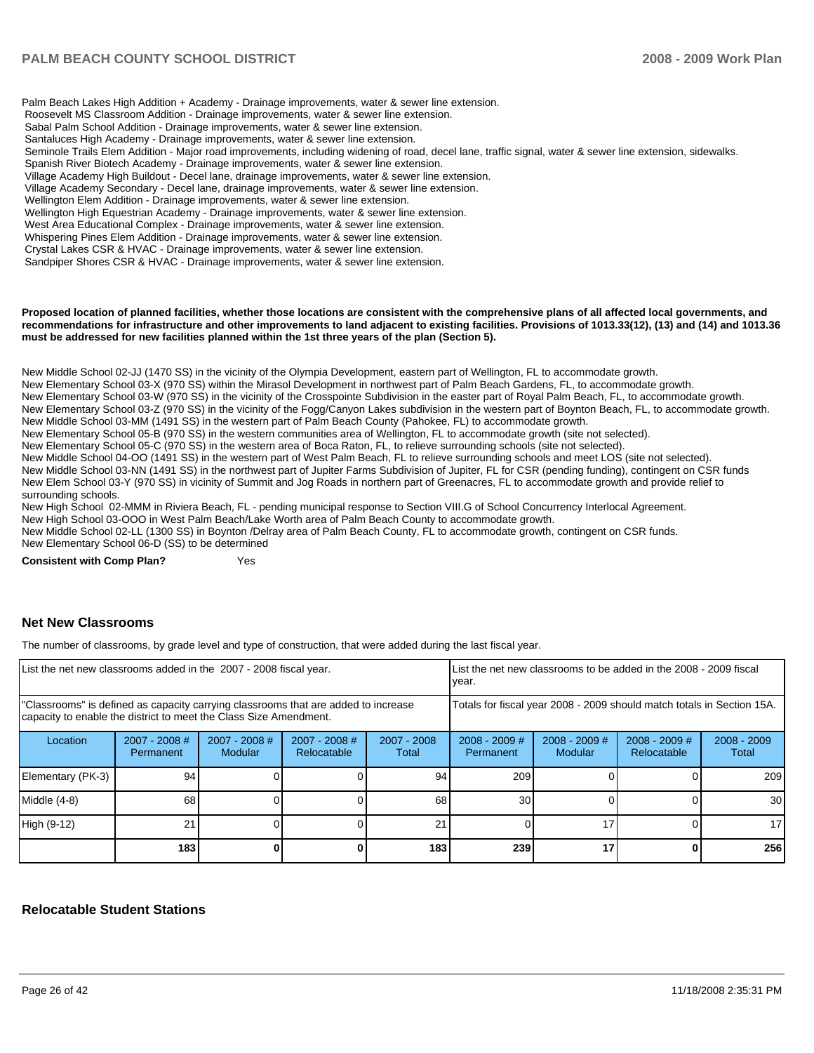## **PALM BEACH COUNTY SCHOOL DISTRICT**

Palm Beach Lakes High Addition + Academy - Drainage improvements, water & sewer line extension. Roosevelt MS Classroom Addition - Drainage improvements, water & sewer line extension. Sabal Palm School Addition - Drainage improvements, water & sewer line extension. Santaluces High Academy - Drainage improvements, water & sewer line extension. Seminole Trails Elem Addition - Major road improvements, including widening of road, decel lane, traffic signal, water & sewer line extension, sidewalks. Spanish River Biotech Academy - Drainage improvements, water & sewer line extension. Village Academy High Buildout - Decel lane, drainage improvements, water & sewer line extension. Village Academy Secondary - Decel lane, drainage improvements, water & sewer line extension. Wellington Elem Addition - Drainage improvements, water & sewer line extension. Wellington High Equestrian Academy - Drainage improvements, water & sewer line extension. West Area Educational Complex - Drainage improvements, water & sewer line extension. Whispering Pines Elem Addition - Drainage improvements, water & sewer line extension. Crystal Lakes CSR & HVAC - Drainage improvements, water & sewer line extension. Sandpiper Shores CSR & HVAC - Drainage improvements, water & sewer line extension.

#### Proposed location of planned facilities, whether those locations are consistent with the comprehensive plans of all affected local governments, and recommendations for infrastructure and other improvements to land adjacent to existing facilities. Provisions of 1013.33(12), (13) and (14) and 1013.36 must be addressed for new facilities planned within the 1st three years of the plan (Section 5).

New Middle School 02-JJ (1470 SS) in the vicinity of the Olympia Development, eastern part of Wellington, FL to accommodate growth.

New Elementary School 03-X (970 SS) within the Mirasol Development in northwest part of Palm Beach Gardens, FL, to accommodate growth.

New Elementary School 03-W (970 SS) in the vicinity of the Crosspointe Subdivision in the easter part of Royal Palm Beach, FL, to accommodate growth. New Elementary School 03-Z (970 SS) in the vicinity of the Fogg/Canyon Lakes subdivision in the western part of Boynton Beach, FL, to accommodate growth.

New Middle School 03-MM (1491 SS) in the western part of Palm Beach County (Pahokee, FL) to accommodate growth.

New Elementary School 05-B (970 SS) in the western communities area of Wellington, FL to accommodate growth (site not selected).

New Elementary School 05-C (970 SS) in the western area of Boca Raton, FL, to relieve surrounding schools (site not selected).

New Middle School 04-OO (1491 SS) in the western part of West Palm Beach, FL to relieve surrounding schools and meet LOS (site not selected). New Middle School 03-NN (1491 SS) in the northwest part of Jupiter Farms Subdivision of Jupiter, FL for CSR (pending funding), contingent on CSR funds

New Elem School 03-Y (970 SS) in vicinity of Summit and Jog Roads in northern part of Greenacres, FL to accommodate growth and provide relief to

surrounding schools.

New High School 02-MMM in Riviera Beach, FL - pending municipal response to Section VIII.G of School Concurrency Interlocal Agreement.

New High School 03-OOO in West Palm Beach/Lake Worth area of Palm Beach County to accommodate growth.

New Middle School 02-LL (1300 SS) in Boynton /Delray area of Palm Beach County, FL to accommodate growth, contingent on CSR funds. New Elementary School 06-D (SS) to be determined

**Consistent with Comp Plan?** Yes

#### **Net New Classrooms**

The number of classrooms, by grade level and type of construction, that were added during the last fiscal year.

| List the net new classrooms added in the 2007 - 2008 fiscal year.                                                                                       |                                     |                                   |                                |                                                                        | List the net new classrooms to be added in the 2008 - 2009 fiscal<br>year. |                            |                                       |                        |
|---------------------------------------------------------------------------------------------------------------------------------------------------------|-------------------------------------|-----------------------------------|--------------------------------|------------------------------------------------------------------------|----------------------------------------------------------------------------|----------------------------|---------------------------------------|------------------------|
| "Classrooms" is defined as capacity carrying classrooms that are added to increase<br>capacity to enable the district to meet the Class Size Amendment. |                                     |                                   |                                | Totals for fiscal year 2008 - 2009 should match totals in Section 15A. |                                                                            |                            |                                       |                        |
| Location                                                                                                                                                | $2007 - 2008$ #<br><b>Permanent</b> | $2007 - 2008$ #<br><b>Modular</b> | $2007 - 2008$ #<br>Relocatable | 2007 - 2008<br>Total                                                   | $2008 - 2009$ #<br>Permanent                                               | $2008 - 2009$ #<br>Modular | $2008 - 2009$ #<br><b>Relocatable</b> | $2008 - 2009$<br>Total |
| Elementary (PK-3)                                                                                                                                       | 94                                  |                                   |                                | 94                                                                     | 209                                                                        |                            |                                       | 209                    |
| Middle (4-8)                                                                                                                                            | 68                                  |                                   |                                | 68                                                                     | 30                                                                         |                            |                                       | 30 <sup>1</sup>        |
| High (9-12)                                                                                                                                             | 21                                  |                                   |                                | 21                                                                     |                                                                            | 17                         |                                       | 17 <sup>1</sup>        |
|                                                                                                                                                         | 183                                 |                                   |                                | 183                                                                    | 239                                                                        | 17                         |                                       | 256                    |

#### **Relocatable Student Stations**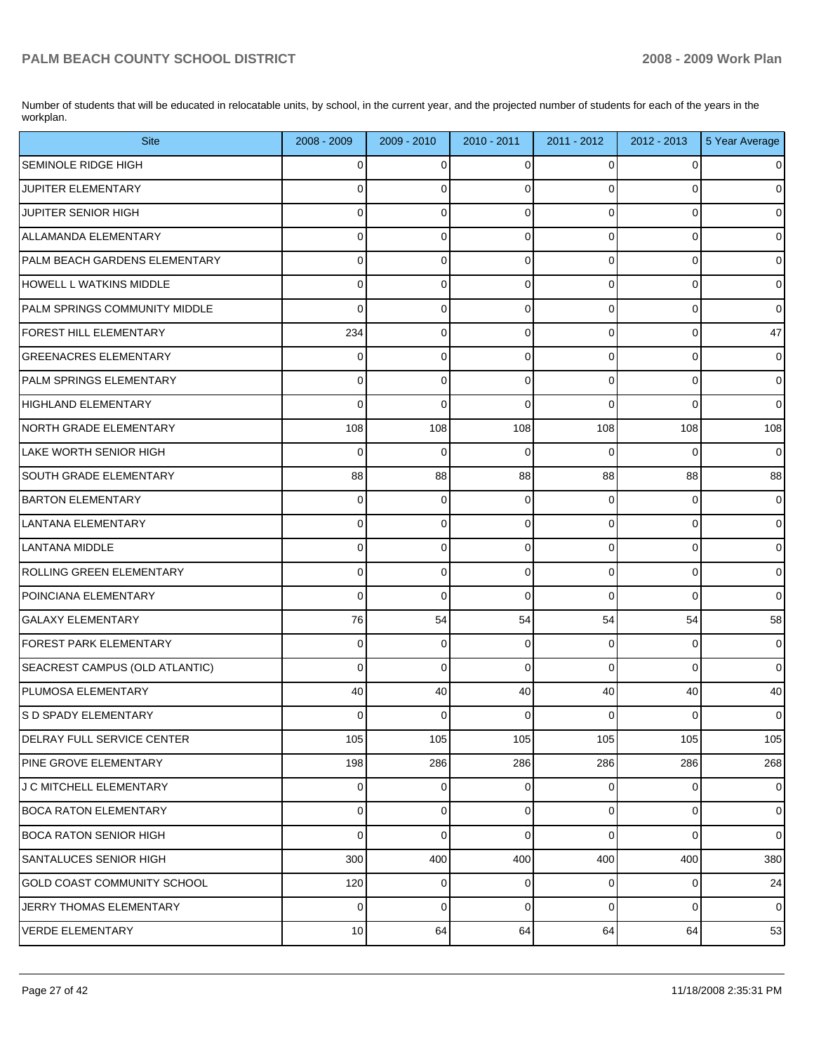Number of students that will be educated in relocatable units, by school, in the current year, and the projected number of students for each of the years in the workplan.

| <b>Site</b>                          | 2008 - 2009    | $2009 - 2010$ | 2010 - 2011 | $2011 - 2012$  | 2012 - 2013 | 5 Year Average |
|--------------------------------------|----------------|---------------|-------------|----------------|-------------|----------------|
| SEMINOLE RIDGE HIGH                  | $\overline{0}$ | $\mathbf 0$   | $\Omega$    | $\Omega$       |             | $\Omega$       |
| JUPITER ELEMENTARY                   | $\Omega$       | $\mathbf 0$   | $\Omega$    | $\Omega$       |             | $\overline{0}$ |
| JUPITER SENIOR HIGH                  | $\overline{0}$ | $\mathbf 0$   | $\Omega$    | $\Omega$       | $\Omega$    | $\overline{0}$ |
| ALLAMANDA ELEMENTARY                 | 0              | $\mathbf 0$   | $\Omega$    | $\Omega$       | $\Omega$    | $\overline{0}$ |
| PALM BEACH GARDENS ELEMENTARY        | $\overline{0}$ | $\mathbf 0$   | 0           | $\Omega$       | $\Omega$    | $\overline{0}$ |
| HOWELL L WATKINS MIDDLE              | $\mathbf 0$    | $\mathbf 0$   | 0           | $\Omega$       | $\Omega$    | $\overline{0}$ |
| <b>PALM SPRINGS COMMUNITY MIDDLE</b> | $\Omega$       | $\mathbf 0$   | 0           | $\Omega$       | $\Omega$    | $\overline{0}$ |
| <b>FOREST HILL ELEMENTARY</b>        | 234            | $\mathbf 0$   | 0           | $\Omega$       | $\Omega$    | 47             |
| <b>GREENACRES ELEMENTARY</b>         | $\overline{0}$ | $\mathbf 0$   | 0           | $\Omega$       | $\Omega$    | $\overline{0}$ |
| PALM SPRINGS ELEMENTARY              | $\mathbf 0$    | $\mathbf 0$   | $\Omega$    | $\Omega$       | $\Omega$    | $\overline{0}$ |
| HIGHLAND ELEMENTARY                  | $\Omega$       | $\Omega$      | $\Omega$    | $\Omega$       | $\Omega$    | $\overline{0}$ |
| NORTH GRADE ELEMENTARY               | 108            | 108           | 108         | 108            | 108         | 108            |
| LAKE WORTH SENIOR HIGH               | $\Omega$       | $\mathbf 0$   | $\Omega$    | $\Omega$       | 0           | $\overline{0}$ |
| SOUTH GRADE ELEMENTARY               | 88             | 88            | 88          | 88             | 88          | 88             |
| <b>BARTON ELEMENTARY</b>             | $\overline{0}$ | $\mathbf 0$   | 0           | $\Omega$       | 0           | $\overline{0}$ |
| LANTANA ELEMENTARY                   | $\overline{0}$ | $\mathbf 0$   | 0           | $\Omega$       | $\Omega$    | $\overline{0}$ |
| LANTANA MIDDLE                       | $\Omega$       | $\mathbf 0$   | $\Omega$    | $\Omega$       | $\Omega$    | $\overline{0}$ |
| ROLLING GREEN ELEMENTARY             | $\mathbf 0$    | $\mathbf 0$   | 0           | $\Omega$       | $\Omega$    | $\overline{0}$ |
| POINCIANA ELEMENTARY                 | $\Omega$       | $\Omega$      | $\Omega$    | $\Omega$       | $\Omega$    | $\overline{0}$ |
| <b>GALAXY ELEMENTARY</b>             | 76             | 54            | 54          | 54             | 54          | 58             |
| <b>FOREST PARK ELEMENTARY</b>        | $\overline{0}$ | $\mathbf 0$   | 0           | $\Omega$       | 0           | $\overline{0}$ |
| SEACREST CAMPUS (OLD ATLANTIC)       | 0              | $\mathbf 0$   | 0           | $\Omega$       | $\Omega$    | 0              |
| <b>PLUMOSA ELEMENTARY</b>            | 40             | 40            | 40          | 40             | 40          | 40             |
| <b>S D SPADY ELEMENTARY</b>          | $\overline{0}$ | 0             | 0           | $\overline{0}$ | 0           | $\overline{0}$ |
| DELRAY FULL SERVICE CENTER           | 105            | 105           | 105         | 105            | 105         | 105            |
| <b>PINE GROVE ELEMENTARY</b>         | 198            | 286           | 286         | 286            | 286         | 268            |
| <b>J C MITCHELL ELEMENTARY</b>       | $\overline{0}$ | $\mathbf 0$   | 0           | $\overline{0}$ | 0           | $\overline{0}$ |
| BOCA RATON ELEMENTARY                | $\overline{0}$ | $\mathbf 0$   | 0           | $\overline{0}$ | 0           | $\overline{0}$ |
| <b>BOCA RATON SENIOR HIGH</b>        | 0              | $\mathbf 0$   | 0           | $\mathbf 0$    | 0           | $\overline{0}$ |
| SANTALUCES SENIOR HIGH               | 300            | 400           | 400         | 400            | 400         | 380            |
| <b>GOLD COAST COMMUNITY SCHOOL</b>   | 120            | 0             | 0           | $\overline{0}$ | 0           | 24             |
| JERRY THOMAS ELEMENTARY              | $\overline{0}$ | $\mathbf 0$   | 0           | $\overline{0}$ | 0           | $\overline{0}$ |
| <b>VERDE ELEMENTARY</b>              | 10             | 64            | 64          | 64             | 64          | 53             |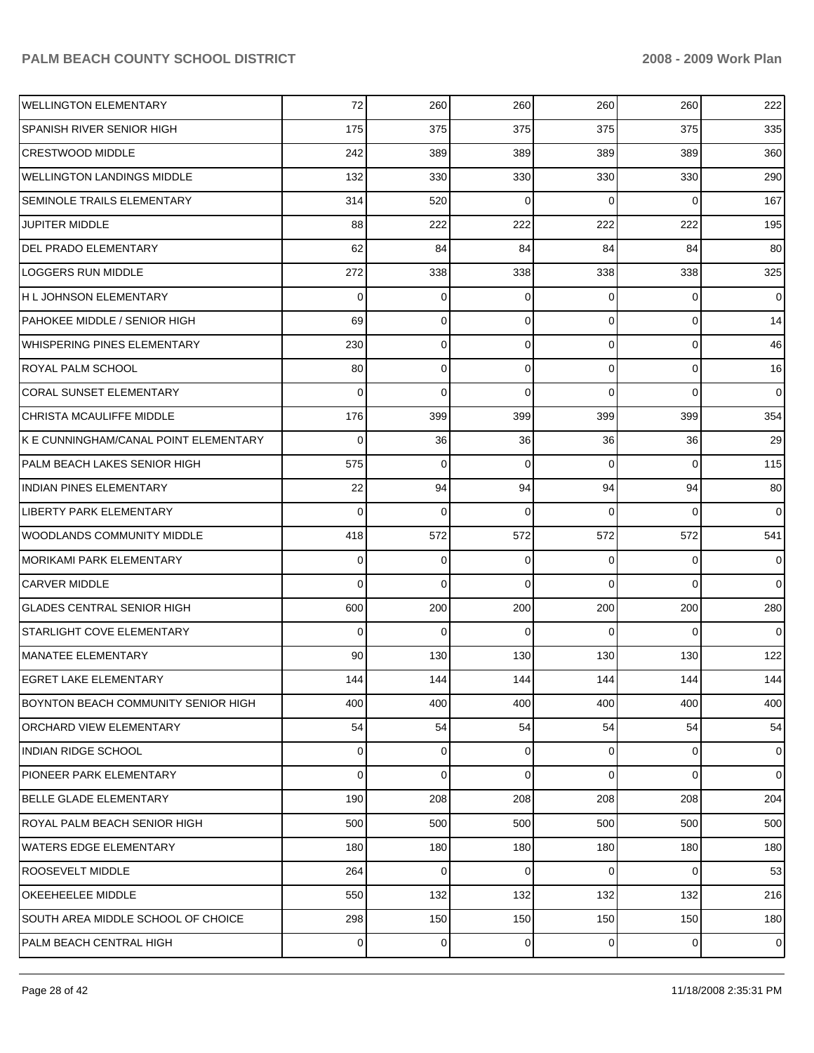| <b>WELLINGTON ELEMENTARY</b>          | 72  | 260 | 260         | 260 | 260            | 222            |
|---------------------------------------|-----|-----|-------------|-----|----------------|----------------|
| SPANISH RIVER SENIOR HIGH             | 175 | 375 | 375         | 375 | 375            | 335            |
| <b>CRESTWOOD MIDDLE</b>               | 242 | 389 | 389         | 389 | 389            | 360            |
| <b>WELLINGTON LANDINGS MIDDLE</b>     | 132 | 330 | 330         | 330 | 330            | 290            |
| SEMINOLE TRAILS ELEMENTARY            | 314 | 520 | $\Omega$    | 0   | $\Omega$       | 167            |
| <b>JUPITER MIDDLE</b>                 | 88  | 222 | 222         | 222 | 222            | 195            |
| DEL PRADO ELEMENTARY                  | 62  | 84  | 84          | 84  | 84             | 80             |
| LOGGERS RUN MIDDLE                    | 272 | 338 | 338         | 338 | 338            | 325            |
| H L JOHNSON ELEMENTARY                | 0   | 0   | $\Omega$    | 0   | 0              | $\overline{0}$ |
| PAHOKEE MIDDLE / SENIOR HIGH          | 69  | 0   | 0           | 0   | 0              | 14             |
| WHISPERING PINES ELEMENTARY           | 230 | 0   | 0           | 0   | 0              | 46             |
| ROYAL PALM SCHOOL                     | 80  | 0   | 0           | 0   | 0              | 16             |
| <b>CORAL SUNSET ELEMENTARY</b>        | 0   | 0   | $\Omega$    | 0   | 0              | $\overline{0}$ |
| CHRISTA MCAULIFFE MIDDLE              | 176 | 399 | 399         | 399 | 399            | 354            |
| K E CUNNINGHAM/CANAL POINT ELEMENTARY | 0   | 36  | 36          | 36  | 36             | 29             |
| PALM BEACH LAKES SENIOR HIGH          | 575 | 0   | $\mathbf 0$ | 0   | 0              | 115            |
| <b>INDIAN PINES ELEMENTARY</b>        | 22  | 94  | 94          | 94  | 94             | 80             |
| <b>LIBERTY PARK ELEMENTARY</b>        | 0   | 0   | $\Omega$    | 0   | 0              | $\overline{0}$ |
| WOODLANDS COMMUNITY MIDDLE            | 418 | 572 | 572         | 572 | 572            | 541            |
| <b>MORIKAMI PARK ELEMENTARY</b>       | 0   | 0   | $\mathbf 0$ | 0   | 0              | $\overline{0}$ |
| <b>CARVER MIDDLE</b>                  | 0   | 0   | $\Omega$    | 0   | $\Omega$       | $\overline{0}$ |
| <b>GLADES CENTRAL SENIOR HIGH</b>     | 600 | 200 | 200         | 200 | 200            | 280            |
| STARLIGHT COVE ELEMENTARY             | 0   | 0   | $\Omega$    | 0   | $\Omega$       | $\overline{0}$ |
| MANATEE ELEMENTARY                    | 90  | 130 | 130         | 130 | 130            | 122            |
| EGRET LAKE ELEMENTARY                 | 144 | 144 | 144         | 144 | 144            | 144            |
| BOYNTON BEACH COMMUNITY SENIOR HIGH   | 400 | 400 | 400         | 400 | 400            | 400            |
| ORCHARD VIEW ELEMENTARY               | 54  | 54  | 54          | 54  | 54             | 54             |
| INDIAN RIDGE SCHOOL                   | 0   | 0   | 0           | 0   | 0              | $\overline{0}$ |
| PIONEER PARK ELEMENTARY               | 0   | 0   | 0           | 0   | $\overline{0}$ | $\overline{0}$ |
| BELLE GLADE ELEMENTARY                | 190 | 208 | 208         | 208 | 208            | 204            |
| ROYAL PALM BEACH SENIOR HIGH          | 500 | 500 | 500         | 500 | 500            | 500            |
| <b>WATERS EDGE ELEMENTARY</b>         | 180 | 180 | 180         | 180 | 180            | 180            |
| ROOSEVELT MIDDLE                      | 264 | 0   | 0           | 0   | $\overline{0}$ | 53             |
| OKEEHEELEE MIDDLE                     | 550 | 132 | 132         | 132 | 132            | 216            |
| SOUTH AREA MIDDLE SCHOOL OF CHOICE    | 298 | 150 | 150         | 150 | 150            | 180            |
| PALM BEACH CENTRAL HIGH               | 0   | 0   | 0           | 0   | $\overline{0}$ | $\overline{0}$ |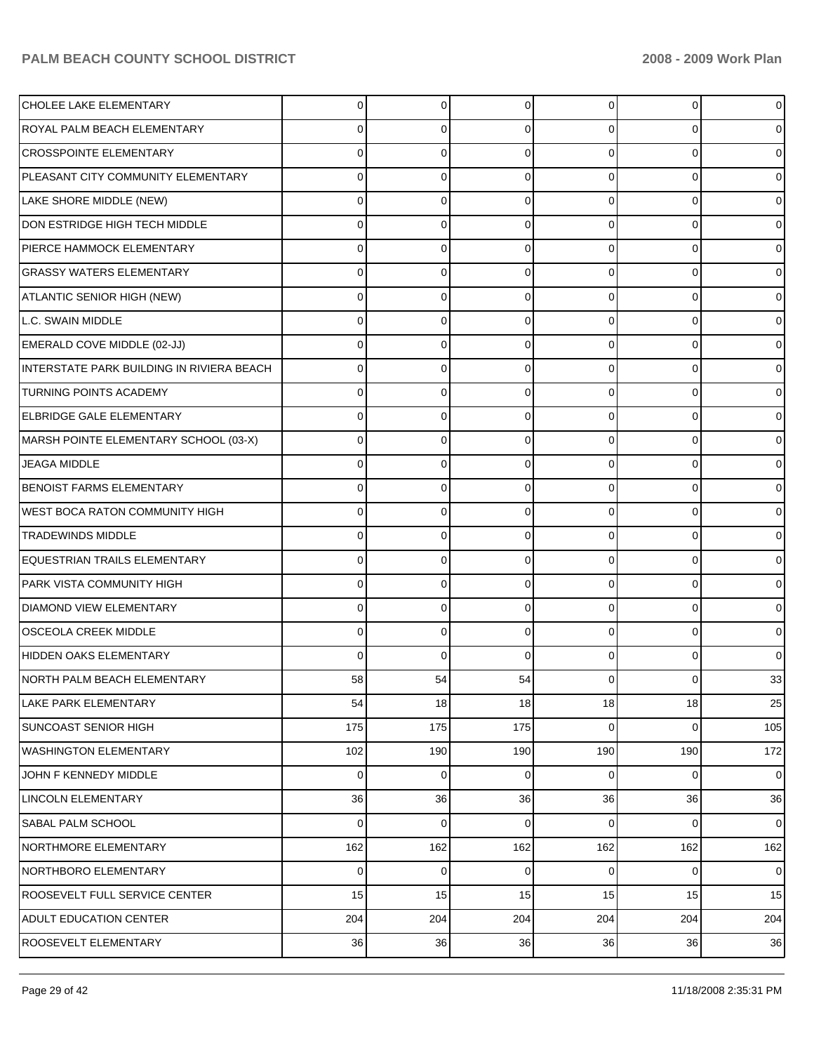| CHOLEE LAKE ELEMENTARY                    | $\Omega$       | 0   | $\Omega$ | 0        | $\Omega$ | 0              |
|-------------------------------------------|----------------|-----|----------|----------|----------|----------------|
| ROYAL PALM BEACH ELEMENTARY               | 0              | 0   | $\Omega$ | O        | 0        | 0              |
| CROSSPOINTE ELEMENTARY                    | O              | 0   | $\Omega$ | $\Omega$ | 0        | 0              |
| PLEASANT CITY COMMUNITY ELEMENTARY        | 0              | 0   | $\Omega$ | $\Omega$ | $\Omega$ | 0              |
| LAKE SHORE MIDDLE (NEW)                   | O              | 0   | $\Omega$ | $\Omega$ | 0        | 0              |
| DON ESTRIDGE HIGH TECH MIDDLE             | 0              | 0   | $\Omega$ | $\Omega$ | $\Omega$ | 0              |
| <b>IPIERCE HAMMOCK ELEMENTARY</b>         | O              | 0   | $\Omega$ | $\Omega$ | 0        | 0              |
| <b>GRASSY WATERS ELEMENTARY</b>           | 0              | 0   | $\Omega$ | $\Omega$ | $\Omega$ | 0              |
| ATLANTIC SENIOR HIGH (NEW)                | O              | 0   | $\Omega$ | $\Omega$ | 0        | 0              |
| L.C. SWAIN MIDDLE                         | 0              | 0   | $\Omega$ | $\Omega$ | $\Omega$ | 0              |
| EMERALD COVE MIDDLE (02-JJ)               | O              | 0   | $\Omega$ | $\Omega$ | 0        | 0              |
| INTERSTATE PARK BUILDING IN RIVIERA BEACH | 0              | 0   | $\Omega$ | $\Omega$ | $\Omega$ | 0              |
| <b>TURNING POINTS ACADEMY</b>             | O              | 0   | $\Omega$ | 0        | 0        | 0              |
| <b>ELBRIDGE GALE ELEMENTARY</b>           | 0              | 0   | $\Omega$ | $\Omega$ | $\Omega$ | 0              |
| MARSH POINTE ELEMENTARY SCHOOL (03-X)     | O              | 0   | $\Omega$ | 0        | 0        | 0              |
| <b>JEAGA MIDDLE</b>                       | 0              | 0   | $\Omega$ | $\Omega$ | $\Omega$ | 0              |
| <b>BENOIST FARMS ELEMENTARY</b>           | O              | 0   | $\Omega$ | 0        | 0        | 0              |
| WEST BOCA RATON COMMUNITY HIGH            | 0              | 0   | $\Omega$ | $\Omega$ | $\Omega$ | 0              |
| <b>TRADEWINDS MIDDLE</b>                  | O              | 0   | $\Omega$ | 0        | 0        | 0              |
| EQUESTRIAN TRAILS ELEMENTARY              | 0              | 0   | $\Omega$ | $\Omega$ | $\Omega$ | 0              |
| PARK VISTA COMMUNITY HIGH                 | O              | 0   | 0        | O        | 0        | 0              |
| <b>DIAMOND VIEW ELEMENTARY</b>            | 0              | 0   | $\Omega$ | $\Omega$ | $\Omega$ | 0              |
| <b>OSCEOLA CREEK MIDDLE</b>               | O              | 0   | $\Omega$ | 0        | 0        | 0              |
| HIDDEN OAKS ELEMENTARY                    | 0              | 0   | 0        | O        | $\Omega$ | 0              |
| NORTH PALM BEACH ELEMENTARY               | 58             | 54  | 54       |          | 0        | 33             |
| <b>LAKE PARK ELEMENTARY</b>               | 54             | 18  | 18       | 18       | 18       | 25             |
| <b>SUNCOAST SENIOR HIGH</b>               | 175            | 175 | 175      | 0        | 0        | 105            |
| <b>WASHINGTON ELEMENTARY</b>              | 102            | 190 | 190      | 190      | 190      | 172            |
| JOHN F KENNEDY MIDDLE                     | $\overline{0}$ | 0   | 0        | 0        | 0        | $\overline{0}$ |
| <b>LINCOLN ELEMENTARY</b>                 | 36             | 36  | 36       | 36       | 36       | 36             |
| SABAL PALM SCHOOL                         | 0              | 0   | 0        | 0        | 0        | $\overline{0}$ |
| NORTHMORE ELEMENTARY                      | 162            | 162 | 162      | 162      | 162      | 162            |
| NORTHBORO ELEMENTARY                      | 0              | 0   | 0        | 0        | 0        | $\overline{0}$ |
| ROOSEVELT FULL SERVICE CENTER             | 15             | 15  | 15       | 15       | 15       | 15             |
| <b>ADULT EDUCATION CENTER</b>             | 204            | 204 | 204      | 204      | 204      | 204            |
| ROOSEVELT ELEMENTARY                      | 36             | 36  | 36       | 36       | 36       | 36             |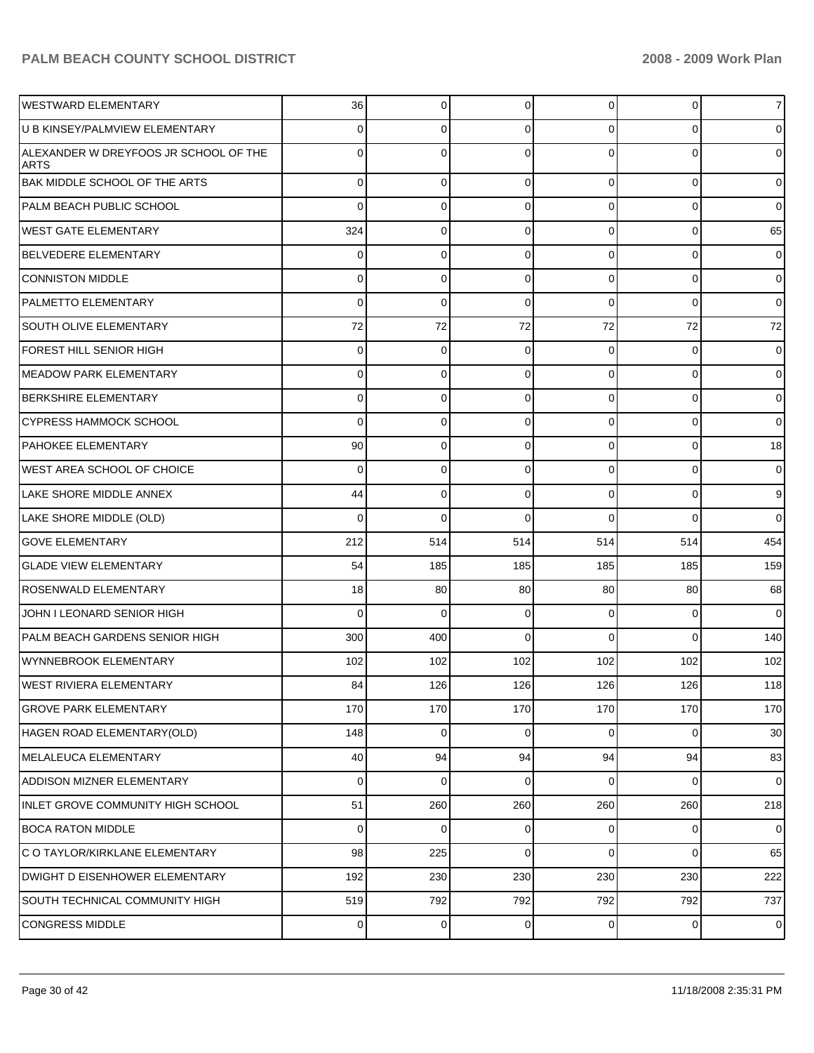| IWESTWARD ELEMENTARY                                 | 36          | $\overline{0}$ | $\Omega$    | 0           | $\overline{0}$ | $\overline{7}$ |
|------------------------------------------------------|-------------|----------------|-------------|-------------|----------------|----------------|
| U B KINSEY/PALMVIEW ELEMENTARY                       | 0           | 0              | 0           | 0           | $\overline{0}$ | $\overline{0}$ |
| ALEXANDER W DREYFOOS JR SCHOOL OF THE<br><b>ARTS</b> | 0           | 0              | $\Omega$    | $\Omega$    | $\overline{0}$ | $\overline{0}$ |
| <b>BAK MIDDLE SCHOOL OF THE ARTS</b>                 | $\mathbf 0$ | $\mathbf 0$    | 0           | $\Omega$    | $\overline{0}$ | $\overline{0}$ |
| <b>PALM BEACH PUBLIC SCHOOL</b>                      | $\Omega$    | $\mathbf 0$    | $\mathbf 0$ | 0           | $\mathbf 0$    | $\overline{0}$ |
| WEST GATE ELEMENTARY                                 | 324         | $\mathbf 0$    | $\mathbf 0$ | 0           | $\overline{0}$ | 65             |
| BELVEDERE ELEMENTARY                                 | 0           | 0              | $\mathbf 0$ | 0           | $\overline{0}$ | $\overline{0}$ |
| CONNISTON MIDDLE                                     | 0           | $\mathbf 0$    | 0           | $\Omega$    | $\overline{0}$ | $\overline{0}$ |
| <b>PALMETTO ELEMENTARY</b>                           | 0           | $\mathbf 0$    | $\mathbf 0$ | $\Omega$    | $\mathbf 0$    | $\overline{0}$ |
| <b>SOUTH OLIVE ELEMENTARY</b>                        | 72          | 72             | 72          | 72          | 72             | 72             |
| FOREST HILL SENIOR HIGH                              | 0           | 0              | $\mathbf 0$ | 0           | $\mathbf{0}$   | $\mathbf 0$    |
| MEADOW PARK ELEMENTARY                               | 0           | $\mathbf 0$    | $\mathbf 0$ | 0           | $\overline{0}$ | $\overline{0}$ |
| <b>BERKSHIRE ELEMENTARY</b>                          | 0           | 0              | $\mathbf 0$ | 0           | $\overline{0}$ | $\overline{0}$ |
| ICYPRESS HAMMOCK SCHOOL                              | $\Omega$    | $\mathbf 0$    | $\mathbf 0$ | 0           | $\overline{0}$ | $\overline{0}$ |
| <b>PAHOKEE ELEMENTARY</b>                            | 90          | 0              | $\mathbf 0$ | 0           | $\overline{0}$ | 18             |
| <b>IWEST AREA SCHOOL OF CHOICE</b>                   | $\Omega$    | $\mathbf 0$    | 0           | 0           | $\overline{0}$ | $\overline{0}$ |
| LAKE SHORE MIDDLE ANNEX                              | 44          | 0              | $\mathbf 0$ | $\Omega$    | $\overline{0}$ | 9              |
| LAKE SHORE MIDDLE (OLD)                              | $\Omega$    | $\mathbf 0$    | $\Omega$    | $\Omega$    | $\Omega$       | $\overline{0}$ |
| <b>GOVE ELEMENTARY</b>                               | 212         | 514            | 514         | 514         | 514            | 454            |
| <b>GLADE VIEW ELEMENTARY</b>                         | 54          | 185            | 185         | 185         | 185            | 159            |
| ROSENWALD ELEMENTARY                                 | 18          | 80             | 80          | 80          | 80             | 68             |
| JOHN I LEONARD SENIOR HIGH                           | $\Omega$    | $\Omega$       | 0           | 0           | $\mathbf 0$    | $\overline{0}$ |
| PALM BEACH GARDENS SENIOR HIGH                       | 300         | 400            | $\Omega$    | $\Omega$    | $\Omega$       | 140            |
| WYNNEBROOK ELEMENTARY                                | 102         | 102            | 102         | 102         | 102            | 102            |
| WEST RIVIERA ELEMENTARY                              | 84          | 126            | 126         | 126         | 126            | 118            |
| <b>GROVE PARK ELEMENTARY</b>                         | 170         | 170            | 170         | 170         | 170            | 170            |
| HAGEN ROAD ELEMENTARY(OLD)                           | 148         | $\mathbf 0$    | $\mathbf 0$ | $\mathbf 0$ | $\mathbf 0$    | 30             |
| MELALEUCA ELEMENTARY                                 | 40          | 94             | 94          | 94          | 94             | 83             |
| <b>ADDISON MIZNER ELEMENTARY</b>                     | 0           | $\mathbf 0$    | 0           | 0           | $\overline{0}$ | $\overline{0}$ |
| INLET GROVE COMMUNITY HIGH SCHOOL                    | 51          | 260            | 260         | 260         | 260            | 218            |
| <b>BOCA RATON MIDDLE</b>                             | $\mathbf 0$ | $\mathbf 0$    | 0           | 0           | $\mathbf 0$    | $\overline{0}$ |
| IC O TAYLOR/KIRKLANE ELEMENTARY                      | 98          | 225            | $\mathbf 0$ | $\Omega$    | $\overline{0}$ | 65             |
| DWIGHT D EISENHOWER ELEMENTARY                       | 192         | 230            | 230         | 230         | 230            | 222            |
| <b>SOUTH TECHNICAL COMMUNITY HIGH</b>                | 519         | 792            | 792         | 792         | 792            | 737            |
| CONGRESS MIDDLE                                      | 0           | 0              | 0           | 0           | $\pmb{0}$      | $\mathbf 0$    |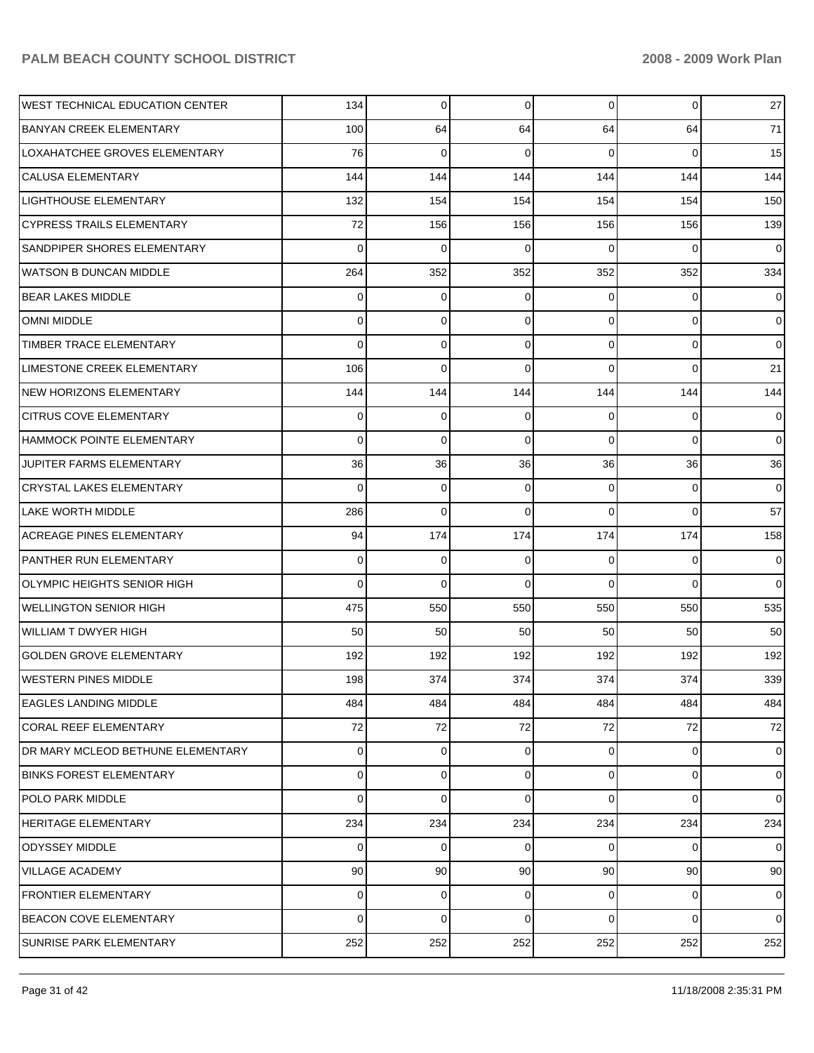| <b>WEST TECHNICAL EDUCATION CENTER</b> | 134            | 0   | 0           | $\overline{0}$ | 0        | 27             |
|----------------------------------------|----------------|-----|-------------|----------------|----------|----------------|
| <b>BANYAN CREEK ELEMENTARY</b>         | 100            | 64  | 64          | 64             | 64       | 71             |
| LOXAHATCHEE GROVES ELEMENTARY          | 76             | 0   | 0           | 0              | $\Omega$ | 15             |
| <b>CALUSA ELEMENTARY</b>               | 144            | 144 | 144         | 144            | 144      | 144            |
| <b>LIGHTHOUSE ELEMENTARY</b>           | 132            | 154 | 154         | 154            | 154      | 150            |
| <b>CYPRESS TRAILS ELEMENTARY</b>       | 72             | 156 | 156         | 156            | 156      | 139            |
| SANDPIPER SHORES ELEMENTARY            | 0              | 0   | 0           | 0              | $\Omega$ | 0              |
| <b>WATSON B DUNCAN MIDDLE</b>          | 264            | 352 | 352         | 352            | 352      | 334            |
| <b>BEAR LAKES MIDDLE</b>               | 0              | 0   | 0           | 0              | 0        | 0              |
| <b>OMNI MIDDLE</b>                     | 0              | 0   | 0           | 0              | 0        | $\overline{0}$ |
| TIMBER TRACE ELEMENTARY                | 0              | 0   | 0           | 0              | 0        | $\mathbf 0$    |
| LIMESTONE CREEK ELEMENTARY             | 106            | 0   | $\mathbf 0$ | 0              | 0        | 21             |
| NEW HORIZONS ELEMENTARY                | 144            | 144 | 144         | 144            | 144      | 144            |
| <b>CITRUS COVE ELEMENTARY</b>          | 0              | 0   | $\mathbf 0$ | 0              | 0        | 0              |
| HAMMOCK POINTE ELEMENTARY              | 0              | 0   | 0           | 0              | 0        | $\mathbf 0$    |
| JUPITER FARMS ELEMENTARY               | 36             | 36  | 36          | 36             | 36       | 36             |
| <b>CRYSTAL LAKES ELEMENTARY</b>        | 0              | 0   | 0           | 0              | 0        | 0              |
| <b>LAKE WORTH MIDDLE</b>               | 286            | 0   | $\mathbf 0$ | 0              | 0        | 57             |
| <b>ACREAGE PINES ELEMENTARY</b>        | 94             | 174 | 174         | 174            | 174      | 158            |
| <b>PANTHER RUN ELEMENTARY</b>          | 0              | 0   | $\mathbf 0$ | 0              | 0        | 0              |
| <b>OLYMPIC HEIGHTS SENIOR HIGH</b>     | 0              | 0   | $\mathbf 0$ | 0              | $\Omega$ | $\mathbf 0$    |
| <b>WELLINGTON SENIOR HIGH</b>          | 475            | 550 | 550         | 550            | 550      | 535            |
| <b>WILLIAM T DWYER HIGH</b>            | 50             | 50  | 50          | 50             | 50       | 50             |
| <b>GOLDEN GROVE ELEMENTARY</b>         | 192            | 192 | 192         | 192            | 192      | 192            |
| <b>WESTERN PINES MIDDLE</b>            | 198            | 374 | 374         | 374            | 374      | 339            |
| <b>EAGLES LANDING MIDDLE</b>           | 484            | 484 | 484         | 484            | 484      | 484            |
| <b>CORAL REEF ELEMENTARY</b>           | 72             | 72  | 72          | 72             | 72       | 72             |
| DR MARY MCLEOD BETHUNE ELEMENTARY      | 0              | 0   | 0           | 0              | 0        | $\overline{0}$ |
| <b>BINKS FOREST ELEMENTARY</b>         | $\overline{0}$ | 0   | 0           | $\overline{0}$ | 0        | $\overline{0}$ |
| POLO PARK MIDDLE                       | 0              | 0   | 0           | 0              | $\Omega$ | $\overline{0}$ |
| <b>HERITAGE ELEMENTARY</b>             | 234            | 234 | 234         | 234            | 234      | 234            |
| ODYSSEY MIDDLE                         | 0              | 0   | 0           | 0              | $\Omega$ | $\overline{0}$ |
| <b>VILLAGE ACADEMY</b>                 | 90             | 90  | 90          | 90             | 90       | 90             |
| <b>FRONTIER ELEMENTARY</b>             | 0              | 0   | 0           | 0              | 0        | $\overline{0}$ |
| <b>BEACON COVE ELEMENTARY</b>          | 0              | 0   | 0           | 0              | 0        | $\overline{0}$ |
| SUNRISE PARK ELEMENTARY                | 252            | 252 | 252         | 252            | 252      | 252            |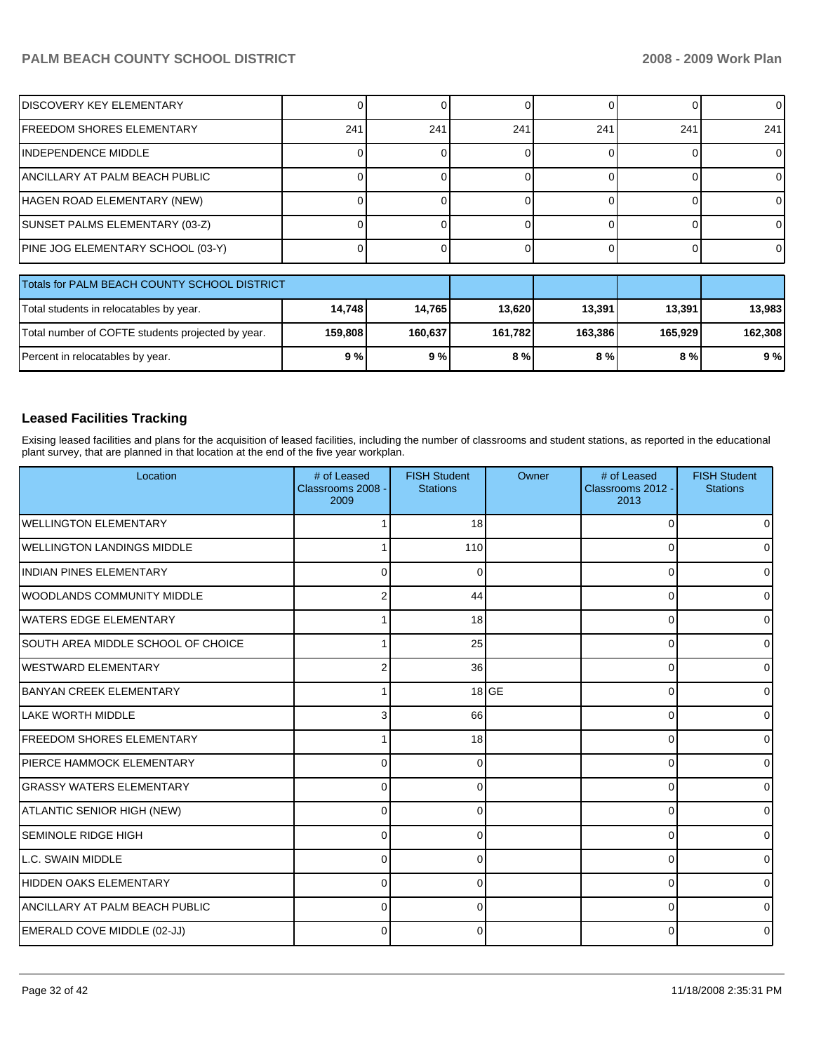| <b>DISCOVERY KEY ELEMENTARY</b>              |     |     |     |     |     | ΩI  |
|----------------------------------------------|-----|-----|-----|-----|-----|-----|
| FREEDOM SHORES ELEMENTARY                    | 241 | 241 | 241 | 241 | 241 | 241 |
| INDEPENDENCE MIDDLE                          |     |     |     |     |     |     |
| ANCILLARY AT PALM BEACH PUBLIC               |     |     |     |     |     |     |
| HAGEN ROAD ELEMENTARY (NEW)                  |     |     |     |     |     |     |
| SUNSET PALMS ELEMENTARY (03-Z)               |     |     |     |     |     |     |
| PINE JOG ELEMENTARY SCHOOL (03-Y)            |     |     |     |     |     |     |
|                                              |     |     |     |     |     |     |
| Totals for PALM BEACH COUNTY SCHOOL DISTRICT |     |     |     |     |     |     |

| Totals for PALM BEACH COUNTY SCHOOL DISTRICT      |         |         |         |         |         |         |
|---------------------------------------------------|---------|---------|---------|---------|---------|---------|
| Total students in relocatables by year.           | 14.748  | 14.765  | 13.620  | 13,391  | 13.391  | 13,983  |
| Total number of COFTE students projected by year. | 159.808 | 160.637 | 161.782 | 163.386 | 165.929 | 162.308 |
| Percent in relocatables by year.                  | 9%      | 9%      | 8%      | 8 % l   | 8 % I   | 9%      |

### **Leased Facilities Tracking**

Exising leased facilities and plans for the acquisition of leased facilities, including the number of classrooms and student stations, as reported in the educational plant survey, that are planned in that location at the end of the five year workplan.

| Location                              | # of Leased<br>Classrooms 2008 -<br>2009 | <b>FISH Student</b><br><b>Stations</b> | Owner   | # of Leased<br>Classrooms 2012 -<br>2013 | <b>FISH Student</b><br><b>Stations</b> |
|---------------------------------------|------------------------------------------|----------------------------------------|---------|------------------------------------------|----------------------------------------|
| <b>WELLINGTON ELEMENTARY</b>          |                                          | 18                                     |         | $\Omega$                                 |                                        |
| <b>IWELLINGTON LANDINGS MIDDLE</b>    |                                          | 110                                    |         | $\Omega$                                 |                                        |
| IINDIAN PINES ELEMENTARY              | 0                                        | 0                                      |         | $\Omega$                                 |                                        |
| <b>IWOODLANDS COMMUNITY MIDDLE</b>    | 2                                        | 44                                     |         | 0                                        |                                        |
| <b>l</b> WATERS EDGE ELEMENTARY       |                                          | 18                                     |         | $\Omega$                                 |                                        |
| SOUTH AREA MIDDLE SCHOOL OF CHOICE    |                                          | 25                                     |         | 0                                        |                                        |
| <b>IWESTWARD ELEMENTARY</b>           | 2                                        | 36                                     |         | $\Omega$                                 |                                        |
| BANYAN CREEK ELEMENTARY               |                                          |                                        | $18$ GE | $\Omega$                                 |                                        |
| <b>LAKE WORTH MIDDLE</b>              |                                          | 66                                     |         | $\Omega$                                 |                                        |
| <b>FREEDOM SHORES ELEMENTARY</b>      |                                          | 18                                     |         | $\Omega$                                 |                                        |
| IPIERCE HAMMOCK ELEMENTARY            | 0                                        | 0                                      |         | $\Omega$                                 |                                        |
| <b>GRASSY WATERS ELEMENTARY</b>       | 0                                        | 0                                      |         | $\Omega$                                 |                                        |
| ATLANTIC SENIOR HIGH (NEW)            | 0                                        | 0                                      |         | $\Omega$                                 |                                        |
| <b>SEMINOLE RIDGE HIGH</b>            | $\Omega$                                 | 0                                      |         | $\Omega$                                 |                                        |
| LL.C. SWAIN MIDDLE                    | $\Omega$                                 |                                        |         | $\mathbf 0$                              |                                        |
| HIDDEN OAKS ELEMENTARY                | $\Omega$                                 |                                        |         | $\Omega$                                 |                                        |
| <b>ANCILLARY AT PALM BEACH PUBLIC</b> | $\Omega$                                 | 0                                      |         | $\Omega$                                 |                                        |
| EMERALD COVE MIDDLE (02-JJ)           | $\Omega$                                 | ∩                                      |         | $\Omega$                                 |                                        |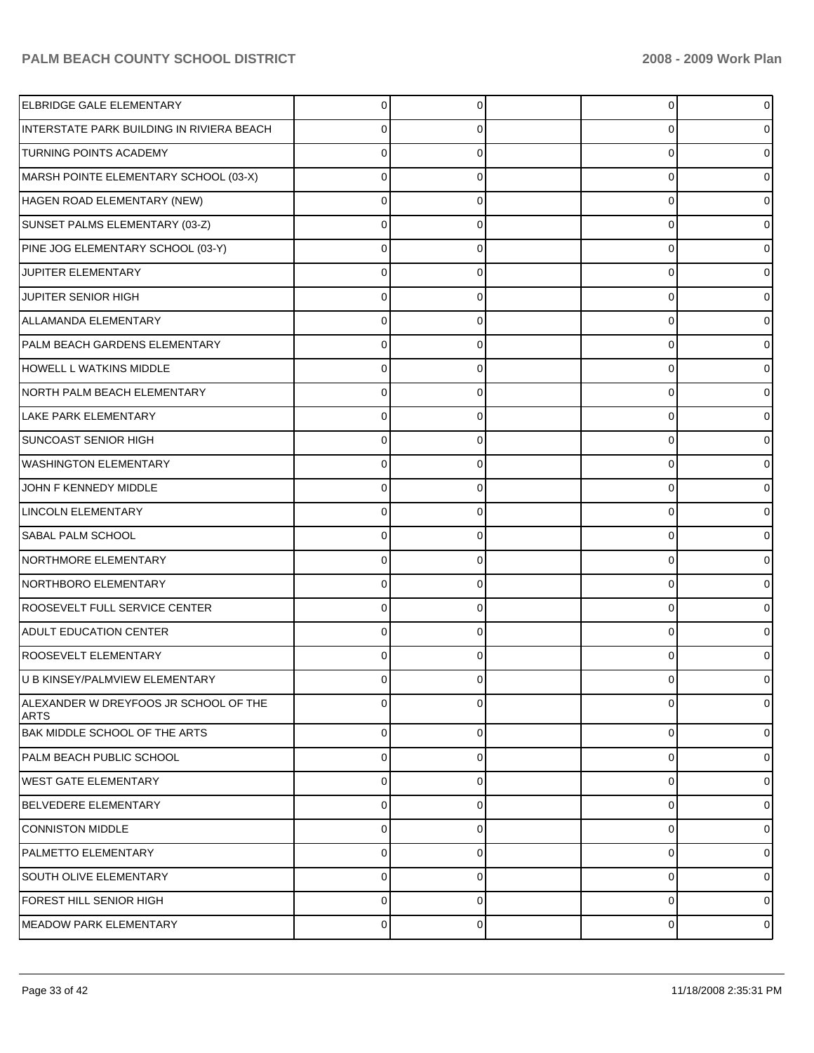| <b>ELBRIDGE GALE ELEMENTARY</b>                      | 0           | 0        | 0              | o              |
|------------------------------------------------------|-------------|----------|----------------|----------------|
| INTERSTATE PARK BUILDING IN RIVIERA BEACH            | 0           | 0        | 0              |                |
| <b>TURNING POINTS ACADEMY</b>                        | $\Omega$    |          | 0              |                |
| MARSH POINTE ELEMENTARY SCHOOL (03-X)                | 0           | 0        | 0              |                |
| HAGEN ROAD ELEMENTARY (NEW)                          | $\Omega$    | O        | 0              |                |
| SUNSET PALMS ELEMENTARY (03-Z)                       | 0           | 0        | 0              |                |
| PINE JOG ELEMENTARY SCHOOL (03-Y)                    | 0           | U        | 0              |                |
| JUPITER ELEMENTARY                                   | 0           | 0        | 0              |                |
| JUPITER SENIOR HIGH                                  | $\Omega$    | U        | 0              |                |
| ALLAMANDA ELEMENTARY                                 | 0           | 0        | 0              |                |
| PALM BEACH GARDENS ELEMENTARY                        | $\Omega$    | O        | 0              |                |
| HOWELL L WATKINS MIDDLE                              | 0           | 0        | 0              |                |
| NORTH PALM BEACH ELEMENTARY                          | 0           | U        | 0              |                |
| <b>LAKE PARK ELEMENTARY</b>                          | 0           | 0        | 0              |                |
| <b>SUNCOAST SENIOR HIGH</b>                          | 0           | U        | 0              |                |
| <b>WASHINGTON ELEMENTARY</b>                         | 0           | 0        | 0              |                |
| JOHN F KENNEDY MIDDLE                                | 0           | O        | 0              |                |
| <b>LINCOLN ELEMENTARY</b>                            | 0           | 0        | 0              |                |
| SABAL PALM SCHOOL                                    | 0           | U        | 0              |                |
| NORTHMORE ELEMENTARY                                 | 0           | 0        | 0              |                |
| NORTHBORO ELEMENTARY                                 | O           | U        | 0              |                |
| ROOSEVELT FULL SERVICE CENTER                        | 0           | 0        | 0              |                |
| <b>ADULT EDUCATION CENTER</b>                        | O           | U        | 0              |                |
| ROOSEVELT ELEMENTARY                                 | 0           | 0        | 0              |                |
| U B KINSEY/PALMVIEW ELEMENTARY                       | 0           | O        | 0              |                |
| ALEXANDER W DREYFOOS JR SCHOOL OF THE<br><b>ARTS</b> | $\Omega$    | U        | $\mathbf 0$    | 0              |
| BAK MIDDLE SCHOOL OF THE ARTS                        | $\mathbf 0$ | $\Omega$ | $\overline{0}$ | $\Omega$       |
| PALM BEACH PUBLIC SCHOOL                             | 0           | 0        | $\mathbf 0$    | 0              |
| <b>WEST GATE ELEMENTARY</b>                          | 0           | $\Omega$ | $\mathbf 0$    | $\Omega$       |
| BELVEDERE ELEMENTARY                                 | 0           | 0        | $\mathbf 0$    | $\Omega$       |
| <b>CONNISTON MIDDLE</b>                              | 0           | $\Omega$ | $\mathbf 0$    | $\Omega$       |
| <b>PALMETTO ELEMENTARY</b>                           | 0           | 0        | 0              | $\Omega$       |
| SOUTH OLIVE ELEMENTARY                               | 0           | 0        | $\mathbf 0$    | $\Omega$       |
| FOREST HILL SENIOR HIGH                              | 0           | 0        | $\mathbf 0$    | 0              |
| MEADOW PARK ELEMENTARY                               | $\mathbf 0$ | 0        | $\mathbf 0$    | $\overline{0}$ |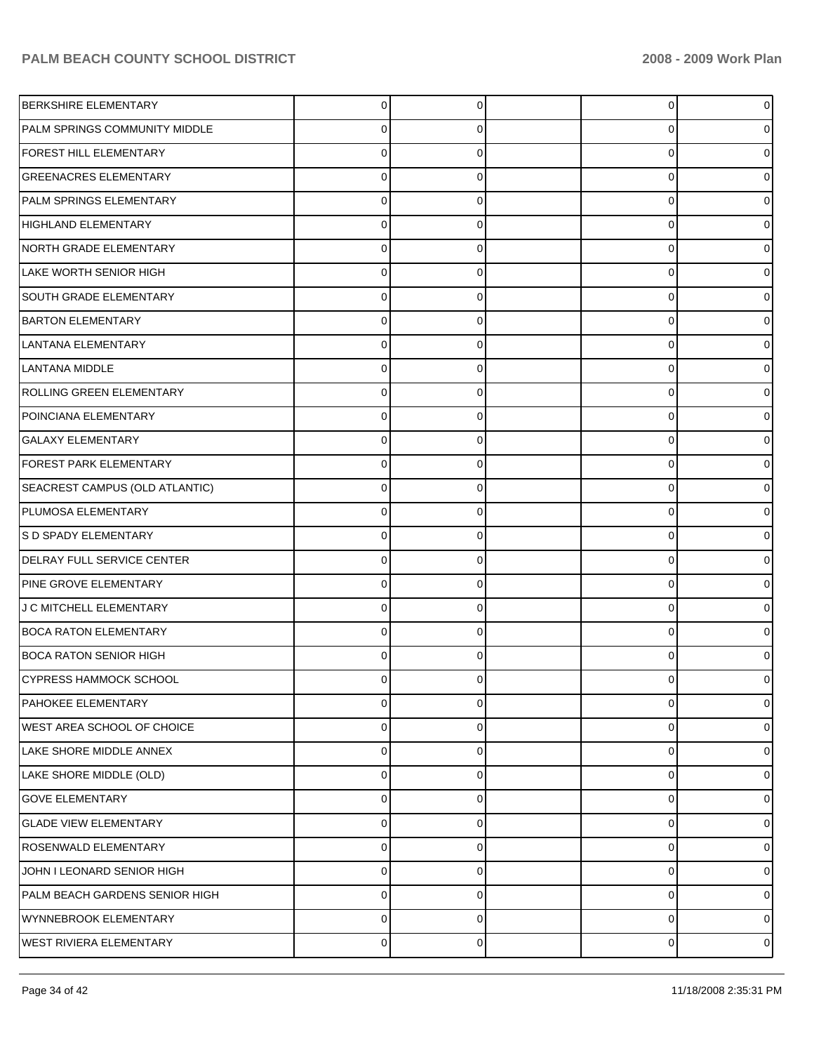| <b>BERKSHIRE ELEMENTARY</b>          | 0        | 0 | 0        |   |
|--------------------------------------|----------|---|----------|---|
| <b>PALM SPRINGS COMMUNITY MIDDLE</b> |          | 0 | 0        |   |
| <b>FOREST HILL ELEMENTARY</b>        |          | 0 | 0        |   |
| <b>GREENACRES ELEMENTARY</b>         | C        | 0 | 0        |   |
| PALM SPRINGS ELEMENTARY              |          | 0 | 0        |   |
| <b>HIGHLAND ELEMENTARY</b>           | C        | 0 | 0        |   |
| NORTH GRADE ELEMENTARY               |          | 0 | 0        |   |
| LAKE WORTH SENIOR HIGH               | C        | 0 | 0        |   |
| <b>SOUTH GRADE ELEMENTARY</b>        |          | 0 | 0        |   |
| <b>BARTON ELEMENTARY</b>             | C        | 0 | 0        |   |
| LANTANA ELEMENTARY                   |          | 0 | 0        |   |
| LANTANA MIDDLE                       | C        | 0 | 0        |   |
| ROLLING GREEN ELEMENTARY             |          | 0 | 0        |   |
| POINCIANA ELEMENTARY                 | C        | 0 | 0        |   |
| <b>GALAXY ELEMENTARY</b>             |          | 0 | 0        |   |
| FOREST PARK ELEMENTARY               | C        | 0 | 0        |   |
| SEACREST CAMPUS (OLD ATLANTIC)       |          | 0 | 0        |   |
| PLUMOSA ELEMENTARY                   | C        | 0 | 0        |   |
| S D SPADY ELEMENTARY                 |          | 0 | 0        |   |
| <b>DELRAY FULL SERVICE CENTER</b>    | C        | 0 | 0        |   |
| PINE GROVE ELEMENTARY                |          | 0 | 0        |   |
| J C MITCHELL ELEMENTARY              | C        | 0 | 0        |   |
| <b>BOCA RATON ELEMENTARY</b>         |          | 0 | 0        |   |
| <b>BOCA RATON SENIOR HIGH</b>        | C        | 0 | $\Omega$ |   |
| <b>CYPRESS HAMMOCK SCHOOL</b>        |          | 0 | 0        |   |
| PAHOKEE ELEMENTARY                   | 0        | 0 | 0        | 0 |
| WEST AREA SCHOOL OF CHOICE           | 0        | 0 | 0        | 0 |
| LAKE SHORE MIDDLE ANNEX              | $\Omega$ | 0 | 0        | o |
| LAKE SHORE MIDDLE (OLD)              | 0        | 0 | 0        | o |
| <b>GOVE ELEMENTARY</b>               | $\Omega$ | 0 | 0        | o |
| <b>GLADE VIEW ELEMENTARY</b>         | 0        | 0 | 0        | o |
| ROSENWALD ELEMENTARY                 | $\Omega$ | 0 | 0        | o |
| JOHN I LEONARD SENIOR HIGH           | 0        | 0 | 0        | o |
| PALM BEACH GARDENS SENIOR HIGH       | $\Omega$ | 0 | 0        | o |
| WYNNEBROOK ELEMENTARY                | 0        | 0 | 0        | 0 |
| <b>WEST RIVIERA ELEMENTARY</b>       | 0        | 0 | 0        | 0 |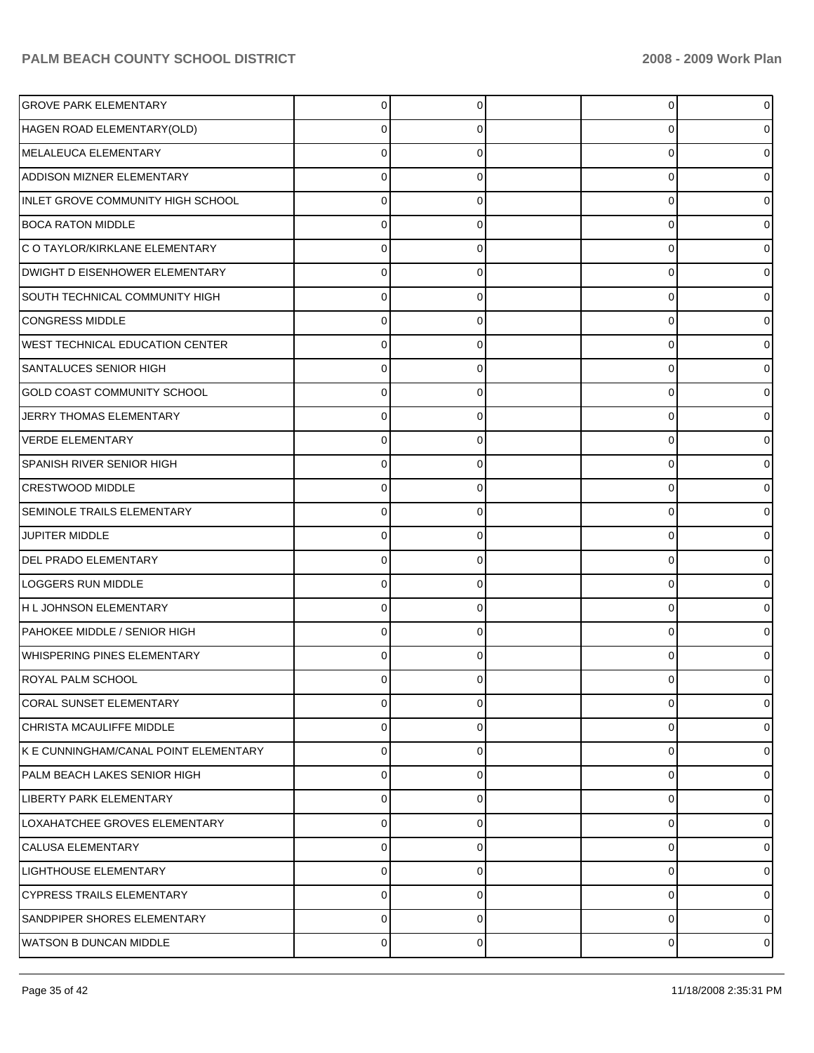| <b>GROVE PARK ELEMENTARY</b>           | 0 | $\Omega$ | 0           |   |
|----------------------------------------|---|----------|-------------|---|
| HAGEN ROAD ELEMENTARY(OLD)             | 0 | 0        | $\mathbf 0$ |   |
| MELALEUCA ELEMENTARY                   | 0 | U        | 0           |   |
| ADDISON MIZNER ELEMENTARY              | 0 | 0        | $\mathbf 0$ |   |
| INLET GROVE COMMUNITY HIGH SCHOOL      | 0 | 0        | 0           |   |
| <b>BOCA RATON MIDDLE</b>               | 0 | 0        | $\mathbf 0$ |   |
| C O TAYLOR/KIRKLANE ELEMENTARY         | 0 | U        | 0           |   |
| DWIGHT D EISENHOWER ELEMENTARY         | 0 | 0        | $\mathbf 0$ |   |
| SOUTH TECHNICAL COMMUNITY HIGH         | 0 | 0        | 0           |   |
| <b>CONGRESS MIDDLE</b>                 | 0 | 0        | $\mathbf 0$ |   |
| <b>WEST TECHNICAL EDUCATION CENTER</b> | 0 | U        | 0           |   |
| <b>SANTALUCES SENIOR HIGH</b>          | 0 | 0        | $\mathbf 0$ |   |
| <b>GOLD COAST COMMUNITY SCHOOL</b>     | 0 | 0        | 0           |   |
| JERRY THOMAS ELEMENTARY                | 0 | 0        | $\mathbf 0$ |   |
| <b>VERDE ELEMENTARY</b>                | 0 | U        | 0           |   |
| <b>SPANISH RIVER SENIOR HIGH</b>       | 0 | 0        | $\mathbf 0$ |   |
| <b>CRESTWOOD MIDDLE</b>                | 0 | 0        | 0           |   |
| <b>SEMINOLE TRAILS ELEMENTARY</b>      | 0 | 0        | $\mathbf 0$ |   |
| JUPITER MIDDLE                         | 0 | U        | 0           |   |
| <b>DEL PRADO ELEMENTARY</b>            | 0 | 0        | $\mathbf 0$ |   |
| LOGGERS RUN MIDDLE                     | 0 | 0        | 0           |   |
| H L JOHNSON ELEMENTARY                 | 0 | 0        | $\mathbf 0$ |   |
| PAHOKEE MIDDLE / SENIOR HIGH           | 0 | 0        | $\mathbf 0$ |   |
| <b>WHISPERING PINES ELEMENTARY</b>     | 0 | 0        | $\mathbf 0$ |   |
| <b>ROYAL PALM SCHOOL</b>               | 0 | 0        | 0           |   |
| CORAL SUNSET ELEMENTARY                | 0 | $\Omega$ | 0           |   |
| CHRISTA MCAULIFFE MIDDLE               | 0 | 0        | 0           |   |
| K E CUNNINGHAM/CANAL POINT ELEMENTARY  | 0 | 0        | 0           |   |
| PALM BEACH LAKES SENIOR HIGH           | 0 | 0        | 0           |   |
| LIBERTY PARK ELEMENTARY                | 0 | 0        | 0           |   |
| LOXAHATCHEE GROVES ELEMENTARY          | 0 | $\Omega$ | 0           |   |
| <b>CALUSA ELEMENTARY</b>               | 0 | 0        | 0           |   |
| <b>LIGHTHOUSE ELEMENTARY</b>           | 0 | 0        | 0           |   |
| <b>CYPRESS TRAILS ELEMENTARY</b>       | 0 | 0        | 0           |   |
| SANDPIPER SHORES ELEMENTARY            | 0 | $\Omega$ | 0           |   |
| <b>WATSON B DUNCAN MIDDLE</b>          | 0 | 0        | $\pmb{0}$   | 0 |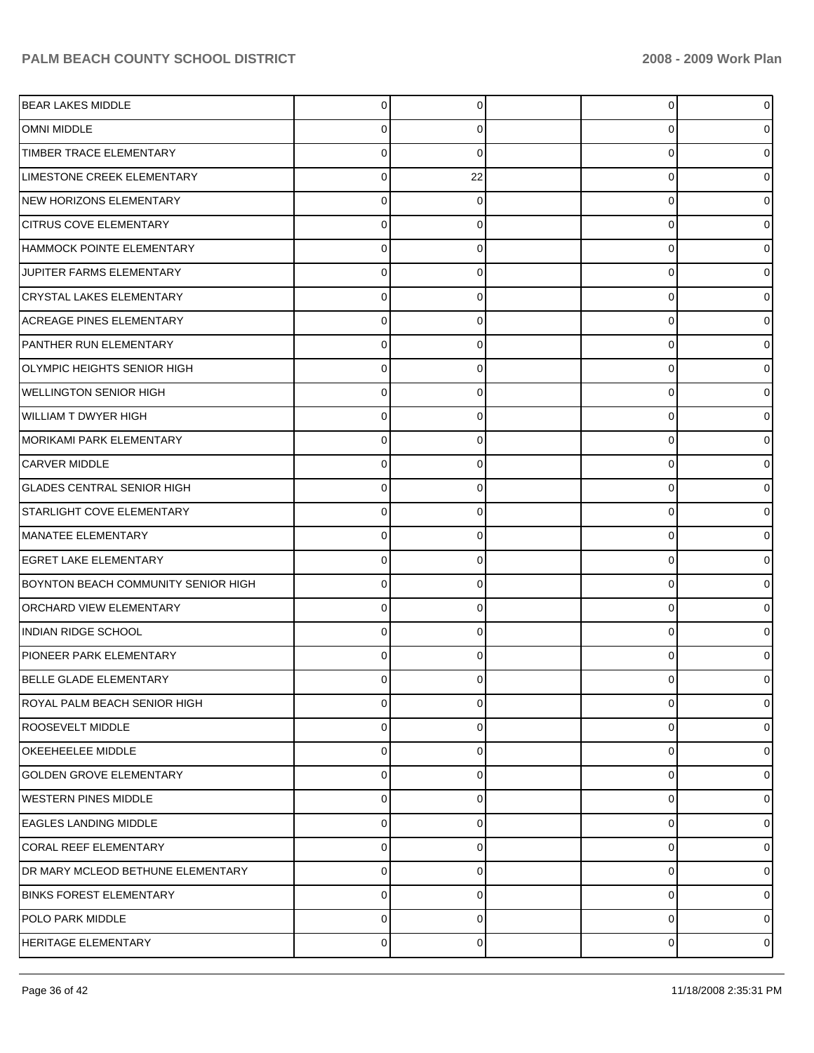| <b>BEAR LAKES MIDDLE</b>            | 0           | 0        | 0 | o              |
|-------------------------------------|-------------|----------|---|----------------|
| <b>OMNI MIDDLE</b>                  | 0           | 0        | 0 |                |
| TIMBER TRACE ELEMENTARY             | 0           | 0        | 0 |                |
| LIMESTONE CREEK ELEMENTARY          | 0           | 22       | 0 |                |
| NEW HORIZONS ELEMENTARY             | 0           | 0        | 0 |                |
| <b>CITRUS COVE ELEMENTARY</b>       | $\mathbf 0$ | 0        | 0 |                |
| HAMMOCK POINTE ELEMENTARY           | 0           | 0        | 0 |                |
| JUPITER FARMS ELEMENTARY            | 0           | 0        | 0 |                |
| <b>CRYSTAL LAKES ELEMENTARY</b>     | 0           | 0        | 0 |                |
| <b>ACREAGE PINES ELEMENTARY</b>     | $\mathbf 0$ | 0        | 0 |                |
| PANTHER RUN ELEMENTARY              | 0           | 0        | 0 |                |
| OLYMPIC HEIGHTS SENIOR HIGH         | 0           | 0        | 0 |                |
| <b>WELLINGTON SENIOR HIGH</b>       | 0           | 0        | 0 |                |
| <b>WILLIAM T DWYER HIGH</b>         | $\mathbf 0$ | 0        | 0 |                |
| IMORIKAMI PARK ELEMENTARY           | 0           | 0        | 0 |                |
| <b>CARVER MIDDLE</b>                | 0           | 0        | 0 |                |
| <b>GLADES CENTRAL SENIOR HIGH</b>   | 0           | 0        | 0 |                |
| <b>STARLIGHT COVE ELEMENTARY</b>    | $\mathbf 0$ | 0        | 0 |                |
| MANATEE ELEMENTARY                  | 0           | 0        | 0 |                |
| <b>EGRET LAKE ELEMENTARY</b>        | $\mathbf 0$ | 0        | 0 |                |
| BOYNTON BEACH COMMUNITY SENIOR HIGH | 0           | 0        | 0 |                |
| <b>ORCHARD VIEW ELEMENTARY</b>      | $\mathbf 0$ | 0        | 0 |                |
| INDIAN RIDGE SCHOOL                 | 0           | 0        | 0 |                |
| PIONEER PARK ELEMENTARY             | 0           | 0        | 0 |                |
| BELLE GLADE ELEMENTARY              | 0           | 0        | 0 |                |
| <b>ROYAL PALM BEACH SENIOR HIGH</b> | $\mathbf 0$ | 0        | 0 | o              |
| <b>ROOSEVELT MIDDLE</b>             | 0           | 0        | 0 | 0              |
| <b>OKEEHEELEE MIDDLE</b>            | 0           | 0        | 0 | o              |
| <b>GOLDEN GROVE ELEMENTARY</b>      | 0           | 0        | 0 | 0              |
| <b>WESTERN PINES MIDDLE</b>         | 0           | $\Omega$ | 0 | o              |
| <b>EAGLES LANDING MIDDLE</b>        | $\mathbf 0$ | 0        | 0 | o              |
| CORAL REEF ELEMENTARY               | 0           | 0        | 0 | o              |
| DR MARY MCLEOD BETHUNE ELEMENTARY   | 0           | 0        | 0 | o              |
| <b>BINKS FOREST ELEMENTARY</b>      | 0           | 0        | 0 | 0              |
| POLO PARK MIDDLE                    | $\mathbf 0$ | 0        | 0 | 0              |
| HERITAGE ELEMENTARY                 | $\pmb{0}$   | 0        | 0 | $\overline{0}$ |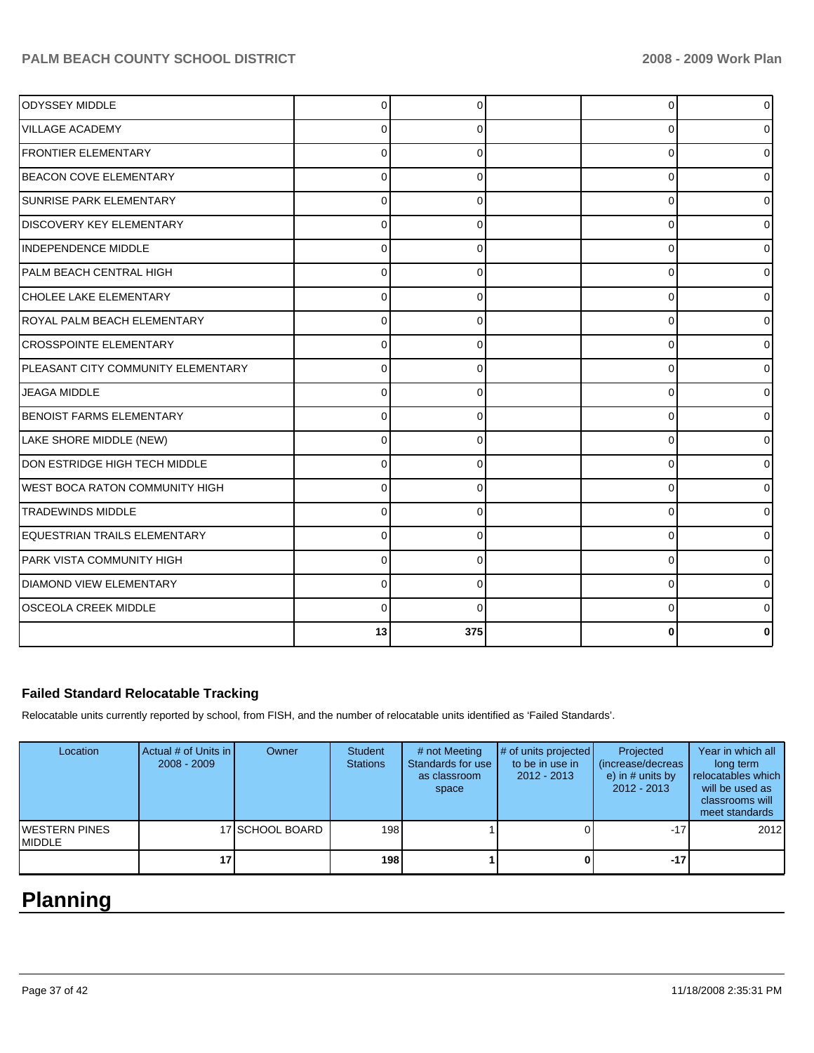| <b>ODYSSEY MIDDLE</b>                 | $\Omega$ | $\Omega$ | 0        | 0            |
|---------------------------------------|----------|----------|----------|--------------|
| IVILLAGE ACADEMY                      | 0        | 0        | $\Omega$ | <sup>0</sup> |
| <b>FRONTIER ELEMENTARY</b>            | $\Omega$ | 0        | $\Omega$ | 0            |
| <b>BEACON COVE ELEMENTARY</b>         | $\Omega$ | 0        | $\Omega$ | 0            |
| <b>SUNRISE PARK ELEMENTARY</b>        | $\Omega$ | 0        | 0        | 0            |
| <b>DISCOVERY KEY ELEMENTARY</b>       | $\Omega$ | $\Omega$ | $\Omega$ | <sup>0</sup> |
| INDEPENDENCE MIDDLE                   | $\Omega$ | $\Omega$ | $\Omega$ | U            |
| PALM BEACH CENTRAL HIGH               | $\Omega$ | 0        | $\Omega$ | 0            |
| CHOLEE LAKE ELEMENTARY                | $\Omega$ | $\Omega$ | $\Omega$ | U            |
| ROYAL PALM BEACH ELEMENTARY           | $\Omega$ | 0        | $\Omega$ | U            |
| <b>CROSSPOINTE ELEMENTARY</b>         | $\Omega$ | 0        | $\Omega$ | ი            |
| PLEASANT CITY COMMUNITY ELEMENTARY    | $\Omega$ | 0        | $\Omega$ | 0            |
| <b>JEAGA MIDDLE</b>                   | $\Omega$ | $\Omega$ | $\Omega$ | 0            |
| <b>BENOIST FARMS ELEMENTARY</b>       | 0        | 0        | $\Omega$ | 0            |
| LAKE SHORE MIDDLE (NEW)               | $\Omega$ | $\Omega$ | $\Omega$ |              |
| DON ESTRIDGE HIGH TECH MIDDLE         | $\Omega$ | $\Omega$ | $\Omega$ | 0            |
| <b>WEST BOCA RATON COMMUNITY HIGH</b> | 0        | $\Omega$ | $\Omega$ | o            |
| <b>TRADEWINDS MIDDLE</b>              | 0        | 0        | $\Omega$ | o            |
| EQUESTRIAN TRAILS ELEMENTARY          | $\Omega$ | 0        | $\Omega$ | 0            |
| PARK VISTA COMMUNITY HIGH             | $\Omega$ | 0        | $\Omega$ | 0            |
| <b>DIAMOND VIEW ELEMENTARY</b>        | $\Omega$ | 0        | $\Omega$ | 0            |
| <b>OSCEOLA CREEK MIDDLE</b>           | C        | $\Omega$ | $\Omega$ |              |
|                                       | 13       | 375      | 0        |              |

## **Failed Standard Relocatable Tracking**

Relocatable units currently reported by school, from FISH, and the number of relocatable units identified as 'Failed Standards'.

| Location                                | Actual # of Units in I<br>$2008 - 2009$ | Owner           | <b>Student</b><br><b>Stations</b> | # not Meeting<br>Standards for use<br>as classroom<br>space | # of units projected<br>to be in use in<br>$2012 - 2013$ | Projected<br>(increase/decreas<br>e) in $#$ units by<br>$2012 - 2013$ | Year in which all<br>long term<br>relocatables which<br>will be used as<br>classrooms will<br>meet standards |
|-----------------------------------------|-----------------------------------------|-----------------|-----------------------------------|-------------------------------------------------------------|----------------------------------------------------------|-----------------------------------------------------------------------|--------------------------------------------------------------------------------------------------------------|
| <b>IWESTERN PINES</b><br><b>IMIDDLE</b> |                                         | 17 SCHOOL BOARD | 198                               |                                                             |                                                          | $-17$                                                                 | 2012                                                                                                         |
|                                         | 17                                      |                 | 198                               |                                                             |                                                          | $-17$                                                                 |                                                                                                              |

# **Planning**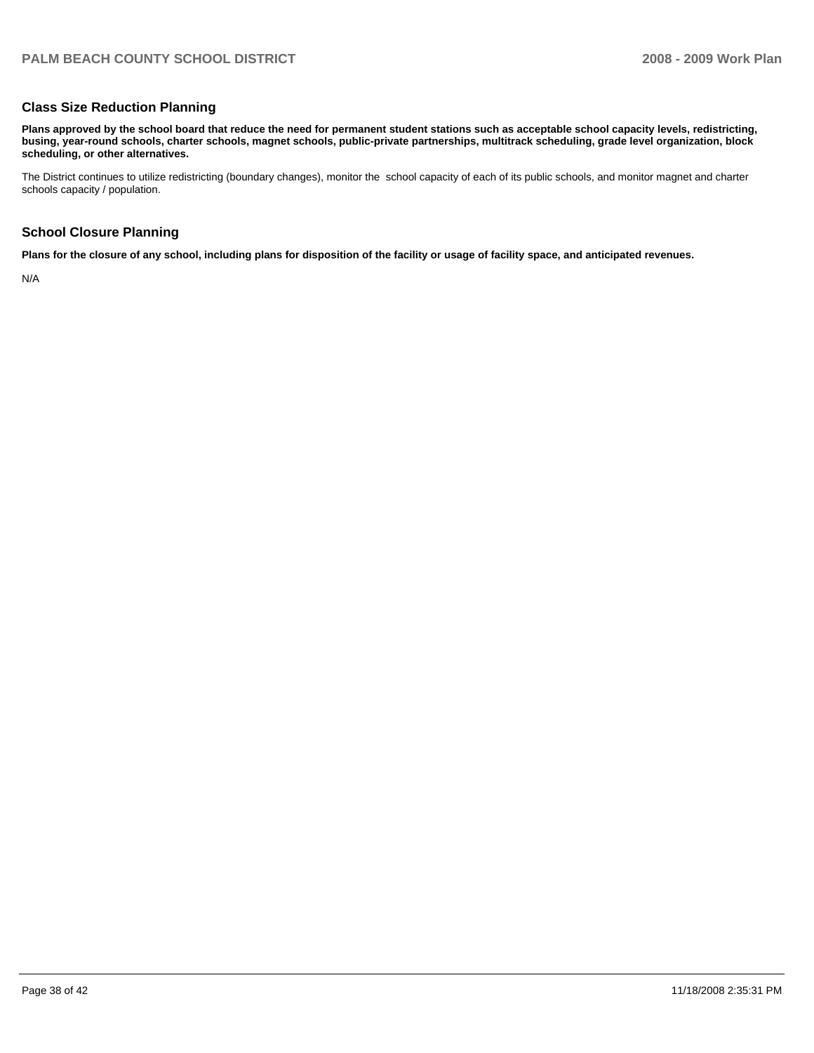### **Class Size Reduction Planning**

**Plans approved by the school board that reduce the need for permanent student stations such as acceptable school capacity levels, redistricting, busing, year-round schools, charter schools, magnet schools, public-private partnerships, multitrack scheduling, grade level organization, block scheduling, or other alternatives.** 

The District continues to utilize redistricting (boundary changes), monitor the school capacity of each of its public schools, and monitor magnet and charter schools capacity / population.

#### **School Closure Planning**

**Plans for the closure of any school, including plans for disposition of the facility or usage of facility space, and anticipated revenues.** 

N/A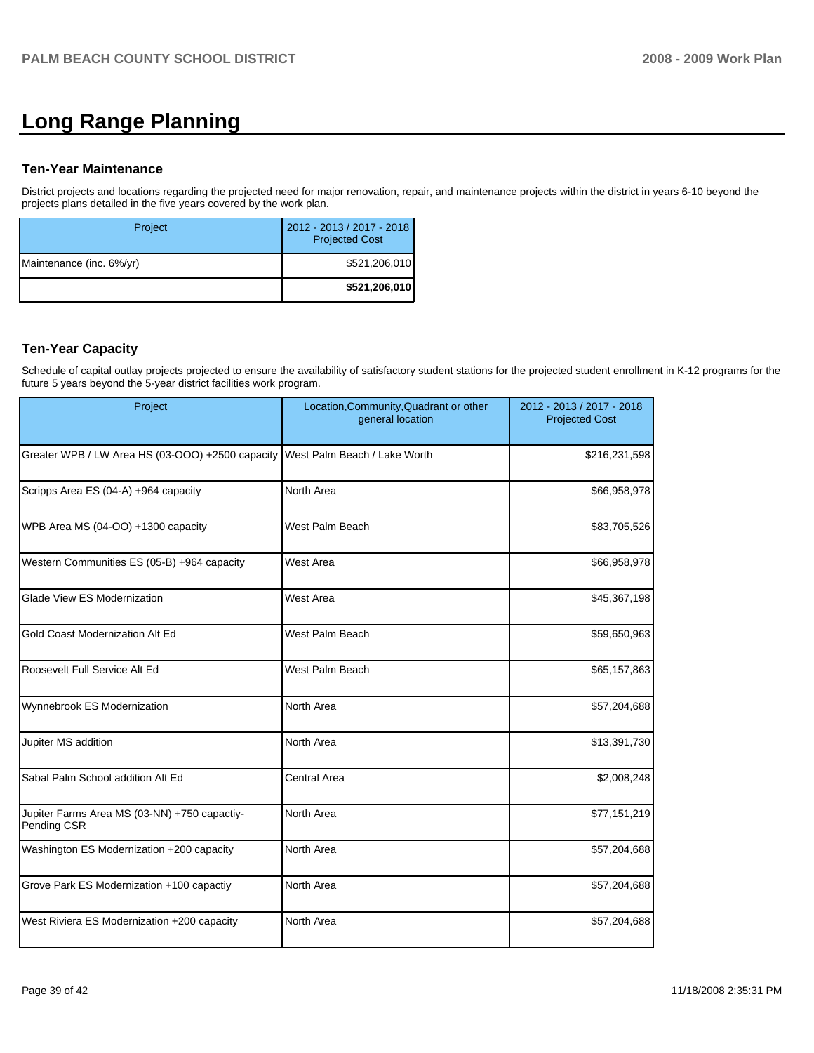# **Long Range Planning**

#### **Ten-Year Maintenance**

District projects and locations regarding the projected need for major renovation, repair, and maintenance projects within the district in years 6-10 beyond the projects plans detailed in the five years covered by the work plan.

| Project                  | 2012 - 2013 / 2017 - 2018<br><b>Projected Cost</b> |
|--------------------------|----------------------------------------------------|
| Maintenance (inc. 6%/yr) | \$521,206,010                                      |
|                          | \$521,206,010                                      |

## **Ten-Year Capacity**

Schedule of capital outlay projects projected to ensure the availability of satisfactory student stations for the projected student enrollment in K-12 programs for the future 5 years beyond the 5-year district facilities work program.

| Project                                                     | Location, Community, Quadrant or other<br>general location | 2012 - 2013 / 2017 - 2018<br><b>Projected Cost</b> |
|-------------------------------------------------------------|------------------------------------------------------------|----------------------------------------------------|
| Greater WPB / LW Area HS (03-OOO) +2500 capacity            | West Palm Beach / Lake Worth                               | \$216,231,598                                      |
| Scripps Area ES (04-A) +964 capacity                        | North Area                                                 | \$66,958,978                                       |
| WPB Area MS (04-OO) +1300 capacity                          | West Palm Beach                                            | \$83,705,526                                       |
| Western Communities ES (05-B) +964 capacity                 | West Area                                                  | \$66,958,978                                       |
| Glade View ES Modernization                                 | West Area                                                  | \$45,367,198                                       |
| Gold Coast Modernization Alt Ed                             | West Palm Beach                                            | \$59,650,963                                       |
| Roosevelt Full Service Alt Ed                               | West Palm Beach                                            | \$65,157,863                                       |
| Wynnebrook ES Modernization                                 | North Area                                                 | \$57,204,688                                       |
| Jupiter MS addition                                         | North Area                                                 | \$13,391,730                                       |
| Sabal Palm School addition Alt Ed                           | <b>Central Area</b>                                        | \$2,008,248                                        |
| Jupiter Farms Area MS (03-NN) +750 capactiy-<br>Pending CSR | North Area                                                 | \$77,151,219                                       |
| Washington ES Modernization +200 capacity                   | North Area                                                 | \$57,204,688                                       |
| Grove Park ES Modernization +100 capactiy                   | North Area                                                 | \$57,204,688                                       |
| West Riviera ES Modernization +200 capacity                 | North Area                                                 | \$57,204,688                                       |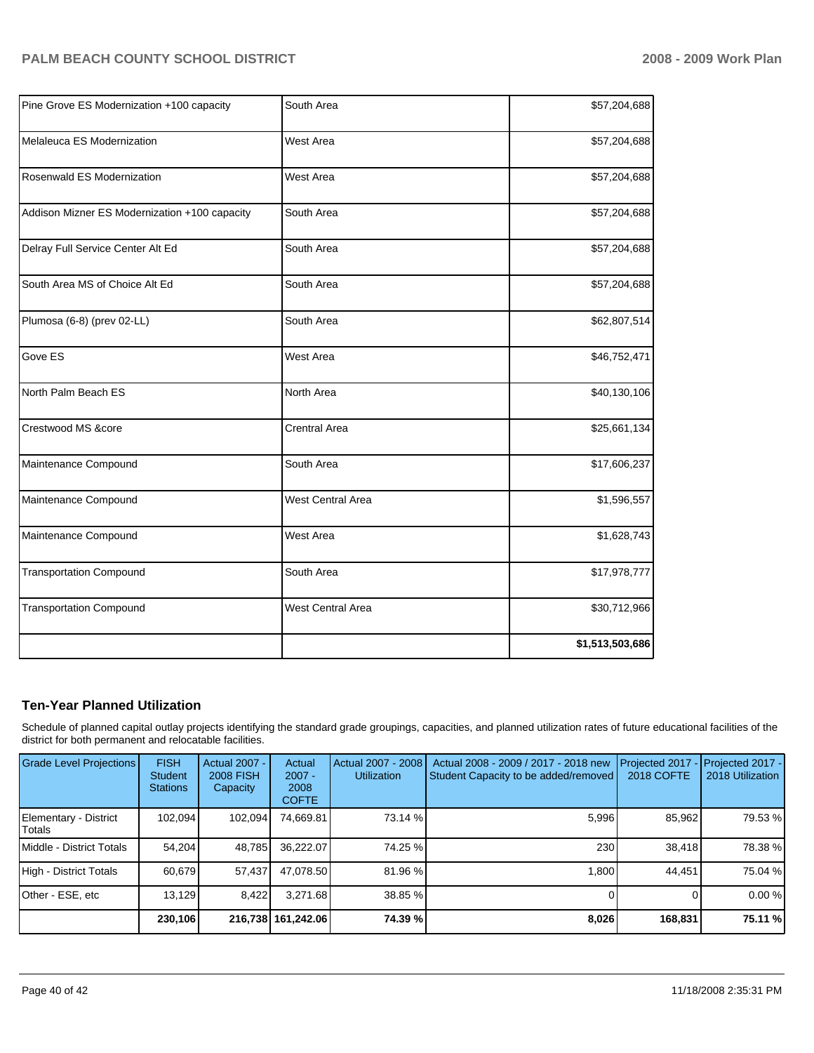|                          | \$57,204,688    |
|--------------------------|-----------------|
| <b>West Area</b>         | \$57,204,688    |
| <b>West Area</b>         | \$57,204,688    |
| South Area               | \$57,204,688    |
| South Area               | \$57,204,688    |
| South Area               | \$57,204,688    |
| South Area               | \$62,807,514    |
| <b>West Area</b>         | \$46,752,471    |
| North Area               | \$40,130,106    |
| <b>Crentral Area</b>     | \$25,661,134    |
| South Area               | \$17,606,237    |
| <b>West Central Area</b> | \$1,596,557     |
| West Area                | \$1,628,743     |
| South Area               | \$17,978,777    |
| <b>West Central Area</b> | \$30,712,966    |
|                          | \$1,513,503,686 |
|                          |                 |

## **Ten-Year Planned Utilization**

Schedule of planned capital outlay projects identifying the standard grade groupings, capacities, and planned utilization rates of future educational facilities of the district for both permanent and relocatable facilities.

| Grade Level Projections         | <b>FISH</b><br>Student<br><b>Stations</b> | Actual 2007 -<br>2008 FISH<br>Capacity | Actual<br>$2007 -$<br>2008<br><b>COFTE</b> | Actual 2007 - 2008<br><b>Utilization</b> | Actual 2008 - 2009 / 2017 - 2018 new<br>Student Capacity to be added/removed | Projected 2017<br>2018 COFTE | Projected 2017 -<br>2018 Utilization |
|---------------------------------|-------------------------------------------|----------------------------------------|--------------------------------------------|------------------------------------------|------------------------------------------------------------------------------|------------------------------|--------------------------------------|
| Elementary - District<br>Totals | 102.094                                   | 102,094                                | 74.669.81                                  | 73.14 %                                  | 5.996                                                                        | 85,962                       | 79.53 %                              |
| Middle - District Totals        | 54.204                                    | 48.785                                 | 36.222.07                                  | 74.25 %                                  | 230                                                                          | 38.418                       | 78.38 %                              |
| High - District Totals          | 60.679                                    | 57.437                                 | 47.078.50                                  | 81.96 %                                  | 1.800                                                                        | 44.451                       | 75.04 %                              |
| Other - ESE, etc                | 13.129                                    | 8,422                                  | 3.271.68                                   | 38.85 %                                  |                                                                              |                              | 0.00%                                |
|                                 | 230,106                                   |                                        | 216,738 161,242.06                         | 74.39 %                                  | 8,026                                                                        | 168,831                      | 75.11 %                              |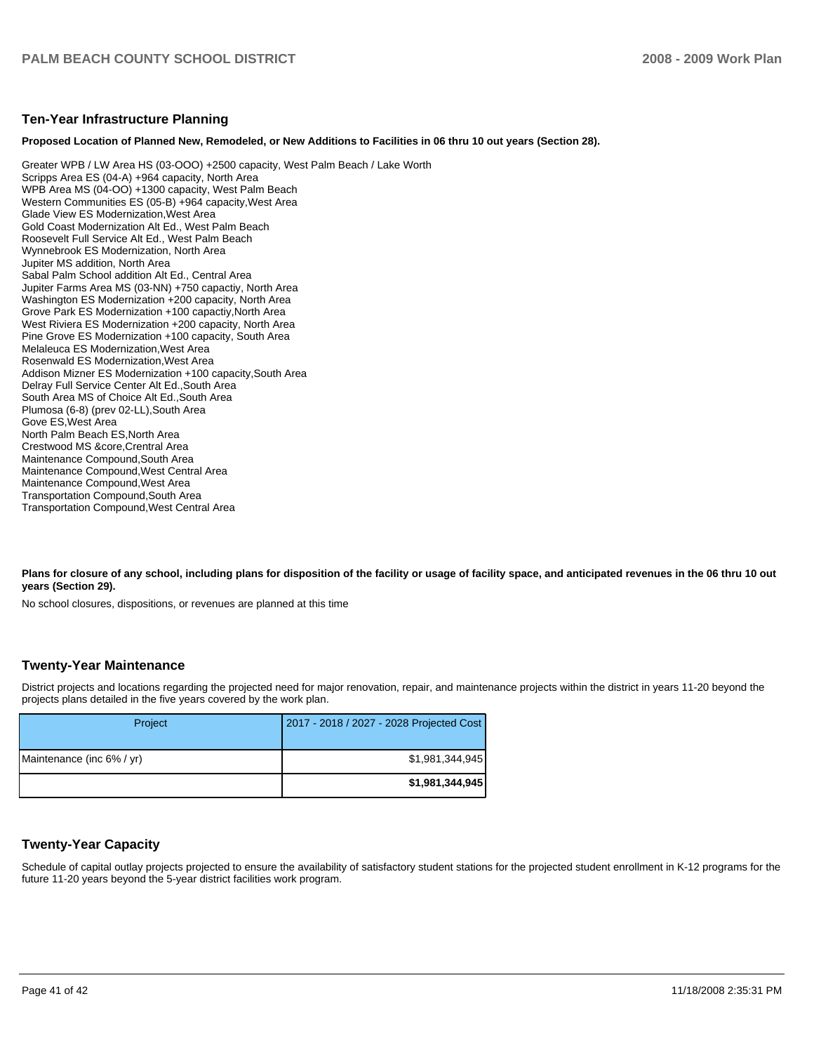#### **Ten-Year Infrastructure Planning**

#### **Proposed Location of Planned New, Remodeled, or New Additions to Facilities in 06 thru 10 out years (Section 28).**

Greater WPB / LW Area HS (03-OOO) +2500 capacity, West Palm Beach / Lake Worth�� Scripps Area ES (04-A) +964 capacity, North Area WPB Area MS (04-OO) +1300 capacity, West Palm Beach Western Communities ES (05-B) +964 capacity, West Area Glade View ES Modernization,West Area�� Gold Coast Modernization Alt Ed., West Palm Beach Roosevelt Full Service Alt Ed., West Palm Beach Wynnebrook ES Modernization, North Area Jupiter MS addition, North Area Sabal Palm School addition Alt Ed., Central Area Jupiter Farms Area MS (03-NN) +750 capactiy, North Area Washington ES Modernization +200 capacity, North Area Grove Park ES Modernization +100 capactiy,North Area�� West Riviera ES Modernization +200 capacity, North Area Pine Grove ES Modernization +100 capacity, South Area Melaleuca ES Modernization, West Area Rosenwald ES Modernization,West Area�� Addison Mizner ES Modernization +100 capacity, South Area Delray Full Service Center Alt Ed.,South Area�� South Area MS of Choice Alt Ed., South Area Plumosa (6-8) (prev 02-LL), South Area Gove ES,West Area�� North Palm Beach ES, North Area Crestwood MS &core,Crentral Area�� Maintenance Compound, South Area Maintenance Compound, West Central Area Maintenance Compound, West Area Transportation Compound,South Area�� Transportation Compound,West Central Area

Plans for closure of any school, including plans for disposition of the facility or usage of facility space, and anticipated revenues in the 06 thru 10 out **years (Section 29).** 

No school closures, dispositions, or revenues are planned at this time

#### **Twenty-Year Maintenance**

District projects and locations regarding the projected need for major renovation, repair, and maintenance projects within the district in years 11-20 beyond the projects plans detailed in the five years covered by the work plan.

| Project                   | 2017 - 2018 / 2027 - 2028 Projected Cost |
|---------------------------|------------------------------------------|
| Maintenance (inc 6% / yr) | \$1,981,344,945                          |
|                           | \$1,981,344,945                          |

## **Twenty-Year Capacity**

Schedule of capital outlay projects projected to ensure the availability of satisfactory student stations for the projected student enrollment in K-12 programs for the future 11-20 years beyond the 5-year district facilities work program.